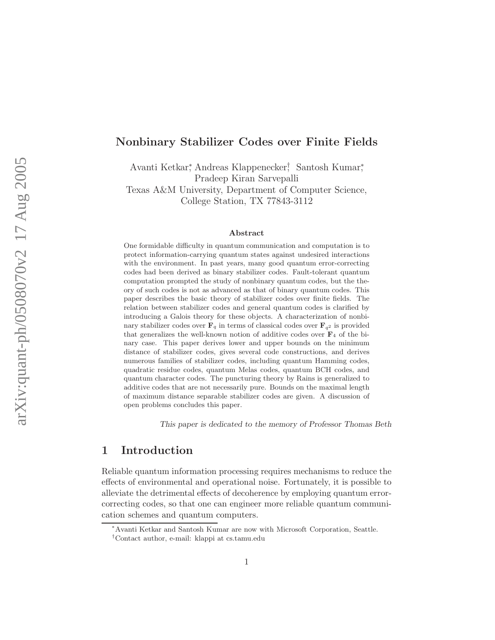#### Nonbinary Stabilizer Codes over Finite Fields

Avanti Ketkar<sup>∗</sup> , Andreas Klappenecker† , Santosh Kumar<sup>∗</sup> , Pradeep Kiran Sarvepalli Texas A&M University, Department of Computer Science, College Station, TX 77843-3112

#### Abstract

One formidable difficulty in quantum communication and computation is to protect information-carrying quantum states against undesired interactions with the environment. In past years, many good quantum error-correcting codes had been derived as binary stabilizer codes. Fault-tolerant quantum computation prompted the study of nonbinary quantum codes, but the theory of such codes is not as advanced as that of binary quantum codes. This paper describes the basic theory of stabilizer codes over finite fields. The relation between stabilizer codes and general quantum codes is clarified by introducing a Galois theory for these objects. A characterization of nonbinary stabilizer codes over  $\mathbf{F}_q$  in terms of classical codes over  $\mathbf{F}_{q^2}$  is provided that generalizes the well-known notion of additive codes over  $\mathbf{F}_4$  of the binary case. This paper derives lower and upper bounds on the minimum distance of stabilizer codes, gives several code constructions, and derives numerous families of stabilizer codes, including quantum Hamming codes, quadratic residue codes, quantum Melas codes, quantum BCH codes, and quantum character codes. The puncturing theory by Rains is generalized to additive codes that are not necessarily pure. Bounds on the maximal length of maximum distance separable stabilizer codes are given. A discussion of open problems concludes this paper.

This paper is dedicated to the memory of Professor Thomas Beth

# 1 Introduction

Reliable quantum information processing requires mechanisms to reduce the effects of environmental and operational noise. Fortunately, it is possible to alleviate the detrimental effects of decoherence by employing quantum errorcorrecting codes, so that one can engineer more reliable quantum communication schemes and quantum computers.

<sup>∗</sup>Avanti Ketkar and Santosh Kumar are now with Microsoft Corporation, Seattle.

<sup>†</sup>Contact author, e-mail: klappi at cs.tamu.edu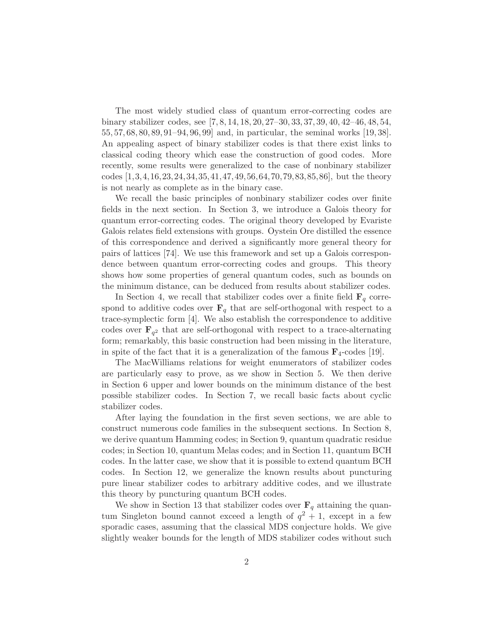The most widely studied class of quantum error-correcting codes are binary stabilizer codes, see [7, 8, 14, 18, 20, 27–30, 33, 37, 39, 40, 42–46, 48, 54, 55, 57, 68, 80, 89, 91–94, 96, 99] and, in particular, the seminal works [19, 38]. An appealing aspect of binary stabilizer codes is that there exist links to classical coding theory which ease the construction of good codes. More recently, some results were generalized to the case of nonbinary stabilizer codes [1,3,4,16,23,24,34,35,41,47,49,56,64,70,79,83,85,86], but the theory is not nearly as complete as in the binary case.

We recall the basic principles of nonbinary stabilizer codes over finite fields in the next section. In Section 3, we introduce a Galois theory for quantum error-correcting codes. The original theory developed by Evariste Galois relates field extensions with groups. Oystein Ore distilled the essence of this correspondence and derived a significantly more general theory for pairs of lattices [74]. We use this framework and set up a Galois correspondence between quantum error-correcting codes and groups. This theory shows how some properties of general quantum codes, such as bounds on the minimum distance, can be deduced from results about stabilizer codes.

In Section 4, we recall that stabilizer codes over a finite field  $\mathbf{F}_q$  correspond to additive codes over  $\mathbf{F}_q$  that are self-orthogonal with respect to a trace-symplectic form [4]. We also establish the correspondence to additive codes over  $\mathbf{F}_{q^2}$  that are self-orthogonal with respect to a trace-alternating form; remarkably, this basic construction had been missing in the literature, in spite of the fact that it is a generalization of the famous  $\mathbf{F}_4$ -codes [19].

The MacWilliams relations for weight enumerators of stabilizer codes are particularly easy to prove, as we show in Section 5. We then derive in Section 6 upper and lower bounds on the minimum distance of the best possible stabilizer codes. In Section 7, we recall basic facts about cyclic stabilizer codes.

After laying the foundation in the first seven sections, we are able to construct numerous code families in the subsequent sections. In Section 8, we derive quantum Hamming codes; in Section 9, quantum quadratic residue codes; in Section 10, quantum Melas codes; and in Section 11, quantum BCH codes. In the latter case, we show that it is possible to extend quantum BCH codes. In Section 12, we generalize the known results about puncturing pure linear stabilizer codes to arbitrary additive codes, and we illustrate this theory by puncturing quantum BCH codes.

We show in Section 13 that stabilizer codes over  $\mathbf{F}_q$  attaining the quantum Singleton bound cannot exceed a length of  $q^2 + 1$ , except in a few sporadic cases, assuming that the classical MDS conjecture holds. We give slightly weaker bounds for the length of MDS stabilizer codes without such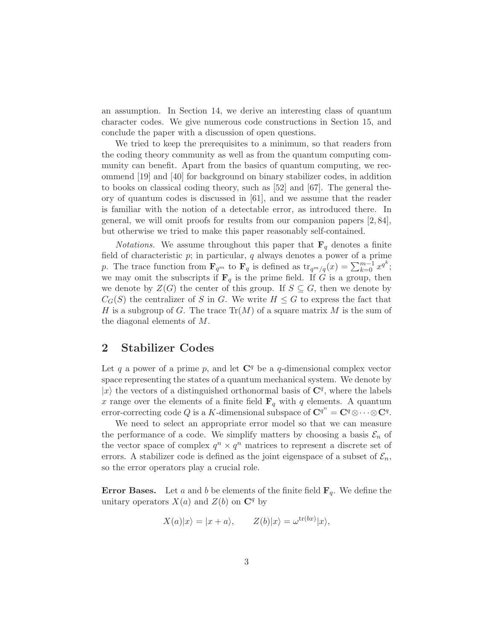an assumption. In Section 14, we derive an interesting class of quantum character codes. We give numerous code constructions in Section 15, and conclude the paper with a discussion of open questions.

We tried to keep the prerequisites to a minimum, so that readers from the coding theory community as well as from the quantum computing community can benefit. Apart from the basics of quantum computing, we recommend [19] and [40] for background on binary stabilizer codes, in addition to books on classical coding theory, such as [52] and [67]. The general theory of quantum codes is discussed in [61], and we assume that the reader is familiar with the notion of a detectable error, as introduced there. In general, we will omit proofs for results from our companion papers [2, 84], but otherwise we tried to make this paper reasonably self-contained.

*Notations.* We assume throughout this paper that  $\mathbf{F}_q$  denotes a finite field of characteristic  $p$ ; in particular,  $q$  always denotes a power of a prime p. The trace function from  $\mathbf{F}_{q^m}$  to  $\mathbf{F}_q$  is defined as  $\text{tr}_{q^m/q}(x) = \sum_{k=0}^{m-1} x^{q^k};$ we may omit the subscripts if  $\mathbf{F}_q$  is the prime field. If G is a group, then we denote by  $Z(G)$  the center of this group. If  $S \subseteq G$ , then we denote by  $C_G(S)$  the centralizer of S in G. We write  $H \leq G$  to express the fact that H is a subgroup of G. The trace  $\text{Tr}(M)$  of a square matrix M is the sum of the diagonal elements of M.

## 2 Stabilizer Codes

Let q a power of a prime p, and let  $\mathbb{C}^q$  be a q-dimensional complex vector space representing the states of a quantum mechanical system. We denote by  $|x\rangle$  the vectors of a distinguished orthonormal basis of  ${\bf C}^q,$  where the labels x range over the elements of a finite field  $\mathbf{F}_q$  with q elements. A quantum error-correcting code Q is a K-dimensional subspace of  $\mathbf{C}^{q^n} = \mathbf{C}^q \otimes \cdots \otimes \mathbf{C}^q$ .

We need to select an appropriate error model so that we can measure the performance of a code. We simplify matters by choosing a basis  $\mathcal{E}_n$  of the vector space of complex  $q^n \times q^n$  matrices to represent a discrete set of errors. A stabilizer code is defined as the joint eigenspace of a subset of  $\mathcal{E}_n$ , so the error operators play a crucial role.

**Error Bases.** Let a and b be elements of the finite field  $\mathbf{F}_q$ . We define the unitary operators  $X(a)$  and  $Z(b)$  on  $\mathbb{C}^q$  by

$$
X(a)|x\rangle = |x + a\rangle, \qquad Z(b)|x\rangle = \omega^{\text{tr}(bx)}|x\rangle,
$$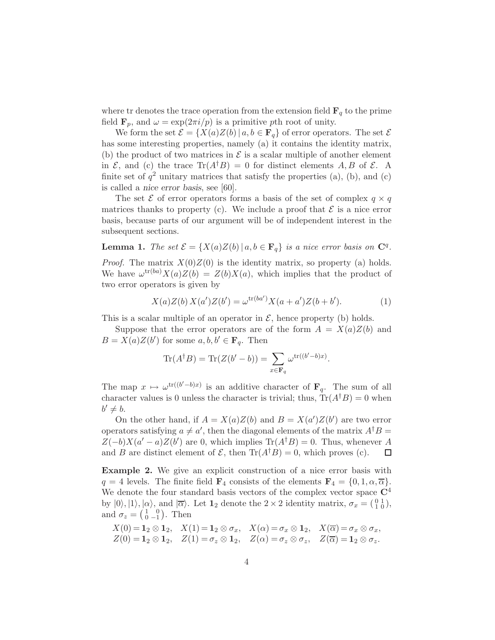where tr denotes the trace operation from the extension field  $\mathbf{F}_q$  to the prime field  $\mathbf{F}_p$ , and  $\omega = \exp(2\pi i/p)$  is a primitive pth root of unity.

We form the set  $\mathcal{E} = \{X(a)Z(b) | a, b \in \mathbf{F}_q\}$  of error operators. The set  $\mathcal{E}$ has some interesting properties, namely (a) it contains the identity matrix, (b) the product of two matrices in  $\mathcal E$  is a scalar multiple of another element in  $\mathcal{E}$ , and (c) the trace  $\text{Tr}(A^{\dagger}B) = 0$  for distinct elements A, B of  $\mathcal{E}$ . A finite set of  $q^2$  unitary matrices that satisfy the properties (a), (b), and (c) is called a nice error basis, see [60].

The set  $\mathcal E$  of error operators forms a basis of the set of complex  $q \times q$ matrices thanks to property (c). We include a proof that  $\mathcal E$  is a nice error basis, because parts of our argument will be of independent interest in the subsequent sections.

**Lemma 1.** *The set*  $\mathcal{E} = \{X(a)Z(b) | a,b \in \mathbf{F}_q\}$  *is a nice error basis on*  $\mathbb{C}^q$ *.* 

*Proof.* The matrix  $X(0)Z(0)$  is the identity matrix, so property (a) holds. We have  $\omega^{tr(ba)}X(a)Z(b) = Z(b)X(a)$ , which implies that the product of two error operators is given by

$$
X(a)Z(b) X(a')Z(b') = \omega^{\text{tr}(ba')} X(a + a')Z(b + b'). \tag{1}
$$

This is a scalar multiple of an operator in  $\mathcal{E}$ , hence property (b) holds.

Suppose that the error operators are of the form  $A = X(a)Z(b)$  and  $B = X(a)Z(b')$  for some  $a, b, b' \in \mathbf{F}_q$ . Then

$$
\operatorname{Tr}(A^{\dagger}B) = \operatorname{Tr}(Z(b'-b)) = \sum_{x \in \mathbf{F}_q} \omega^{\operatorname{tr}((b'-b)x)}.
$$

The map  $x \mapsto \omega^{\text{tr}((b'-b)x)}$  is an additive character of  $\mathbf{F}_q$ . The sum of all character values is 0 unless the character is trivial; thus,  $Tr(A^{\dagger}B) = 0$  when  $b' \neq b.$ 

On the other hand, if  $A = X(a)Z(b)$  and  $B = X(a')Z(b')$  are two error operators satisfying  $a \neq a'$ , then the diagonal elements of the matrix  $A^{\dagger}B$  =  $Z(-b)X(a'-a)Z(b')$  are 0, which implies Tr( $A^{\dagger}B$ ) = 0. Thus, whenever A and B are distinct element of  $\mathcal{E}$ , then  $\text{Tr}(A^{\dagger}B) = 0$ , which proves (c).  $\Box$ 

Example 2. We give an explicit construction of a nice error basis with  $q = 4$  levels. The finite field  $\mathbf{F}_4$  consists of the elements  $\mathbf{F}_4 = \{0, 1, \alpha, \overline{\alpha}\}.$ We denote the four standard basis vectors of the complex vector space  $\mathbb{C}^4$ by  $|0\rangle, |1\rangle, |\alpha\rangle$ , and  $|\overline{\alpha}\rangle$ . Let  $\mathbf{1}_2$  denote the  $2 \times 2$  identity matrix,  $\sigma_x = \begin{pmatrix} 0 & 1 \\ 1 & 0 \end{pmatrix}$ , and  $\sigma_z = \begin{pmatrix} 1 & 0 \\ 0 & -1 \end{pmatrix}$ . Then

$$
X(0) = \mathbf{1}_2 \otimes \mathbf{1}_2, \quad X(1) = \mathbf{1}_2 \otimes \sigma_x, \quad X(\alpha) = \sigma_x \otimes \mathbf{1}_2, \quad X(\overline{\alpha}) = \sigma_x \otimes \sigma_x, Z(0) = \mathbf{1}_2 \otimes \mathbf{1}_2, \quad Z(1) = \sigma_z \otimes \mathbf{1}_2, \quad Z(\alpha) = \sigma_z \otimes \sigma_z, \quad Z(\overline{\alpha}) = \mathbf{1}_2 \otimes \sigma_z.
$$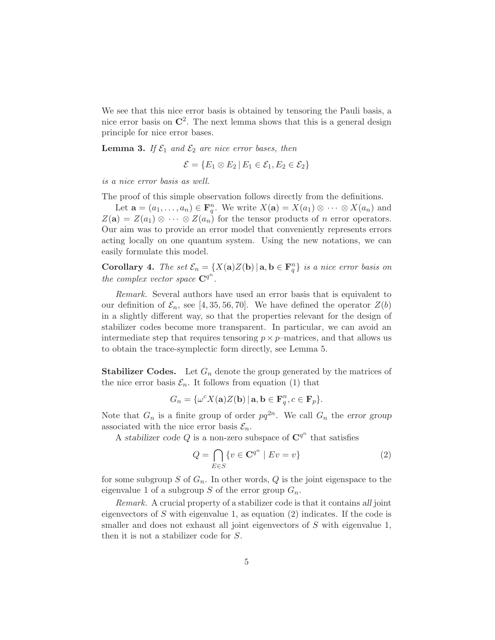We see that this nice error basis is obtained by tensoring the Pauli basis, a nice error basis on  $\mathbb{C}^2$ . The next lemma shows that this is a general design principle for nice error bases.

**Lemma 3.** If  $\mathcal{E}_1$  and  $\mathcal{E}_2$  are nice error bases, then

$$
\mathcal{E} = \{E_1 \otimes E_2 \,|\, E_1 \in \mathcal{E}_1, E_2 \in \mathcal{E}_2\}
$$

*is a nice error basis as well.*

The proof of this simple observation follows directly from the definitions.

Let  $\mathbf{a} = (a_1, \dots, a_n) \in \mathbf{F}_q^n$ . We write  $X(\mathbf{a}) = X(a_1) \otimes \cdots \otimes X(a_n)$  and  $Z(\mathbf{a}) = Z(a_1) \otimes \cdots \otimes Z(a_n)$  for the tensor products of n error operators. Our aim was to provide an error model that conveniently represents errors acting locally on one quantum system. Using the new notations, we can easily formulate this model.

**Corollary 4.** *The set*  $\mathcal{E}_n = \{ X(\mathbf{a})Z(\mathbf{b}) | \mathbf{a}, \mathbf{b} \in \mathbf{F}_q^n \}$  *is a nice error basis on the complex vector space*  $\mathbb{C}^{q^n}$ *.* 

*Remark.* Several authors have used an error basis that is equivalent to our definition of  $\mathcal{E}_n$ , see [4, 35, 56, 70]. We have defined the operator  $Z(b)$ in a slightly different way, so that the properties relevant for the design of stabilizer codes become more transparent. In particular, we can avoid an intermediate step that requires tensoring  $p \times p$ –matrices, and that allows us to obtain the trace-symplectic form directly, see Lemma 5.

**Stabilizer Codes.** Let  $G_n$  denote the group generated by the matrices of the nice error basis  $\mathcal{E}_n$ . It follows from equation (1) that

$$
G_n = \{ \omega^c X(\mathbf{a}) Z(\mathbf{b}) \, | \, \mathbf{a}, \mathbf{b} \in \mathbf{F}_q^n, c \in \mathbf{F}_p \}.
$$

Note that  $G_n$  is a finite group of order  $pq^{2n}$ . We call  $G_n$  the error group associated with the nice error basis  $\mathcal{E}_n$ .

A stabilizer code Q is a non-zero subspace of  $\mathbb{C}^{q^n}$  that satisfies

$$
Q = \bigcap_{E \in S} \{ v \in \mathbf{C}^{q^n} \mid Ev = v \}
$$
\n<sup>(2)</sup>

for some subgroup S of  $G_n$ . In other words, Q is the joint eigenspace to the eigenvalue 1 of a subgroup S of the error group  $G_n$ .

*Remark.* A crucial property of a stabilizer code is that it contains all joint eigenvectors of  $S$  with eigenvalue 1, as equation (2) indicates. If the code is smaller and does not exhaust all joint eigenvectors of S with eigenvalue 1, then it is not a stabilizer code for S.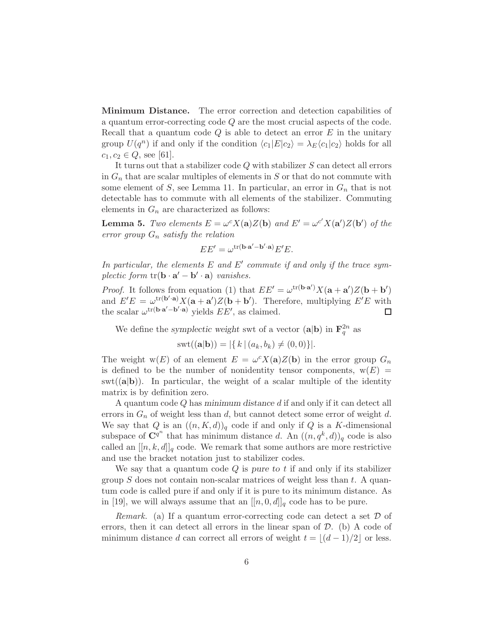Minimum Distance. The error correction and detection capabilities of a quantum error-correcting code Q are the most crucial aspects of the code. Recall that a quantum code  $Q$  is able to detect an error  $E$  in the unitary group  $U(q^n)$  if and only if the condition  $\langle c_1|E|c_2\rangle = \lambda_E \langle c_1|c_2\rangle$  holds for all  $c_1, c_2 \in Q$ , see [61].

It turns out that a stabilizer code Q with stabilizer S can detect all errors in  $G_n$  that are scalar multiples of elements in S or that do not commute with some element of S, see Lemma 11. In particular, an error in  $G_n$  that is not detectable has to commute with all elements of the stabilizer. Commuting elements in  $G_n$  are characterized as follows:

**Lemma 5.** *Two elements*  $E = \omega^c X(\mathbf{a}) Z(\mathbf{b})$  *and*  $E' = \omega^{c'} X(\mathbf{a'}) Z(\mathbf{b'})$  *of the error group* G<sup>n</sup> *satisfy the relation*

$$
EE' = \omega^{\text{tr}(\mathbf{b}\cdot\mathbf{a}' - \mathbf{b}'\cdot\mathbf{a})}E'E.
$$

In particular, the elements E and E' commute if and only if the trace sym*plectic form*  $tr(\mathbf{b} \cdot \mathbf{a}' - \mathbf{b}' \cdot \mathbf{a})$  *vanishes.* 

*Proof.* It follows from equation (1) that  $EE' = \omega^{\text{tr}(\mathbf{b} \cdot \mathbf{a}')} X(\mathbf{a} + \mathbf{a}') Z(\mathbf{b} + \mathbf{b}')$ and  $E'E = \omega^{\text{tr}(\mathbf{b}'\cdot\mathbf{a})} X(\mathbf{a} + \mathbf{a}')Z(\mathbf{b} + \mathbf{b}')$ . Therefore, multiplying  $E'E$  with the scalar  $\omega^{tr(\mathbf{b}\cdot\mathbf{a}'-\mathbf{b}'\cdot\mathbf{a})}$  yields  $EE'$ , as claimed. □

We define the symplectic weight swt of a vector  $(\mathbf{a}|\mathbf{b})$  in  $\mathbf{F}_q^{2n}$  as

$$
swt((\mathbf{a}|\mathbf{b})) = |\{ k \mid (a_k, b_k) \neq (0, 0) \}|.
$$

The weight  $w(E)$  of an element  $E = \omega^{c} X(\mathbf{a}) Z(\mathbf{b})$  in the error group  $G_n$ is defined to be the number of nonidentity tensor components,  $w(E)$  =  $\text{swt}((\mathbf{a}|\mathbf{b}))$ . In particular, the weight of a scalar multiple of the identity matrix is by definition zero.

A quantum code Q has minimum distance d if and only if it can detect all errors in  $G_n$  of weight less than d, but cannot detect some error of weight d. We say that Q is an  $((n, K, d))_q$  code if and only if Q is a K-dimensional subspace of  $\mathbf{C}^{q^n}$  that has minimum distance d. An  $((n, q^k, d))_q$  code is also called an  $[[n, k, d]]_q$  code. We remark that some authors are more restrictive and use the bracket notation just to stabilizer codes.

We say that a quantum code  $Q$  is pure to  $t$  if and only if its stabilizer group  $S$  does not contain non-scalar matrices of weight less than  $t$ . A quantum code is called pure if and only if it is pure to its minimum distance. As in [19], we will always assume that an  $[[n, 0, d]]_q$  code has to be pure.

*Remark.* (a) If a quantum error-correcting code can detect a set  $D$  of errors, then it can detect all errors in the linear span of  $D$ . (b) A code of minimum distance d can correct all errors of weight  $t = |(d-1)/2|$  or less.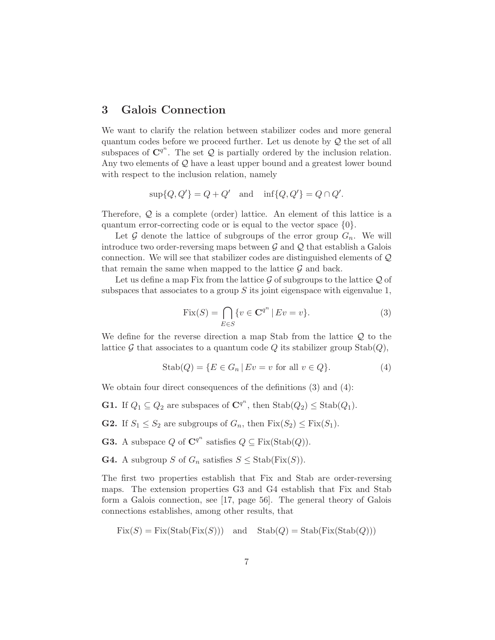## 3 Galois Connection

We want to clarify the relation between stabilizer codes and more general quantum codes before we proceed further. Let us denote by  $\mathcal Q$  the set of all subspaces of  $\mathbb{C}^{q^n}$ . The set  $Q$  is partially ordered by the inclusion relation. Any two elements of  $Q$  have a least upper bound and a greatest lower bound with respect to the inclusion relation, namely

$$
\sup\{Q, Q'\} = Q + Q' \quad \text{and} \quad \inf\{Q, Q'\} = Q \cap Q'.
$$

Therefore,  $Q$  is a complete (order) lattice. An element of this lattice is a quantum error-correcting code or is equal to the vector space {0}.

Let  $\mathcal G$  denote the lattice of subgroups of the error group  $G_n$ . We will introduce two order-reversing maps between  $\mathcal G$  and  $\mathcal Q$  that establish a Galois connection. We will see that stabilizer codes are distinguished elements of Q that remain the same when mapped to the lattice  $\mathcal G$  and back.

Let us define a map Fix from the lattice  $\mathcal G$  of subgroups to the lattice  $\mathcal Q$  of subspaces that associates to a group  $S$  its joint eigenspace with eigenvalue 1,

$$
Fix(S) = \bigcap_{E \in S} \{ v \in \mathbf{C}^{q^n} \mid Ev = v \}. \tag{3}
$$

We define for the reverse direction a map Stab from the lattice  $\mathcal Q$  to the lattice G that associates to a quantum code Q its stabilizer group  $\text{Stab}(Q)$ ,

$$
Stab(Q) = \{ E \in G_n \, | \, Ev = v \text{ for all } v \in Q \}. \tag{4}
$$

We obtain four direct consequences of the definitions (3) and (4):

**G1.** If  $Q_1 \subseteq Q_2$  are subspaces of  $\mathbb{C}^{q^n}$ , then  $\text{Stab}(Q_2) \leq \text{Stab}(Q_1)$ .

**G2.** If  $S_1 \leq S_2$  are subgroups of  $G_n$ , then  $Fix(S_2) \leq Fix(S_1)$ .

**G3.** A subspace Q of  $\mathbb{C}^{q^n}$  satisfies  $Q \subseteq \text{Fix}(\text{Stab}(Q)).$ 

**G4.** A subgroup S of  $G_n$  satisfies  $S \leq \text{Stab}(\text{Fix}(S)).$ 

The first two properties establish that Fix and Stab are order-reversing maps. The extension properties G3 and G4 establish that Fix and Stab form a Galois connection, see [17, page 56]. The general theory of Galois connections establishes, among other results, that

$$
Fix(S) = Fix(Stab(Fix(S))) \text{ and } Stab(Q) = Stab(Fix(Stab(Q)))
$$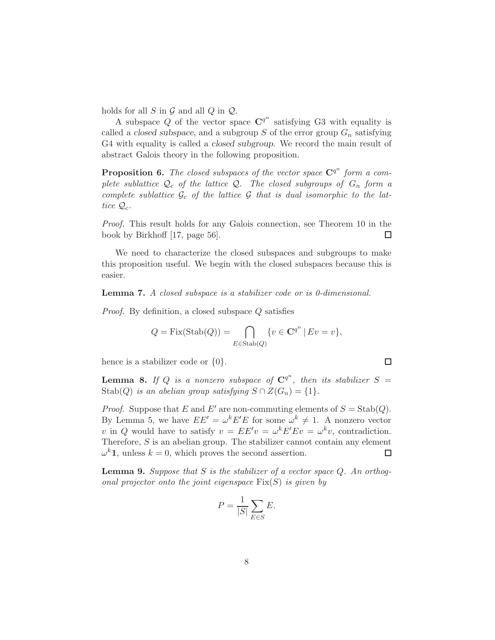holds for all  $S$  in  $\mathcal G$  and all  $Q$  in  $\mathcal Q$ .

A subspace Q of the vector space  $\mathbb{C}^{q^n}$  satisfying G3 with equality is called a closed subspace, and a subgroup  $S$  of the error group  $G_n$  satisfying G4 with equality is called a closed subgroup. We record the main result of abstract Galois theory in the following proposition.

**Proposition 6.** The closed subspaces of the vector space  $\mathbb{C}^{q^n}$  form a com*plete sublattice*  $Q_c$  *of the lattice*  $Q_c$ *. The closed subgroups of*  $G_n$  *form a* complete sublattice  $G_c$  of the lattice  $G$  that is dual isomorphic to the lat*tice*  $\mathcal{Q}_c$ *.* 

*Proof.* This result holds for any Galois connection, see Theorem 10 in the book by Birkhoff [17, page 56].  $\Box$ 

We need to characterize the closed subspaces and subgroups to make this proposition useful. We begin with the closed subspaces because this is easier.

#### Lemma 7. *A closed subspace is a stabilizer code or is 0-dimensional.*

*Proof.* By definition, a closed subspace Q satisfies

$$
Q = \text{Fix}(\text{Stab}(Q)) = \bigcap_{E \in \text{Stab}(Q)} \{v \in \mathbf{C}^{q^n} \mid Ev = v\},\
$$

hence is a stabilizer code or  $\{0\}$ .

**Lemma 8.** If Q is a nonzero subspace of  $\mathbb{C}^{q^n}$ , then its stabilizer  $S =$ Stab(Q) *is an abelian group satisfying*  $S \cap Z(G_n) = \{1\}.$ 

 $\Box$ 

*Proof.* Suppose that E and E' are non-commuting elements of  $S = \text{Stab}(Q)$ . By Lemma 5, we have  $EE' = \omega^k E' E$  for some  $\omega^k \neq 1$ . A nonzero vector v in Q would have to satisfy  $v = EE'v = \omega^k E'Ev = \omega^k v$ , contradiction. Therefore,  $S$  is an abelian group. The stabilizer cannot contain any element  $\omega^k \mathbf{1}$ , unless  $k = 0$ , which proves the second assertion. □

Lemma 9. *Suppose that* S *is the stabilizer of a vector space* Q*. An orthogonal projector onto the joint eigenspace* Fix(S) *is given by*

$$
P = \frac{1}{|S|} \sum_{E \in S} E.
$$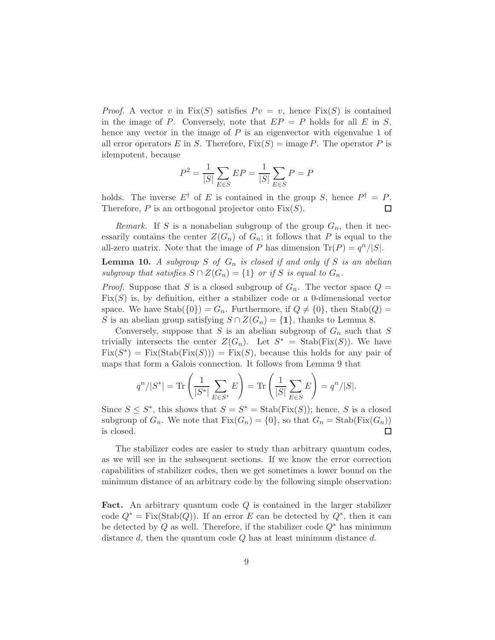*Proof.* A vector v in  $Fix(S)$  satisfies  $Pv = v$ , hence  $Fix(S)$  is contained in the image of P. Conversely, note that  $EP = P$  holds for all E in S, hence any vector in the image of  $P$  is an eigenvector with eigenvalue 1 of all error operators E in S. Therefore,  $Fix(S) = \text{image } P$ . The operator P is idempotent, because

$$
P^{2} = \frac{1}{|S|} \sum_{E \in S} EP = \frac{1}{|S|} \sum_{E \in S} P = P
$$

holds. The inverse  $E^{\dagger}$  of E is contained in the group S, hence  $P^{\dagger} = P$ . Therefore,  $P$  is an orthogonal projector onto  $Fix(S)$ .  $\Box$ 

*Remark.* If S is a nonabelian subgroup of the group  $G_n$ , then it necessarily contains the center  $Z(G_n)$  of  $G_n$ ; it follows that P is equal to the all-zero matrix. Note that the image of P has dimension  $\text{Tr}(P) = \frac{q^n}{|S|}$ .

**Lemma 10.** A subgroup  $S$  of  $G_n$  is closed if and only if  $S$  is an abelian *subgroup that satisfies*  $S \cap Z(G_n) = \{1\}$  *or if* S *is equal to*  $G_n$ .

*Proof.* Suppose that S is a closed subgroup of  $G_n$ . The vector space  $Q =$  $Fix(S)$  is, by definition, either a stabilizer code or a 0-dimensional vector space. We have  $\text{Stab}(\{0\}) = G_n$ . Furthermore, if  $Q \neq \{0\}$ , then  $\text{Stab}(Q) =$ S is an abelian group satisfying  $S \cap Z(G_n) = \{1\}$ , thanks to Lemma 8.

Conversely, suppose that S is an abelian subgroup of  $G_n$  such that S trivially intersects the center  $Z(G_n)$ . Let  $S^* =$  Stab(Fix(S)). We have  $Fix(S^*) = Fix(Stab(Fix(S))) = Fix(S)$ , because this holds for any pair of maps that form a Galois connection. It follows from Lemma 9 that

$$
q^{n}/|S^{*}| = \text{Tr}\left(\frac{1}{|S^{*}|}\sum_{E \in S^{*}} E\right) = \text{Tr}\left(\frac{1}{|S|}\sum_{E \in S} E\right) = q^{n}/|S|.
$$

Since  $S \leq S^*$ , this shows that  $S = S^* = \text{Stab}(\text{Fix}(S))$ ; hence, S is a closed subgroup of  $G_n$ . We note that  $Fix(G_n) = \{0\}$ , so that  $G_n = Stab(Fix(G_n))$  is closed. is closed.

The stabilizer codes are easier to study than arbitrary quantum codes, as we will see in the subsequent sections. If we know the error correction capabilities of stabilizer codes, then we get sometimes a lower bound on the minimum distance of an arbitrary code by the following simple observation:

Fact. An arbitrary quantum code Q is contained in the larger stabilizer code  $Q^* = \text{Fix}(\text{Stab}(Q))$ . If an error E can be detected by  $Q^*$ , then it can be detected by Q as well. Therefore, if the stabilizer code  $Q^*$  has minimum distance  $d$ , then the quantum code  $Q$  has at least minimum distance  $d$ .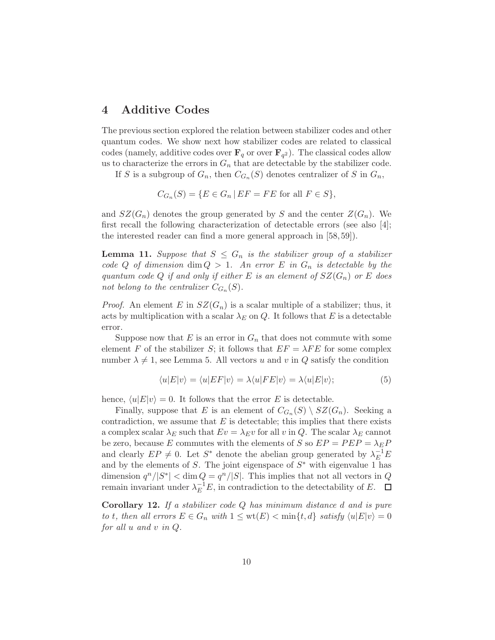# 4 Additive Codes

The previous section explored the relation between stabilizer codes and other quantum codes. We show next how stabilizer codes are related to classical codes (namely, additive codes over  $\mathbf{F}_q$  or over  $\mathbf{F}_{q^2}$ ). The classical codes allow us to characterize the errors in  $G_n$  that are detectable by the stabilizer code.

If S is a subgroup of  $G_n$ , then  $C_{G_n}(S)$  denotes centralizer of S in  $G_n$ ,

$$
C_{G_n}(S) = \{ E \in G_n \mid EF = FE \text{ for all } F \in S \},\
$$

and  $SZ(G_n)$  denotes the group generated by S and the center  $Z(G_n)$ . We first recall the following characterization of detectable errors (see also [4]; the interested reader can find a more general approach in [58,59]).

**Lemma 11.** *Suppose that*  $S \leq G_n$  *is the stabilizer group of a stabilizer code* Q of dimension dim  $Q > 1$ . An error E in  $G_n$  is detectable by the *quantum code* Q *if and only if either* E *is an element of*  $SZ(G_n)$  *or* E *does* not belong to the centralizer  $C_{G_n}(S)$ .

*Proof.* An element E in  $SZ(G_n)$  is a scalar multiple of a stabilizer; thus, it acts by multiplication with a scalar  $\lambda_E$  on Q. It follows that E is a detectable error.

Suppose now that E is an error in  $G_n$  that does not commute with some element F of the stabilizer S; it follows that  $EF = \lambda FE$  for some complex number  $\lambda \neq 1$ , see Lemma 5. All vectors u and v in Q satisfy the condition

$$
\langle u|E|v\rangle = \langle u|EF|v\rangle = \lambda \langle u|FE|v\rangle = \lambda \langle u|E|v\rangle; \tag{5}
$$

hence,  $\langle u|E|v \rangle = 0$ . It follows that the error E is detectable.

Finally, suppose that E is an element of  $C_{G_n}(S) \setminus SZ(G_n)$ . Seeking a contradiction, we assume that  $E$  is detectable; this implies that there exists a complex scalar  $\lambda_E$  such that  $Ev = \lambda_E v$  for all v in Q. The scalar  $\lambda_E$  cannot be zero, because E commutes with the elements of S so  $EP = PEP = \lambda_E P$ and clearly  $EP \neq 0$ . Let  $S^*$  denote the abelian group generated by  $\lambda_E^{-1}E$ and by the elements of  $S$ . The joint eigenspace of  $S^*$  with eigenvalue 1 has dimension  $q^n/|S^*| < \dim Q = q^n/|S|$ . This implies that not all vectors in Q remain invariant under  $\lambda_E^{-1}E$ , in contradiction to the detectability of E.

Corollary 12. *If a stabilizer code* Q *has minimum distance* d *and is pure to t*, then all errors  $E \in G_n$  with  $1 \leq \text{wt}(E) < \min\{t, d\}$  satisfy  $\langle u|E|v \rangle = 0$ *for all* u *and* v *in* Q*.*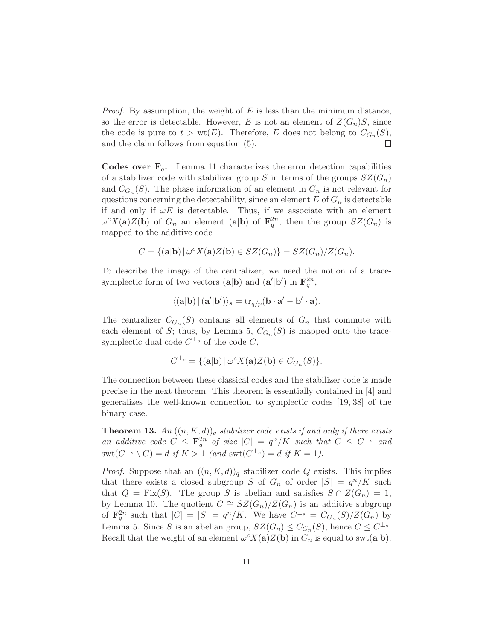*Proof.* By assumption, the weight of  $E$  is less than the minimum distance, so the error is detectable. However, E is not an element of  $Z(G_n)S$ , since the code is pure to  $t > \text{wt}(E)$ . Therefore, E does not belong to  $C_{G_n}(S)$ , and the claim follows from equation (5).  $\Box$ 

**Codes over**  $\mathbf{F}_q$ **.** Lemma 11 characterizes the error detection capabilities of a stabilizer code with stabilizer group S in terms of the groups  $SZ(G_n)$ and  $C_{G_n}(S)$ . The phase information of an element in  $G_n$  is not relevant for questions concerning the detectability, since an element  $E$  of  $G_n$  is detectable if and only if  $\omega E$  is detectable. Thus, if we associate with an element  $\omega^{c} X(\mathbf{a}) Z(\mathbf{b})$  of  $G_n$  an element  $(\mathbf{a}|\mathbf{b})$  of  $\mathbf{F}_q^{2n}$ , then the group  $SZ(G_n)$  is mapped to the additive code

$$
C = \{(\mathbf{a}|\mathbf{b}) | \omega^c X(\mathbf{a}) Z(\mathbf{b}) \in SZ(G_n)\} = SZ(G_n)/Z(G_n).
$$

To describe the image of the centralizer, we need the notion of a tracesymplectic form of two vectors  $(\mathbf{a}|\mathbf{b})$  and  $(\mathbf{a}'|\mathbf{b}')$  in  $\mathbf{F}_q^{2n}$ ,

$$
\langle (\mathbf{a}|\mathbf{b}) | (\mathbf{a}'|\mathbf{b}') \rangle_s = \mathrm{tr}_{q/p}(\mathbf{b} \cdot \mathbf{a}' - \mathbf{b}' \cdot \mathbf{a}).
$$

The centralizer  $C_{G_n}(S)$  contains all elements of  $G_n$  that commute with each element of S; thus, by Lemma 5,  $C_{G_n}(S)$  is mapped onto the tracesymplectic dual code  $C^{\perp_s}$  of the code C,

$$
C^{\perp_s} = \{(\mathbf{a}|\mathbf{b}) \,|\, \omega^c X(\mathbf{a}) Z(\mathbf{b}) \in C_{G_n}(S)\}.
$$

The connection between these classical codes and the stabilizer code is made precise in the next theorem. This theorem is essentially contained in [4] and generalizes the well-known connection to symplectic codes [19, 38] of the binary case.

**Theorem 13.**  $An\left((n, K, d)\right)$ <sup>*a*</sup> *stabilizer code exists if and only if there exists an additive code*  $C \leq \mathbf{F}_q^{2n}$  *of size*  $|C| = q^n/K$  *such that*  $C \leq C^{\perp_s}$  *and*  $\text{swt}(C^{\perp_s} \setminus C) = d$  *if*  $K > 1$  (and  $\text{swt}(C^{\perp_s}) = d$  *if*  $K = 1$ ).

*Proof.* Suppose that an  $((n, K, d))_q$  stabilizer code Q exists. This implies that there exists a closed subgroup S of  $G_n$  of order  $|S| = q^n/K$  such that  $Q = Fix(S)$ . The group S is abelian and satisfies  $S \cap Z(G_n) = 1$ , by Lemma 10. The quotient  $C \cong SZ(G_n)/Z(G_n)$  is an additive subgroup of  $\mathbf{F}_q^{2n}$  such that  $|C| = |S| = q^n/K$ . We have  $C^{\perp_s} = C_{G_n}(S)/Z(G_n)$  by Lemma 5. Since S is an abelian group,  $SZ(G_n) \leq C_{G_n}(S)$ , hence  $C \leq C^{\perp_s}$ . Recall that the weight of an element  $\omega^{c} X(\mathbf{a}) Z(\mathbf{b})$  in  $G_n$  is equal to swt( $\mathbf{a}|\mathbf{b}$ ).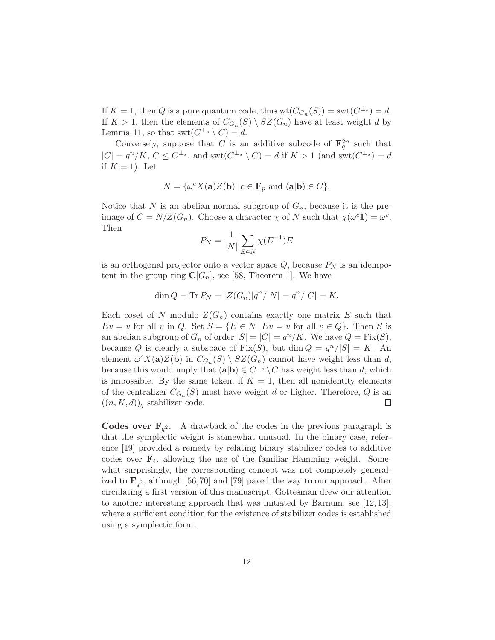If  $K = 1$ , then Q is a pure quantum code, thus  $wt(C_{G_n}(S)) = swt(C^{\perp_s}) = d$ . If  $K > 1$ , then the elements of  $C_{G_n}(S) \setminus SZ(G_n)$  have at least weight d by Lemma 11, so that  $\mathrm{swt}(C^{\perp_s} \setminus C) = d$ .

Conversely, suppose that C is an additive subcode of  $\mathbf{F}_q^{2n}$  such that  $|C| = q^n/K$ ,  $C \leq C^{\perp_s}$ , and swt $(C^{\perp_s} \setminus C) = d$  if  $K > 1$  (and swt $(C^{\perp_s}) = d$ if  $K = 1$ ). Let

$$
N = \{ \omega^{c} X(\mathbf{a}) Z(\mathbf{b}) \, | \, c \in \mathbf{F}_p \text{ and } (\mathbf{a}|\mathbf{b}) \in C \}.
$$

Notice that N is an abelian normal subgroup of  $G_n$ , because it is the preimage of  $C = N/Z(G_n)$ . Choose a character  $\chi$  of N such that  $\chi(\omega^c \mathbf{1}) = \omega^c$ . Then

$$
P_N = \frac{1}{|N|} \sum_{E \in N} \chi(E^{-1})E
$$

is an orthogonal projector onto a vector space  $Q$ , because  $P<sub>N</sub>$  is an idempotent in the group ring  $\mathbf{C}[G_n]$ , see [58, Theorem 1]. We have

$$
\dim Q = \text{Tr} \, P_N = |Z(G_n)|q^n/|N| = q^n/|C| = K.
$$

Each coset of N modulo  $Z(G_n)$  contains exactly one matrix E such that  $Ev = v$  for all v in Q. Set  $S = \{E \in N \mid Ev = v \text{ for all } v \in Q\}$ . Then S is an abelian subgroup of  $G_n$  of order  $|S| = |C| = q^n/K$ . We have  $Q = \text{Fix}(S)$ , because Q is clearly a subspace of  $Fix(S)$ , but  $\dim Q = q^n/|S| = K$ . An element  $\omega^{c} X(\mathbf{a}) Z(\mathbf{b})$  in  $C_{G_n}(S) \setminus SZ(G_n)$  cannot have weight less than d, because this would imply that  $(\mathbf{a}|\mathbf{b}) \in C^{\perp_s} \setminus C$  has weight less than d, which is impossible. By the same token, if  $K = 1$ , then all nonidentity elements of the centralizer  $C_{G_n}(S)$  must have weight d or higher. Therefore, Q is an  $((n, K, d))_q$  stabilizer code. □

**Codes over**  $\mathbf{F}_{q^2}$ **.** A drawback of the codes in the previous paragraph is that the symplectic weight is somewhat unusual. In the binary case, reference [19] provided a remedy by relating binary stabilizer codes to additive codes over  $\mathbf{F}_4$ , allowing the use of the familiar Hamming weight. Somewhat surprisingly, the corresponding concept was not completely generalized to  $\mathbf{F}_{q^2}$ , although [56,70] and [79] paved the way to our approach. After circulating a first version of this manuscript, Gottesman drew our attention to another interesting approach that was initiated by Barnum, see [12, 13], where a sufficient condition for the existence of stabilizer codes is established using a symplectic form.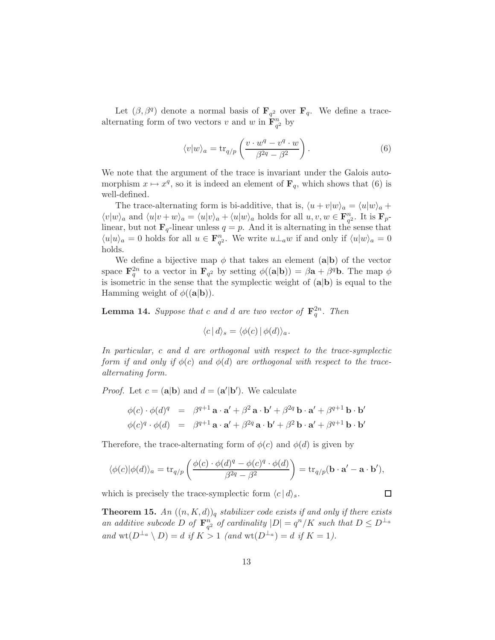Let  $(\beta, \beta^q)$  denote a normal basis of  $\mathbf{F}_{q^2}$  over  $\mathbf{F}_{q}$ . We define a tracealternating form of two vectors v and w in  $\mathbf{F}_{q^2}^n$  by

$$
\langle v|w\rangle_a = \text{tr}_{q/p}\left(\frac{v \cdot w^q - v^q \cdot w}{\beta^{2q} - \beta^2}\right). \tag{6}
$$

We note that the argument of the trace is invariant under the Galois automorphism  $x \mapsto x^q$ , so it is indeed an element of  $\mathbf{F}_q$ , which shows that (6) is well-defined.

The trace-alternating form is bi-additive, that is,  $\langle u + v | w \rangle_a = \langle u | w \rangle_a +$  $\langle v|w\rangle_a$  and  $\langle u|v + w\rangle_a = \langle u|v\rangle_a + \langle u|w\rangle_a$  holds for all  $u, v, w \in \mathbf{F}_{q^2}^n$ . It is  $\mathbf{F}_{p^2}$ linear, but not  $\mathbf{F}_q$ -linear unless  $q = p$ . And it is alternating in the sense that  $\langle u|u\rangle_a = 0$  holds for all  $u \in \mathbf{F}_{q^2}^n$ . We write  $u \perp_a w$  if and only if  $\langle u|w\rangle_a = 0$ holds.

We define a bijective map  $\phi$  that takes an element (a|b) of the vector space  $\mathbf{F}_q^{2n}$  to a vector in  $\mathbf{F}_{q^2}$  by setting  $\phi((\mathbf{a}|\mathbf{b})) = \beta \mathbf{a} + \beta^q \mathbf{b}$ . The map  $\phi$ is isometric in the sense that the symplectic weight of  $(a|b)$  is equal to the Hamming weight of  $\phi((\mathbf{a}|\mathbf{b}))$ .

**Lemma 14.** Suppose that c and d are two vector of  $\mathbf{F}_q^{2n}$ . Then

$$
\langle c | d \rangle_s = \langle \phi(c) | \phi(d) \rangle_a.
$$

*In particular,* c *and* d *are orthogonal with respect to the trace-symplectic form if and only if*  $\phi(c)$  *and*  $\phi(d)$  *are orthogonal with respect to the tracealternating form.*

*Proof.* Let  $c = (a|b)$  and  $d = (a'|b')$ . We calculate

$$
\begin{array}{rcl}\n\phi(c) \cdot \phi(d)^q & = & \beta^{q+1} \mathbf{a} \cdot \mathbf{a}' + \beta^2 \mathbf{a} \cdot \mathbf{b}' + \beta^{2q} \mathbf{b} \cdot \mathbf{a}' + \beta^{q+1} \mathbf{b} \cdot \mathbf{b}' \\
\phi(c)^q \cdot \phi(d) & = & \beta^{q+1} \mathbf{a} \cdot \mathbf{a}' + \beta^{2q} \mathbf{a} \cdot \mathbf{b}' + \beta^2 \mathbf{b} \cdot \mathbf{a}' + \beta^{q+1} \mathbf{b} \cdot \mathbf{b}'\n\end{array}
$$

Therefore, the trace-alternating form of  $\phi(c)$  and  $\phi(d)$  is given by

$$
\langle \phi(c)|\phi(d)\rangle_a = \text{tr}_{q/p}\left(\frac{\phi(c)\cdot \phi(d)^q - \phi(c)^q \cdot \phi(d)}{\beta^{2q} - \beta^2}\right) = \text{tr}_{q/p}(\mathbf{b}\cdot \mathbf{a}' - \mathbf{a}\cdot \mathbf{b}'),
$$

 $\Box$ 

which is precisely the trace-symplectic form  $\langle c | d \rangle_s$ .

**Theorem 15.** An  $((n, K, d))_q$  stabilizer code exists if and only if there exists *an additive subcode* D of  $\mathbf{F}_{q^2}^n$  of cardinality  $|D| = q^n/K$  such that  $D \leq D^{\perp_a}$ *and*  $\operatorname{wt}(D^{\perp_a} \setminus D) = d$  *if*  $K > 1$  *(and*  $\operatorname{wt}(D^{\perp_a}) = d$  *if*  $K = 1$ *).*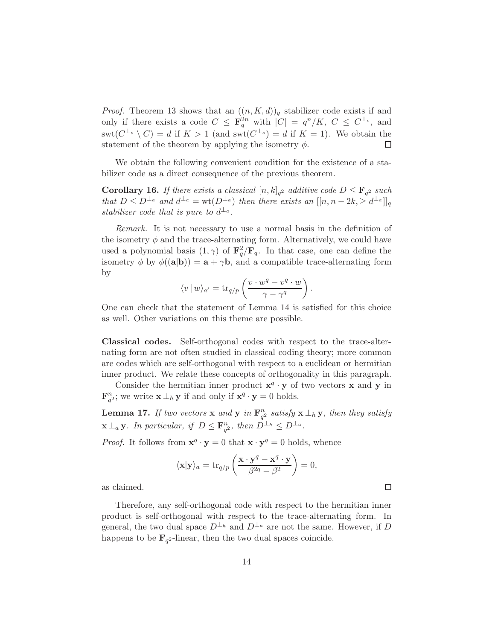*Proof.* Theorem 13 shows that an  $((n, K, d))_q$  stabilizer code exists if and only if there exists a code  $C \leq \mathbf{F}_q^{2n}$  with  $|C| = q^n/K$ ,  $C \leq C^{\perp_s}$ , and  $\text{swt}(C^{\perp_s} \setminus C) = d$  if  $K > 1$  (and  $\text{swt}(C^{\perp_s}) = d$  if  $K = 1$ ). We obtain the statement of the theorem by applying the isometry  $\phi$ .

We obtain the following convenient condition for the existence of a stabilizer code as a direct consequence of the previous theorem.

**Corollary 16.** If there exists a classical  $[n, k]_q$ <sup>2</sup> additive code  $D \leq \mathbf{F}_{q^2}$  such *that*  $D \leq D^{\perp_a}$  and  $d^{\perp_a} = \text{wt}(D^{\perp_a})$  *then there exists an*  $[[n, n-2k, \geq d^{\perp_a}]]_q$ *stabilizer code that is pure to*  $d^{\perp_a}$ .

*Remark.* It is not necessary to use a normal basis in the definition of the isometry  $\phi$  and the trace-alternating form. Alternatively, we could have used a polynomial basis  $(1, \gamma)$  of  $\mathbf{F}_q^2 / \mathbf{F}_q$ . In that case, one can define the isometry  $\phi$  by  $\phi((a|b)) = a + \gamma b$ , and a compatible trace-alternating form by

$$
\langle v | w \rangle_{a'} = \text{tr}_{q/p} \left( \frac{v \cdot w^q - v^q \cdot w}{\gamma - \gamma^q} \right).
$$

One can check that the statement of Lemma 14 is satisfied for this choice as well. Other variations on this theme are possible.

Classical codes. Self-orthogonal codes with respect to the trace-alternating form are not often studied in classical coding theory; more common are codes which are self-orthogonal with respect to a euclidean or hermitian inner product. We relate these concepts of orthogonality in this paragraph.

Consider the hermitian inner product  $\mathbf{x}^q \cdot \mathbf{y}$  of two vectors **x** and **y** in  $\mathbf{F}_{q^2}^n$ ; we write  $\mathbf{x} \perp_h \mathbf{y}$  if and only if  $\mathbf{x}^q \cdot \mathbf{y} = 0$  holds.

**Lemma 17.** *If two vectors* **x** and **y** in  $\mathbf{F}_{q^2}^n$  satisfy **x**  $\perp_h \mathbf{y}$ *, then they satisfy*  $\mathbf{x} \perp_a \mathbf{y}$ . In particular, if  $D \leq \mathbf{F}_{q^2}^n$ , then  $D^{\perp_h} \leq D^{\perp_a}$ .

*Proof.* It follows from  $\mathbf{x}^q \cdot \mathbf{y} = 0$  that  $\mathbf{x} \cdot \mathbf{y}^q = 0$  holds, whence

$$
\langle \mathbf{x} | \mathbf{y} \rangle_a = \text{tr}_{q/p} \left( \frac{\mathbf{x} \cdot \mathbf{y}^q - \mathbf{x}^q \cdot \mathbf{y}}{\beta^{2q} - \beta^2} \right) = 0,
$$

as claimed.

Therefore, any self-orthogonal code with respect to the hermitian inner product is self-orthogonal with respect to the trace-alternating form. In general, the two dual space  $D^{\perp_h}$  and  $D^{\perp_a}$  are not the same. However, if D happens to be  $\mathbf{F}_{q^2}$ -linear, then the two dual spaces coincide.

 $\Box$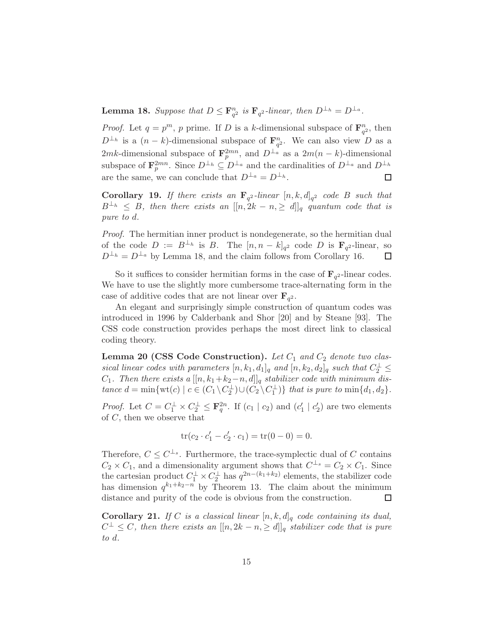**Lemma 18.** Suppose that  $D \leq \mathbf{F}_{q^2}^n$  is  $\mathbf{F}_{q^2}$ -linear, then  $D^{\perp_h} = D^{\perp_a}$ .

*Proof.* Let  $q = p^m$ , p prime. If D is a k-dimensional subspace of  $\mathbf{F}_{q^2}^n$ , then  $D^{\perp_h}$  is a  $(n-k)$ -dimensional subspace of  $\mathbf{F}_{q^2}^n$ . We can also view D as a 2mk-dimensional subspace of  $\mathbf{F}_p^{2mn}$ , and  $D^{\perp_a}$  as a  $2m(n-k)$ -dimensional subspace of  $\mathbf{F}_p^{2mn}$ . Since  $D^{\perp_h} \subseteq D^{\perp_a}$  and the cardinalities of  $D^{\perp_a}$  and  $D^{\perp_h}$ are the same, we can conclude that  $D^{\perp_a} = D^{\perp_b}$ .  $\Box$ 

**Corollary 19.** If there exists an  $\mathbf{F}_{q^2}$ -linear  $[n, k, d]_{q^2}$  code B such that  $B^{\perp_h} \leq B$ , then there exists an  $[[n, 2k - n, \geq d]]_q$  quantum code that is *pure to* d*.*

*Proof.* The hermitian inner product is nondegenerate, so the hermitian dual of the code  $D := B^{\perp_h}$  is B. The  $[n, n-k]_{q^2}$  code D is  $\mathbf{F}_{q^2}$ -linear, so  $D^{\perp_h} = D^{\perp_a}$  by Lemma 18, and the claim follows from Corollary 16. □

So it suffices to consider hermitian forms in the case of  $\mathbf{F}_{q^2}$ -linear codes. We have to use the slightly more cumbersome trace-alternating form in the case of additive codes that are not linear over  $\mathbf{F}_{q^2}$ .

An elegant and surprisingly simple construction of quantum codes was introduced in 1996 by Calderbank and Shor [20] and by Steane [93]. The CSS code construction provides perhaps the most direct link to classical coding theory.

Lemma 20 (CSS Code Construction). Let  $C_1$  and  $C_2$  denote two clas*sical linear codes with parameters*  $[n, k_1, d_1]_q$  *and*  $[n, k_2, d_2]_q$  *such that*  $C_2^{\perp} \leq$  $C_1$ *. Then there exists a*  $[[n, k_1+k_2-n, d]]_q$  *stabilizer code with minimum distance*  $d = \min\{\text{wt}(c) \mid c \in (C_1 \setminus C_2^{\perp}) \cup (C_2 \setminus C_1^{\perp})\}$  *that is pure to*  $\min\{d_1, d_2\}$ *.* 

*Proof.* Let  $C = C_1^{\perp} \times C_2^{\perp} \leq \mathbf{F}_q^{2n}$ . If  $(c_1 | c_2)$  and  $(c'_1 | c'_2)$  are two elements of C, then we observe that

$$
\operatorname{tr}(c_2 \cdot c_1' - c_2' \cdot c_1) = \operatorname{tr}(0 - 0) = 0.
$$

Therefore,  $C \leq C^{\perp_s}$ . Furthermore, the trace-symplectic dual of C contains  $C_2 \times C_1$ , and a dimensionality argument shows that  $C^{\perp_s} = C_2 \times C_1$ . Since the cartesian product  $C_1^{\perp} \times C_2^{\perp}$  has  $q^{2n-(k_1+k_2)}$  elements, the stabilizer code has dimension  $q^{k_1+k_2-n}$  by Theorem 13. The claim about the minimum distance and purity of the code is obvious from the construction. □

**Corollary 21.** *If* C *is a classical linear*  $[n, k, d]_q$  *code containing its dual,*  $C^{\perp} \leq C$ , then there exists an  $[[n, 2k - n, \geq d]]_q$  stabilizer code that is pure *to* d*.*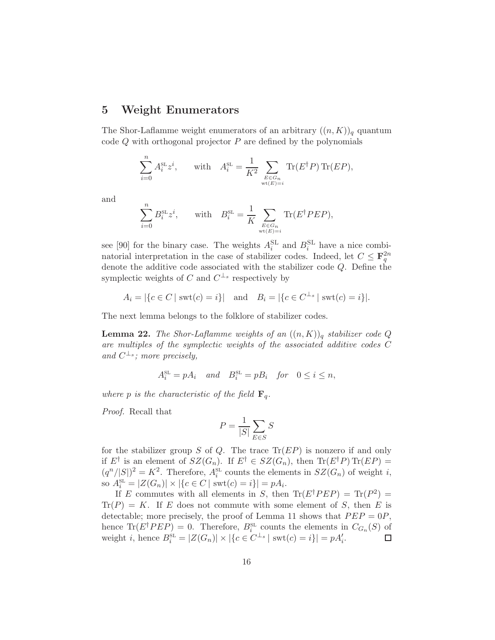# 5 Weight Enumerators

The Shor-Laflamme weight enumerators of an arbitrary  $((n, K))_q$  quantum code  $Q$  with orthogonal projector  $P$  are defined by the polynomials

$$
\sum_{i=0}^{n} A_i^{\text{SL}} z^i, \quad \text{with} \quad A_i^{\text{SL}} = \frac{1}{K^2} \sum_{E \in G_n \atop \text{wt}(E)=i} \text{Tr}(E^{\dagger} P) \text{Tr}(E P),
$$

and

$$
\sum_{i=0}^{n} B_i^{\text{SL}} z^i, \quad \text{with} \quad B_i^{\text{SL}} = \frac{1}{K} \sum_{E \in G_n \atop \text{wt}(E)=i} \text{Tr}(E^{\dagger} P E P),
$$

see [90] for the binary case. The weights  $A_i^{\text{SL}}$  and  $B_i^{\text{SL}}$  have a nice combinatorial interpretation in the case of stabilizer codes. Indeed, let  $C \leq \mathbf{F}_q^{2n}$ denote the additive code associated with the stabilizer code Q. Define the symplectic weights of C and  $C^{\perp_s}$  respectively by

$$
A_i = |\{c \in C \mid \text{swt}(c) = i\}|
$$
 and  $B_i = |\{c \in C^{\perp_s} \mid \text{swt}(c) = i\}|.$ 

The next lemma belongs to the folklore of stabilizer codes.

**Lemma 22.** *The Shor-Laflamme weights of an*  $((n, K))_q$  *stabilizer code*  $Q$ *are multiples of the symplectic weights of the associated additive codes* C and  $C^{\perp_s}$ ; more precisely,

$$
A_i^{\text{\tiny SL}}=pA_i \quad and \quad B_i^{\text{\tiny SL}}=pB_i \quad for \quad 0\leq i\leq n,
$$

*where* p *is the characteristic of the field*  $\mathbf{F}_q$ .

*Proof.* Recall that

$$
P = \frac{1}{|S|} \sum_{E \in S} S
$$

for the stabilizer group S of Q. The trace  $\text{Tr}(EP)$  is nonzero if and only if  $E^{\dagger}$  is an element of  $SZ(G_n)$ . If  $E^{\dagger} \in SZ(G_n)$ , then  $\text{Tr}(E^{\dagger}P) \text{Tr}(EP)$  =  $(q^n/|S|)^2 = K^2$ . Therefore,  $A_i^{\text{SL}}$  counts the elements in  $SZ(G_n)$  of weight i, so  $A_i^{\text{SL}} = |Z(G_n)| \times |\{c \in C \mid \text{swt}(c) = i\}| = pA_i.$ 

If E commutes with all elements in S, then  $\text{Tr}(E^{\dagger}PEP) = \text{Tr}(P^2) =$  $\text{Tr}(P) = K$ . If E does not commute with some element of S, then E is detectable; more precisely, the proof of Lemma 11 shows that  $PEP = 0P$ , hence  $\text{Tr}(E^{\dagger}PEP) = 0$ . Therefore,  $B_i^{\text{SL}}$  counts the elements in  $C_{G_n}(S)$  of weight *i*, hence  $B_i^{\text{SL}} = |Z(G_n)| \times |\{c \in C^{\perp_s} | \text{ swt}(c) = i\}| = pA_i'.$  $\Box$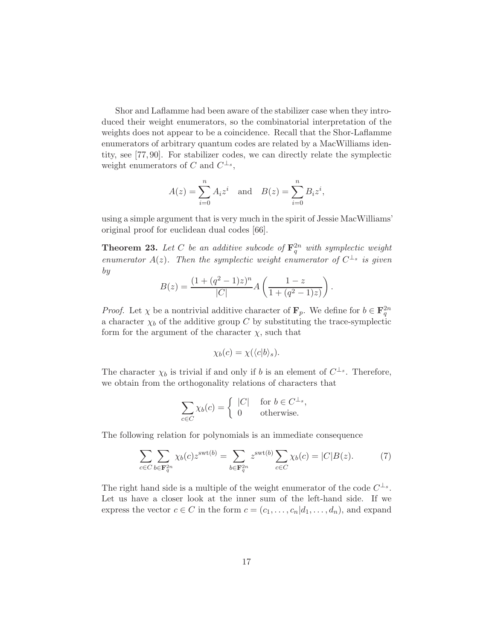Shor and Laflamme had been aware of the stabilizer case when they introduced their weight enumerators, so the combinatorial interpretation of the weights does not appear to be a coincidence. Recall that the Shor-Laflamme enumerators of arbitrary quantum codes are related by a MacWilliams identity, see [77, 90]. For stabilizer codes, we can directly relate the symplectic weight enumerators of C and  $C^{\perp_s}$ ,

$$
A(z) = \sum_{i=0}^{n} A_i z^i
$$
 and  $B(z) = \sum_{i=0}^{n} B_i z^i$ ,

using a simple argument that is very much in the spirit of Jessie MacWilliams' original proof for euclidean dual codes [66].

**Theorem 23.** Let C be an additive subcode of  $\mathbf{F}_q^{2n}$  with symplectic weight *enumerator*  $A(z)$ . Then the symplectic weight enumerator of  $C^{\perp_s}$  is given *by*

$$
B(z) = \frac{(1 + (q^2 - 1)z)^n}{|C|} A\left(\frac{1 - z}{1 + (q^2 - 1)z}\right).
$$

*Proof.* Let  $\chi$  be a nontrivial additive character of  $\mathbf{F}_p$ . We define for  $b \in \mathbf{F}_q^{2n}$ a character  $\chi_b$  of the additive group C by substituting the trace-symplectic form for the argument of the character  $\chi$ , such that

$$
\chi_b(c) = \chi(\langle c|b \rangle_s).
$$

The character  $\chi_b$  is trivial if and only if b is an element of  $C^{\perp_s}$ . Therefore, we obtain from the orthogonality relations of characters that

$$
\sum_{c \in C} \chi_b(c) = \begin{cases} |C| & \text{for } b \in C^{\perp_s}, \\ 0 & \text{otherwise.} \end{cases}
$$

The following relation for polynomials is an immediate consequence

$$
\sum_{c \in C} \sum_{b \in \mathbf{F}_q^{2n}} \chi_b(c) z^{\text{swt}(b)} = \sum_{b \in \mathbf{F}_q^{2n}} z^{\text{swt}(b)} \sum_{c \in C} \chi_b(c) = |C| B(z). \tag{7}
$$

The right hand side is a multiple of the weight enumerator of the code  $C^{\perp_s}$ . Let us have a closer look at the inner sum of the left-hand side. If we express the vector  $c \in C$  in the form  $c = (c_1, \ldots, c_n | d_1, \ldots, d_n)$ , and expand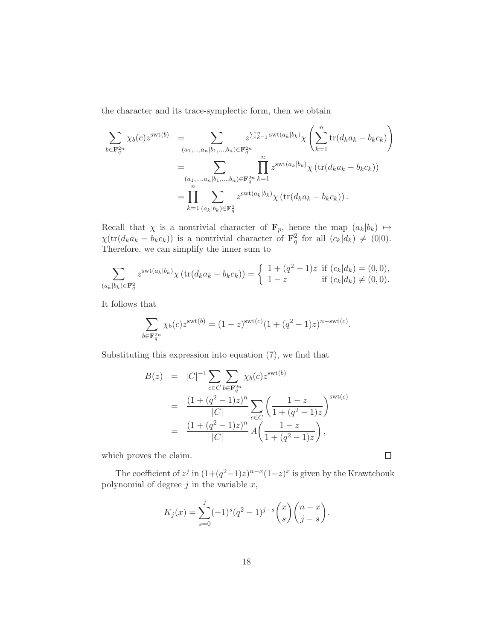the character and its trace-symplectic form, then we obtain

$$
\sum_{b \in \mathbf{F}_q^{2n}} \chi_b(c) z^{\text{swt}(b)} = \sum_{(a_1, ..., a_n | b_1, ..., b_n) \in \mathbf{F}_q^{2n}} z^{\sum_{k=1}^n \text{swt}(a_k | b_k)} \chi \left( \sum_{k=1}^n \text{tr}(d_k a_k - b_k c_k) \right)
$$

$$
= \sum_{(a_1, ..., a_n | b_1, ..., b_n) \in \mathbf{F}_q^{2n}} \prod_{k=1}^n z^{\text{swt}(a_k | b_k)} \chi \left( \text{tr}(d_k a_k - b_k c_k) \right)
$$

$$
= \prod_{k=1}^n \sum_{(a_k | b_k) \in \mathbf{F}_q^2} z^{\text{swt}(a_k | b_k)} \chi \left( \text{tr}(d_k a_k - b_k c_k) \right).
$$

Recall that  $\chi$  is a nontrivial character of  $\mathbf{F}_p$ , hence the map  $(a_k|b_k) \mapsto$  $\chi(\text{tr}(d_k a_k - b_k c_k))$  is a nontrivial character of  $\mathbf{F}_q^2$  for all  $(c_k|d_k) \neq (0|0)$ . Therefore, we can simplify the inner sum to

$$
\sum_{(a_k|b_k)\in\mathbf{F}_q^2} z^{\text{swt}(a_k|b_k)} \chi(\text{tr}(d_k a_k - b_k c_k)) = \begin{cases} 1 + (q^2 - 1)z & \text{if } (c_k|d_k) = (0,0), \\ 1 - z & \text{if } (c_k|d_k) \neq (0,0). \end{cases}
$$

It follows that

$$
\sum_{b \in \mathbf{F}_q^{2n}} \chi_b(c) z^{\text{swt}(b)} = (1-z)^{\text{swt}(c)} (1 + (q^2 - 1)z)^{n-\text{swt}(c)}.
$$

Substituting this expression into equation (7), we find that

$$
B(z) = |C|^{-1} \sum_{c \in C} \sum_{b \in \mathbf{F}_q^{2n}} \chi_b(c) z^{\text{swt}(b)}
$$
  
= 
$$
\frac{(1 + (q^2 - 1)z)^n}{|C|} \sum_{c \in C} \left( \frac{1 - z}{1 + (q^2 - 1)z} \right)^{\text{swt}(c)}
$$
  
= 
$$
\frac{(1 + (q^2 - 1)z)^n}{|C|} A \left( \frac{1 - z}{1 + (q^2 - 1)z} \right),
$$

which proves the claim.

The coefficient of  $z^j$  in  $(1+(q^2-1)z)^{n-x}(1-z)^x$  is given by the Krawtchouk polynomial of degree  $j$  in the variable  $x$ ,

$$
K_j(x) = \sum_{s=0}^j (-1)^s (q^2 - 1)^{j-s} {x \choose s} {n-x \choose j-s}.
$$

 $\Box$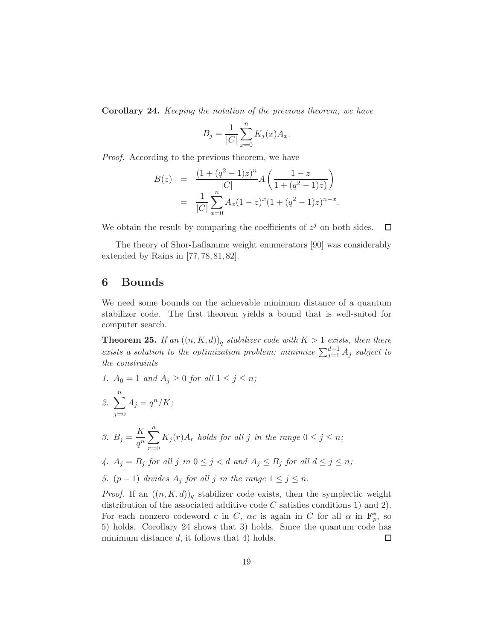Corollary 24. *Keeping the notation of the previous theorem, we have*

$$
B_j = \frac{1}{|C|} \sum_{x=0}^{n} K_j(x) A_x.
$$

*Proof.* According to the previous theorem, we have

$$
B(z) = \frac{(1 + (q^2 - 1)z)^n}{|C|} A\left(\frac{1 - z}{1 + (q^2 - 1)z}\right)
$$
  
= 
$$
\frac{1}{|C|} \sum_{x=0}^n A_x (1 - z)^x (1 + (q^2 - 1)z)^{n - x}.
$$

We obtain the result by comparing the coefficients of  $z<sup>j</sup>$  on both sides.  $\Box$ 

The theory of Shor-Laflamme weight enumerators [90] was considerably extended by Rains in [77, 78, 81, 82].

## 6 Bounds

We need some bounds on the achievable minimum distance of a quantum stabilizer code. The first theorem yields a bound that is well-suited for computer search.

**Theorem 25.** *If an*  $((n, K, d))_q$  *stabilizer code with*  $K > 1$  *exists, then there exists a solution to the optimization problem: minimize*  $\sum_{j=1}^{d-1} A_j$  *subject to the constraints*

*1.*  $A_0 = 1$  *and*  $A_j \ge 0$  *for all*  $1 \le j \le n$ *;* 

2. 
$$
\sum_{j=0}^{n} A_j = q^n / K;
$$
  
3. 
$$
B_j = \frac{K}{q^n} \sum_{r=0}^{n} K_j(r) A_r \text{ holds for all } j \text{ in the range } 0 \le j \le n;
$$

- 4.  $A_j = B_j$  *for all j in*  $0 \leq j < d$  *and*  $A_j \leq B_j$  *for all*  $d \leq j \leq n$ ;
- *5.*  $(p-1)$  *divides*  $A_j$  *for all j in the range*  $1 ≤ j ≤ n$ *.*

*Proof.* If an  $((n, K, d))_q$  stabilizer code exists, then the symplectic weight distribution of the associated additive code  $C$  satisfies conditions 1) and 2). For each nonzero codeword c in C,  $\alpha c$  is again in C for all  $\alpha$  in  $\mathbf{F}_p^*$ , so 5) holds. Corollary 24 shows that 3) holds. Since the quantum code has minimum distance  $d$ , it follows that 4) holds. □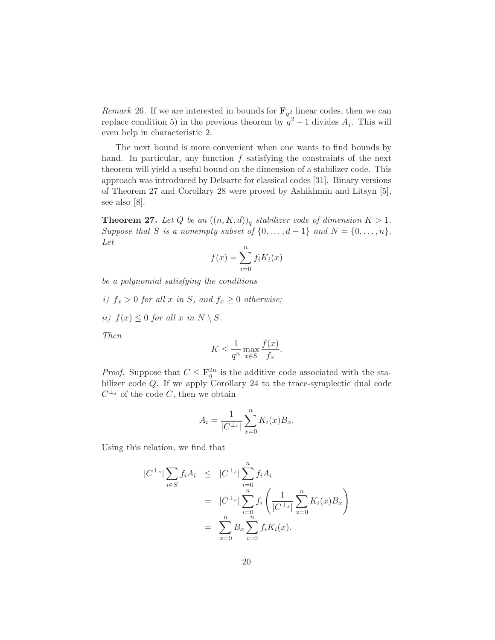*Remark* 26. If we are interested in bounds for  $\mathbf{F}_{q^2}$  linear codes, then we can replace condition 5) in the previous theorem by  $q^2 - 1$  divides  $A_j$ . This will even help in characteristic 2.

The next bound is more convenient when one wants to find bounds by hand. In particular, any function  $f$  satisfying the constraints of the next theorem will yield a useful bound on the dimension of a stabilizer code. This approach was introduced by Delsarte for classical codes [31]. Binary versions of Theorem 27 and Corollary 28 were proved by Ashikhmin and Litsyn [5], see also [8].

**Theorem 27.** Let Q be an  $((n, K, d))_q$  stabilizer code of dimension  $K > 1$ . *Suppose that S is a nonempty subset of*  $\{0, \ldots, d-1\}$  *and*  $N = \{0, \ldots, n\}$ *. Let*

$$
f(x) = \sum_{i=0}^{n} f_i K_i(x)
$$

*be a polynomial satisfying the conditions*

- *i)*  $f_x > 0$  *for all* x *in* S, and  $f_x \geq 0$  *otherwise*;
- *ii*)  $f(x) < 0$  *for all* x *in*  $N \setminus S$ .

*Then*

$$
K \le \frac{1}{q^n} \max_{x \in S} \frac{f(x)}{f_x}.
$$

*Proof.* Suppose that  $C \n\t\leq \mathbf{F}_q^{2n}$  is the additive code associated with the stabilizer code Q. If we apply Corollary 24 to the trace-symplectic dual code  $C^{\perp_s}$  of the code C, then we obtain

$$
A_i = \frac{1}{|C^{\perp_s}|} \sum_{x=0}^{n} K_i(x) B_x.
$$

Using this relation, we find that

$$
|C^{\perp_s}| \sum_{i \in S} f_i A_i \leq |C^{\perp_s}| \sum_{i=0}^n f_i A_i
$$
  
=  $|C^{\perp_s}| \sum_{i=0}^n f_i \left( \frac{1}{|C^{\perp_s}|} \sum_{x=0}^n K_i(x) B_x \right)$   
=  $\sum_{x=0}^n B_x \sum_{i=0}^n f_i K_i(x).$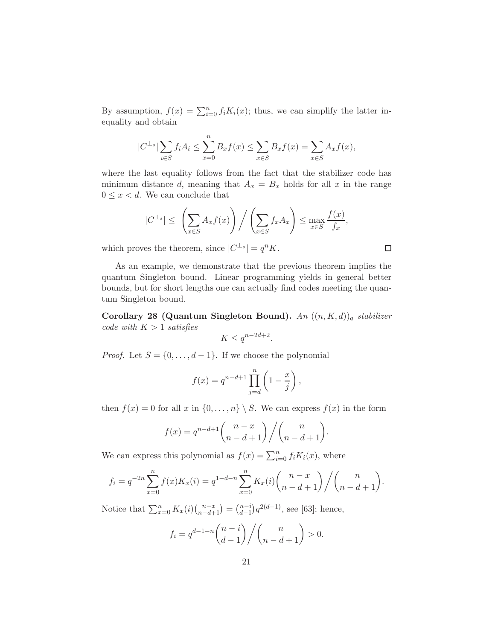By assumption,  $f(x) = \sum_{i=0}^{n} f_i K_i(x)$ ; thus, we can simplify the latter inequality and obtain

$$
|C^{\perp_s}| \sum_{i \in S} f_i A_i \le \sum_{x=0}^n B_x f(x) \le \sum_{x \in S} B_x f(x) = \sum_{x \in S} A_x f(x),
$$

where the last equality follows from the fact that the stabilizer code has minimum distance d, meaning that  $A_x = B_x$  holds for all x in the range  $0 \leq x < d$ . We can conclude that

$$
|C^{\perp_s}| \leq \left(\sum_{x \in S} A_x f(x)\right) \Big/ \left(\sum_{x \in S} f_x A_x\right) \leq \max_{x \in S} \frac{f(x)}{f_x},
$$

which proves the theorem, since  $|C^{\perp_s}| = q^n K$ .

As an example, we demonstrate that the previous theorem implies the quantum Singleton bound. Linear programming yields in general better bounds, but for short lengths one can actually find codes meeting the quantum Singleton bound.

Corollary 28 (Quantum Singleton Bound). *An* ((n, K, d))<sup>q</sup> *stabilizer code with* K > 1 *satisfies*

$$
K \le q^{n-2d+2}.
$$

*Proof.* Let  $S = \{0, \ldots, d-1\}$ . If we choose the polynomial

$$
f(x) = q^{n-d+1} \prod_{j=d}^{n} \left(1 - \frac{x}{j}\right),
$$

then  $f(x) = 0$  for all x in  $\{0, \ldots, n\} \setminus S$ . We can express  $f(x)$  in the form

$$
f(x) = q^{n-d+1} \binom{n-x}{n-d+1} / \binom{n}{n-d+1}.
$$

We can express this polynomial as  $f(x) = \sum_{i=0}^{n} f_i K_i(x)$ , where

$$
f_i = q^{-2n} \sum_{x=0}^n f(x) K_x(i) = q^{1-d-n} \sum_{x=0}^n K_x(i) {n-x \choose n-d+1} / {n \choose n-d+1}.
$$

Notice that  $\sum_{x=0}^{n} K_x(i) \binom{n-x}{n-d+1} = \binom{n-i}{d-1}$  $_{d-1}^{n-i}$ ) $q^{2(d-1)}$ , see [63]; hence,

$$
f_i = q^{d-1-n} {n-i \choose d-1} / {n \choose n-d+1} > 0.
$$

 $\Box$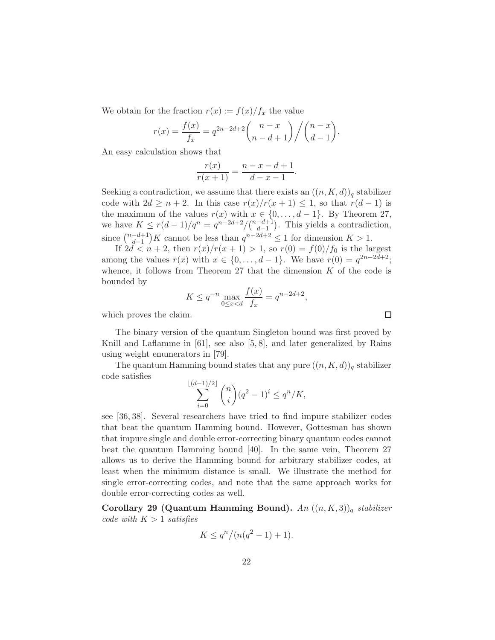We obtain for the fraction  $r(x) := f(x)/f_x$  the value

$$
r(x) = \frac{f(x)}{f_x} = q^{2n-2d+2} {n-x \choose n-d+1} / {n-x \choose d-1}.
$$

An easy calculation shows that

$$
\frac{r(x)}{r(x+1)} = \frac{n-x-d+1}{d-x-1}.
$$

Seeking a contradiction, we assume that there exists an  $((n, K, d))_q$  stabilizer code with  $2d \geq n+2$ . In this case  $r(x)/r(x+1) \leq 1$ , so that  $r(d-1)$  is the maximum of the values  $r(x)$  with  $x \in \{0, \ldots, d-1\}$ . By Theorem 27, we have  $K \leq r(d-1)/q^n = q^{n-2d+2}/\binom{n-d+1}{d-1}$  $\binom{-d+1}{d-1}$ . This yields a contradiction, since  $\binom{n-d+1}{d-1}$  $\binom{-d+1}{d-1}K$  cannot be less than  $q^{n-2d+2} \leq 1$  for dimension  $K > 1$ .

If  $2d < n + 2$ , then  $r(x)/r(x + 1) > 1$ , so  $r(0) = f(0)/f_0$  is the largest among the values  $r(x)$  with  $x \in \{0, ..., d - 1\}$ . We have  $r(0) = q^{2n-2d+2}$ ; whence, it follows from Theorem 27 that the dimension  $K$  of the code is bounded by  $\frac{1}{2}$ 

$$
K \le q^{-n} \max_{0 \le x < d} \frac{f(x)}{f_x} = q^{n-2d+2},
$$

which proves the claim.

The binary version of the quantum Singleton bound was first proved by Knill and Laflamme in [61], see also [5, 8], and later generalized by Rains using weight enumerators in [79].

The quantum Hamming bound states that any pure  $((n, K, d))_q$  stabilizer code satisfies

$$
\sum_{i=0}^{\lfloor (d-1)/2 \rfloor} \binom{n}{i} (q^2 - 1)^i \le q^n / K,
$$

see [36, 38]. Several researchers have tried to find impure stabilizer codes that beat the quantum Hamming bound. However, Gottesman has shown that impure single and double error-correcting binary quantum codes cannot beat the quantum Hamming bound [40]. In the same vein, Theorem 27 allows us to derive the Hamming bound for arbitrary stabilizer codes, at least when the minimum distance is small. We illustrate the method for single error-correcting codes, and note that the same approach works for double error-correcting codes as well.

Corollary 29 (Quantum Hamming Bound). *An* ((n, K, 3))<sup>q</sup> *stabilizer code with*  $K > 1$  *satisfies* 

$$
K \le q^n / (n(q^2 - 1) + 1).
$$

 $\Box$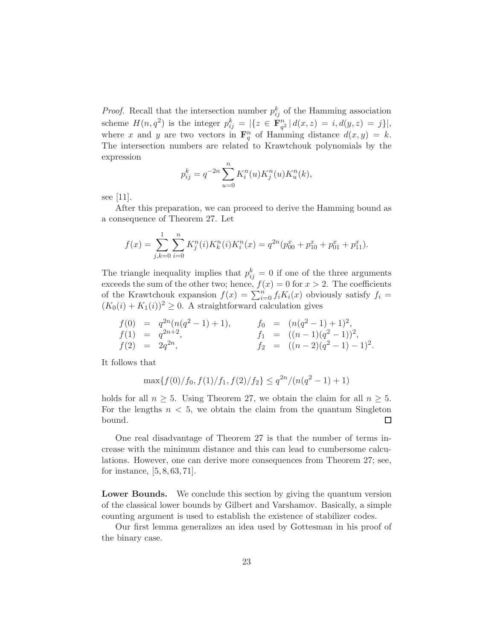*Proof.* Recall that the intersection number  $p_{ij}^k$  of the Hamming association scheme  $H(n, q^2)$  is the integer  $p_{ij}^k = |\{z \in \mathbf{F}_{q^2}^n | d(x, z) = i, d(y, z) = j\}|,$ where x and y are two vectors in  $\mathbf{F}_q^n$  of Hamming distance  $d(x, y) = k$ . The intersection numbers are related to Krawtchouk polynomials by the expression

$$
p_{ij}^k = q^{-2n} \sum_{u=0}^n K_i^n(u) K_j^n(u) K_u^n(k),
$$

see [11].

After this preparation, we can proceed to derive the Hamming bound as a consequence of Theorem 27. Let

$$
f(x) = \sum_{j,k=0}^{1} \sum_{i=0}^{n} K_j^n(i) K_k^n(i) K_i^n(x) = q^{2n} (p_{00}^x + p_{10}^x + p_{01}^x + p_{11}^x).
$$

The triangle inequality implies that  $p_{ij}^k = 0$  if one of the three arguments exceeds the sum of the other two; hence,  $f(x) = 0$  for  $x > 2$ . The coefficients of the Krawtchouk expansion  $f(x) = \sum_{i=0}^{n} f_i K_i(x)$  obviously satisfy  $f_i =$  $(K_0(i) + K_1(i))^2 \geq 0$ . A straightforward calculation gives

$$
f(0) = q^{2n}(n(q^2 - 1) + 1), \t f_0 = (n(q^2 - 1) + 1)^2,
$$
  
\n
$$
f(1) = q^{2n+2}, \t f_1 = ((n-1)(q^2 - 1))^2,
$$
  
\n
$$
f(2) = 2q^{2n}, \t f_2 = ((n-2)(q^2 - 1) - 1)^2.
$$

It follows that

$$
\max\{f(0)/f_0, f(1)/f_1, f(2)/f_2\} \le q^{2n}/(n(q^2-1)+1)
$$

holds for all  $n \geq 5$ . Using Theorem 27, we obtain the claim for all  $n \geq 5$ . For the lengths  $n < 5$ , we obtain the claim from the quantum Singleton bound. □

One real disadvantage of Theorem 27 is that the number of terms increase with the minimum distance and this can lead to cumbersome calculations. However, one can derive more consequences from Theorem 27; see, for instance, [5, 8, 63, 71].

Lower Bounds. We conclude this section by giving the quantum version of the classical lower bounds by Gilbert and Varshamov. Basically, a simple counting argument is used to establish the existence of stabilizer codes.

Our first lemma generalizes an idea used by Gottesman in his proof of the binary case.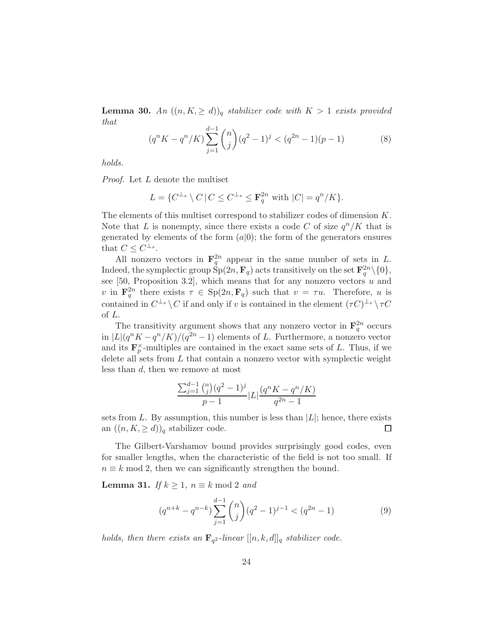**Lemma 30.** An  $((n, K, \ge d))_q$  *stabilizer code with*  $K > 1$  *exists provided that*

$$
(q^{n} K - q^{n}/K) \sum_{j=1}^{d-1} {n \choose j} (q^{2} - 1)^{j} < (q^{2n} - 1)(p - 1) \tag{8}
$$

*holds.*

*Proof.* Let L denote the multiset

$$
L = \{ C^{\perp_s} \setminus C \, | \, C \leq C^{\perp_s} \leq \mathbf{F}_q^{2n} \text{ with } |C| = q^n / K \}.
$$

The elements of this multiset correspond to stabilizer codes of dimension K. Note that L is nonempty, since there exists a code C of size  $q^n/K$  that is generated by elements of the form  $(a|0)$ ; the form of the generators ensures that  $C \leq C^{\perp_s}$ .

All nonzero vectors in  $\mathbf{F}_q^{2n}$  appear in the same number of sets in L. Indeed, the symplectic group  $\text{Sp}(2n, \mathbf{F}_q)$  acts transitively on the set  $\mathbf{F}_q^{2n} \setminus \{0\}$ , see [50, Proposition 3.2], which means that for any nonzero vectors  $u$  and v in  $\mathbf{F}_q^{2n}$  there exists  $\tau \in \mathrm{Sp}(2n, \mathbf{F}_q)$  such that  $v = \tau u$ . Therefore, u is contained in  $C^{\perp_s} \setminus C$  if and only if v is contained in the element  $(\tau C)^{\perp_s} \setminus \tau C$ of L.

The transitivity argument shows that any nonzero vector in  $\mathbf{F}_q^{2n}$  occurs in  $|L|(q^nK - q^n/K)/(q^{2n} - 1)$  elements of L. Furthermore, a nonzero vector and its  $\mathbf{F}_p^{\times}$ -multiples are contained in the exact same sets of L. Thus, if we delete all sets from  $L$  that contain a nonzero vector with symplectic weight less than d, then we remove at most

$$
\frac{\sum_{j=1}^{d-1} \binom{n}{j} (q^2 - 1)^j}{p - 1} |L| \frac{(q^n K - q^n / K)}{q^{2n} - 1}
$$

sets from L. By assumption, this number is less than  $|L|$ ; hence, there exists an  $((n, K, > d))_a$  stabilizer code. an  $((n, K, \ge d))_q$  stabilizer code.

The Gilbert-Varshamov bound provides surprisingly good codes, even for smaller lengths, when the characteristic of the field is not too small. If  $n \equiv k \mod 2$ , then we can significantly strengthen the bound.

**Lemma 31.** *If*  $k \geq 1$ ,  $n \equiv k \mod 2$  *and* 

$$
(q^{n+k} - q^{n-k}) \sum_{j=1}^{d-1} {n \choose j} (q^2 - 1)^{j-1} < (q^{2n} - 1) \tag{9}
$$

*holds, then there exists an*  $\mathbf{F}_{q^2}$ -linear  $[[n, k, d]]_q$  *stabilizer code.*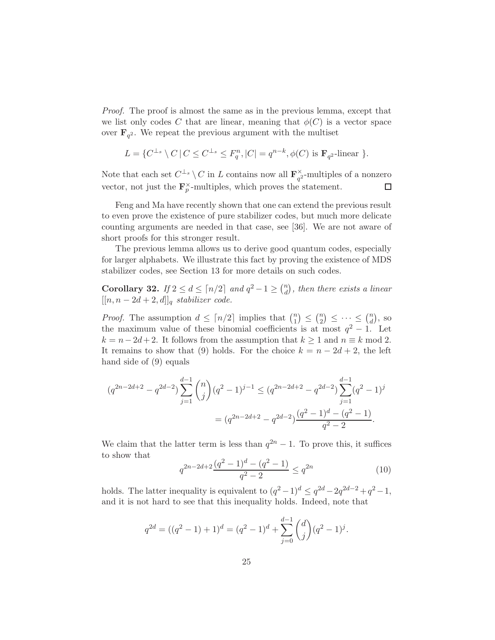*Proof.* The proof is almost the same as in the previous lemma, except that we list only codes C that are linear, meaning that  $\phi(C)$  is a vector space over  $\mathbf{F}_{q^2}$ . We repeat the previous argument with the multiset

$$
L = \{ C^{\perp_s} \setminus C \, | \, C \leq C^{\perp_s} \leq F_q^n, |C| = q^{n-k}, \phi(C) \text{ is } \mathbf{F}_{q^2}\text{-linear } \}.
$$

Note that each set  $C^{\perp_s} \setminus C$  in L contains now all  $\mathbf{F}_{q^2}^{\times}$  $\frac{\alpha}{q^2}$ -multiples of a nonzero vector, not just the  $\mathbf{F}_p^{\times}$ -multiples, which proves the statement.  $\Box$ 

Feng and Ma have recently shown that one can extend the previous result to even prove the existence of pure stabilizer codes, but much more delicate counting arguments are needed in that case, see [36]. We are not aware of short proofs for this stronger result.

The previous lemma allows us to derive good quantum codes, especially for larger alphabets. We illustrate this fact by proving the existence of MDS stabilizer codes, see Section 13 for more details on such codes.

Corollary 32. *If*  $2 \le d \le \lceil n/2 \rceil$  *and*  $q^2 - 1 \ge \binom{n}{d}$  $\binom{n}{d}$ , then there exists a linear  $[[n, n-2d+2, d]]_q$  *stabilizer code.* 

*Proof.* The assumption  $d \leq \lceil n/2 \rceil$  implies that  $\binom{n}{1}$  $\binom{n}{1} \leq \binom{n}{2}$  $\binom{n}{2} \leq \cdots \leq \binom{n}{d}$  $\binom{n}{d}$ , so the maximum value of these binomial coefficients is at most  $q^2 - 1$ . Let  $k = n - 2d + 2$ . It follows from the assumption that  $k \ge 1$  and  $n \equiv k \mod 2$ . It remains to show that (9) holds. For the choice  $k = n - 2d + 2$ , the left hand side of (9) equals

$$
(q^{2n-2d+2} - q^{2d-2}) \sum_{j=1}^{d-1} {n \choose j} (q^2 - 1)^{j-1} \leq (q^{2n-2d+2} - q^{2d-2}) \sum_{j=1}^{d-1} (q^2 - 1)^j
$$
  
= 
$$
(q^{2n-2d+2} - q^{2d-2}) \frac{(q^2 - 1)^d - (q^2 - 1)}{q^2 - 2}.
$$

We claim that the latter term is less than  $q^{2n} - 1$ . To prove this, it suffices to show that

$$
q^{2n-2d+2} \frac{(q^2-1)^d - (q^2-1)}{q^2-2} \le q^{2n} \tag{10}
$$

holds. The latter inequality is equivalent to  $(q^2 - 1)^d \le q^{2d} - 2q^{2d-2} + q^2 - 1$ , and it is not hard to see that this inequality holds. Indeed, note that

$$
q^{2d} = ((q^2 - 1) + 1)^d = (q^2 - 1)^d + \sum_{j=0}^{d-1} {d \choose j} (q^2 - 1)^j.
$$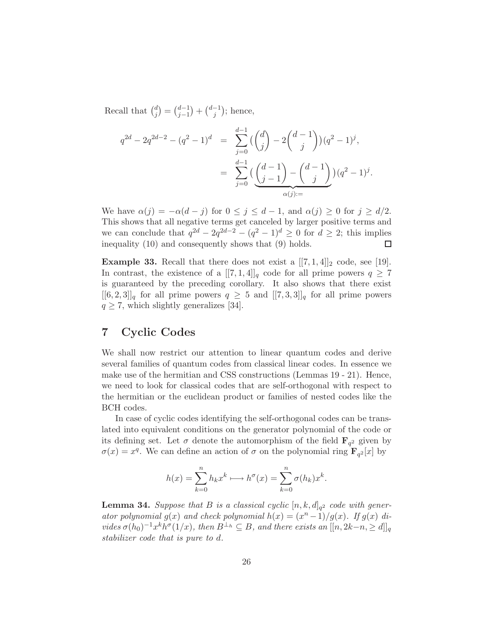Recall that  $\binom{d}{i}$  $j^{(d)}_j = \binom{d-1}{j-1}$  $\binom{d-1}{j-1} + \binom{d-1}{j}$  $j^{-1}$ ); hence,

$$
q^{2d} - 2q^{2d-2} - (q^2 - 1)^d = \sum_{j=0}^{d-1} \left( \binom{d}{j} - 2\binom{d-1}{j} \right) (q^2 - 1)^j,
$$
  

$$
= \sum_{j=0}^{d-1} \left( \frac{d-1}{j-1} \right) - \binom{d-1}{j} (q^2 - 1)^j.
$$
  

$$
\alpha(j) =
$$

We have  $\alpha(j) = -\alpha(d-j)$  for  $0 \le j \le d-1$ , and  $\alpha(j) \ge 0$  for  $j \ge d/2$ . This shows that all negative terms get canceled by larger positive terms and we can conclude that  $q^{2d} - 2q^{2d-2} - (q^2 - 1)^d \ge 0$  for  $d \ge 2$ ; this implies inequality (10) and consequently shows that (9) holds.

**Example 33.** Recall that there does not exist a  $[[7,1,4]]_2$  code, see [19]. In contrast, the existence of a  $[[7,1,4]]_q$  code for all prime powers  $q \geq 7$ is guaranteed by the preceding corollary. It also shows that there exist  $[[6,2,3]]_q$  for all prime powers  $q \geq 5$  and  $[[7,3,3]]_q$  for all prime powers  $q \geq 7$ , which slightly generalizes [34].

# 7 Cyclic Codes

We shall now restrict our attention to linear quantum codes and derive several families of quantum codes from classical linear codes. In essence we make use of the hermitian and CSS constructions (Lemmas 19 - 21). Hence, we need to look for classical codes that are self-orthogonal with respect to the hermitian or the euclidean product or families of nested codes like the BCH codes.

In case of cyclic codes identifying the self-orthogonal codes can be translated into equivalent conditions on the generator polynomial of the code or its defining set. Let  $\sigma$  denote the automorphism of the field  $\mathbf{F}_{q^2}$  given by  $\sigma(x) = x^q$ . We can define an action of  $\sigma$  on the polynomial ring  $\mathbf{F}_{q^2}[x]$  by

$$
h(x) = \sum_{k=0}^{n} h_k x^k \longrightarrow h^{\sigma}(x) = \sum_{k=0}^{n} \sigma(h_k) x^k.
$$

**Lemma 34.** Suppose that B is a classical cyclic  $[n, k, d]_{q^2}$  code with gener*ator polynomial*  $g(x)$  *and check polynomial*  $h(x) = (x^n - 1)/g(x)$ *. If*  $g(x)$  *di* $vides \sigma(h_0)^{-1}x^kh^\sigma(1/x), \text{ then } B^{\perp_h} \subseteq B, \text{ and there exists an } [[n, 2k-n, \geq d]]_q$ *stabilizer code that is pure to* d*.*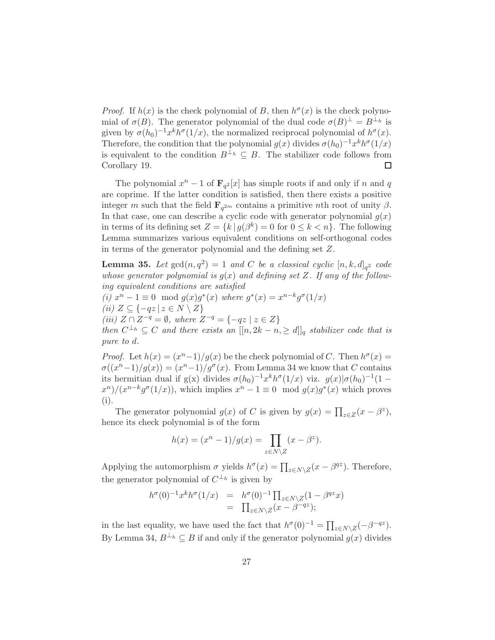*Proof.* If  $h(x)$  is the check polynomial of B, then  $h^{\sigma}(x)$  is the check polynomial of  $\sigma(B)$ . The generator polynomial of the dual code  $\sigma(B)^{\perp} = B^{\perp_h}$  is given by  $\sigma(h_0)^{-1}x^kh^\sigma(1/x)$ , the normalized reciprocal polynomial of  $h^\sigma(x)$ . Therefore, the condition that the polynomial  $g(x)$  divides  $\sigma(h_0)^{-1}x^kh^\sigma(1/x)$ is equivalent to the condition  $B^{\perp_h} \subseteq B$ . The stabilizer code follows from Corollary 19. □

The polynomial  $x^n - 1$  of  $\mathbf{F}_{q^2}[x]$  has simple roots if and only if n and q are coprime. If the latter condition is satisfied, then there exists a positive integer m such that the field  $\mathbf{F}_{q^{2m}}$  contains a primitive nth root of unity  $\beta$ . In that case, one can describe a cyclic code with generator polynomial  $g(x)$ in terms of its defining set  $Z = \{k | g(\beta^k) = 0 \text{ for } 0 \le k < n\}.$  The following Lemma summarizes various equivalent conditions on self-orthogonal codes in terms of the generator polynomial and the defining set Z.

**Lemma 35.** Let  $gcd(n,q^2) = 1$  and C be a classical cyclic  $[n, k, d]_{q^2}$  code whose generator polynomial is  $g(x)$  and defining set Z. If any of the follow*ing equivalent conditions are satisfied (i)*  $x^n - 1 \equiv 0 \mod g(x)g^*(x)$  *where*  $g^*(x) = x^{n-k}g^{\sigma}(1/x)$ *(ii)*  $Z \subseteq \{-qz \mid z \in N \setminus Z\}$ *(iii)*  $Z \cap Z^{-q} = ∅$ *, where*  $Z^{-q} = \{-qz \mid z \in Z\}$ *then*  $C^{\perp_h} \subseteq C$  *and there exists an*  $[[n, 2k - n, \ge d]]_q$  *stabilizer code that is pure to* d*.*

*Proof.* Let  $h(x) = (x^n-1)/g(x)$  be the check polynomial of C. Then  $h^{\sigma}(x) =$  $\sigma((x^{n}-1)/g(x)) = (x^{n}-1)/g^{\sigma}(x)$ . From Lemma 34 we know that C contains its hermitian dual if g(x) divides  $\sigma(h_0)^{-1}x^kh^\sigma(1/x)$  viz.  $g(x)|\sigma(h_0)^{-1}(1-x)$  $\frac{x^n}{x^{n-1}}$   $\frac{g^{\sigma}(1/x)}{x^n}$ , which implies  $x^n - 1 \equiv 0 \mod g(x)$  which proves (i).

The generator polynomial  $g(x)$  of C is given by  $g(x) = \prod_{z \in Z} (x - \beta^z)$ , hence its check polynomial is of the form

$$
h(x) = (x^{n} - 1)/g(x) = \prod_{z \in N \setminus Z} (x - \beta^{z}).
$$

Applying the automorphism  $\sigma$  yields  $h^{\sigma}(x) = \prod_{z \in N \setminus Z} (x - \beta^{qz})$ . Therefore, the generator polynomial of  $C^{\perp_h}$  is given by

$$
h^{\sigma}(0)^{-1}x^k h^{\sigma}(1/x) = h^{\sigma}(0)^{-1} \prod_{z \in N \setminus Z} (1 - \beta^{qz} x)
$$
  
= 
$$
\prod_{z \in N \setminus Z} (x - \beta^{-qz});
$$

in the last equality, we have used the fact that  $h^{\sigma}(0)^{-1} = \prod_{z \in N \setminus Z} (-\beta^{-qz}).$ By Lemma 34,  $B^{\perp_h} \subseteq B$  if and only if the generator polynomial  $g(x)$  divides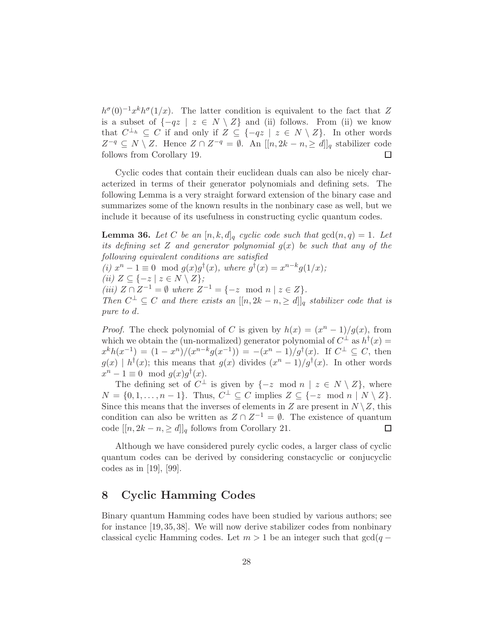$h^{\sigma}(0)^{-1}x^{k}h^{\sigma}(1/x)$ . The latter condition is equivalent to the fact that Z is a subset of  $\{-qz \mid z \in N \setminus Z\}$  and (ii) follows. From (ii) we know that  $C^{\perp_h} \subseteq C$  if and only if  $Z \subseteq \{-qz \mid z \in N \setminus Z\}$ . In other words  $Z^{-q} \subseteq N \setminus Z$ . Hence  $Z \cap Z^{-q} = \emptyset$ . An  $[[n, 2k - n, \geq d]]_q$  stabilizer code follows from Corollary 19.

Cyclic codes that contain their euclidean duals can also be nicely characterized in terms of their generator polynomials and defining sets. The following Lemma is a very straight forward extension of the binary case and summarizes some of the known results in the nonbinary case as well, but we include it because of its usefulness in constructing cyclic quantum codes.

**Lemma 36.** Let C be an  $[n, k, d]_q$  cyclic code such that  $gcd(n, q) = 1$ . Let *its defining set* Z *and generator polynomial* g(x) *be such that any of the following equivalent conditions are satisfied*

*(i)*  $x^n - 1 \equiv 0 \mod g(x)g^{\dagger}(x)$ *, where*  $g^{\dagger}(x) = x^{n-k}g(1/x)$ *; (ii)*  $Z \subseteq \{-z \mid z \in N \setminus Z\};$ *(iii)*  $Z \cap Z^{-1} = \emptyset$  *where*  $Z^{-1} = \{-z \mod n \mid z \in Z\}.$ *Then*  $C^{\perp} \subseteq C$  *and there exists an*  $[[n, 2k - n, \geq d]]_q$  *stabilizer code that is pure to* d*.*

*Proof.* The check polynomial of C is given by  $h(x) = (x^n - 1)/g(x)$ , from which we obtain the (un-normalized) generator polynomial of  $C^{\perp}$  as  $h^{\dagger}(x)$  =  $x^{k}h(x^{-1}) = (1-x^{n})/(x^{n-k}g(x^{-1})) = -(x^{n}-1)/g^{\dagger}(x)$ . If  $C^{\perp} \subseteq C$ , then  $g(x) \mid h^{\dagger}(x)$ ; this means that  $g(x)$  divides  $(x^{n} - 1)/g^{\dagger}(x)$ . In other words  $x^n - 1 \equiv 0 \mod g(x)g^{\dagger}(x).$ 

The defining set of  $C^{\perp}$  is given by  $\{-z \mod n \mid z \in N \setminus Z\}$ , where  $N = \{0, 1, \ldots, n-1\}$ . Thus,  $C^{\perp} \subseteq C$  implies  $Z \subseteq \{-z \mod n \mid N \setminus Z\}$ . Since this means that the inverses of elements in Z are present in  $N \setminus Z$ , this condition can also be written as  $Z \cap Z^{-1} = \emptyset$ . The existence of quantum code  $[[n, 2k - n, \geq d]]_q$  follows from Corollary 21.

Although we have considered purely cyclic codes, a larger class of cyclic quantum codes can be derived by considering constacyclic or conjucyclic codes as in [19], [99].

## 8 Cyclic Hamming Codes

Binary quantum Hamming codes have been studied by various authors; see for instance [19, 35, 38]. We will now derive stabilizer codes from nonbinary classical cyclic Hamming codes. Let  $m > 1$  be an integer such that  $gcd(q -$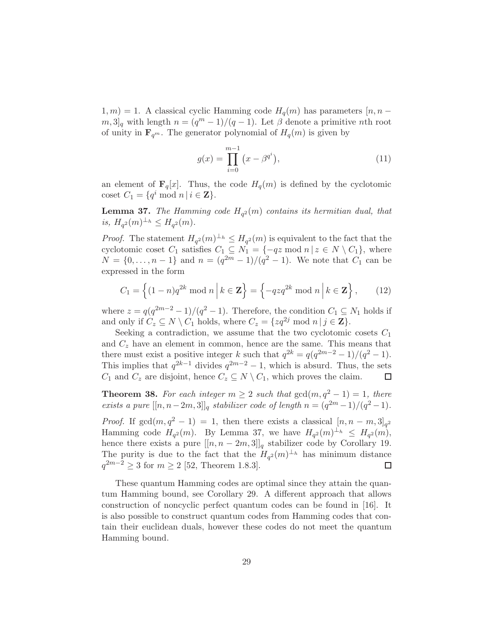$1, m$ ) = 1. A classical cyclic Hamming code  $H_q(m)$  has parameters [n, n –  $[m, 3]_q$  with length  $n = (q^m - 1)/(q - 1)$ . Let  $\beta$  denote a primitive nth root of unity in  $\mathbf{F}_{q^m}$ . The generator polynomial of  $H_q(m)$  is given by

$$
g(x) = \prod_{i=0}^{m-1} (x - \beta^{q^i}),
$$
\n(11)

an element of  $\mathbf{F}_q[x]$ . Thus, the code  $H_q(m)$  is defined by the cyclotomic coset  $C_1 = \{q^i \bmod n \mid i \in \mathbf{Z}\}.$ 

**Lemma 37.** The Hamming code  $H_{q^2}(m)$  contains its hermitian dual, that is,  $H_{q^2}(m)^{\perp_h} \leq H_{q^2}(m)$ .

*Proof.* The statement  $H_{q^2}(m)^{\perp_h} \leq H_{q^2}(m)$  is equivalent to the fact that the cyclotomic coset  $C_1$  satisfies  $C_1 \subseteq N_1 = \{-qz \mod n | z \in N \setminus C_1\}$ , where  $N = \{0, \ldots, n-1\}$  and  $n = (q^{2m} - 1)/(q^2 - 1)$ . We note that  $C_1$  can be expressed in the form

$$
C_1 = \left\{ (1-n)q^{2k} \bmod n \mid k \in \mathbf{Z} \right\} = \left\{ -qzq^{2k} \bmod n \mid k \in \mathbf{Z} \right\},\qquad(12)
$$

where  $z = q(q^{2m-2} - 1)/(q^2 - 1)$ . Therefore, the condition  $C_1 \subseteq N_1$  holds if and only if  $C_z \subseteq N \setminus C_1$  holds, where  $C_z = \{zq^{2j} \mod n | j \in \mathbb{Z}\}.$ 

Seeking a contradiction, we assume that the two cyclotomic cosets  $C_1$ and  $C<sub>z</sub>$  have an element in common, hence are the same. This means that there must exist a positive integer k such that  $q^{2k} = q(q^{2m-2} - 1)/(q^2 - 1)$ . This implies that  $q^{2k-1}$  divides  $q^{2m-2} - 1$ , which is absurd. Thus, the sets  $C_1$  and  $C_z$  are disjoint, hence  $C_z \subseteq N \setminus C_1$ , which proves the claim.

**Theorem 38.** For each integer  $m \geq 2$  such that  $gcd(m, a^2 - 1) = 1$ , there *exists a pure*  $[[n, n-2m, 3]]_q$  *stabilizer code of length*  $n = (q^{2m} - 1)/(q^2 - 1)$ *.* 

*Proof.* If  $gcd(m, q^2 - 1) = 1$ , then there exists a classical  $[n, n - m, 3]_{q^2}$ Hamming code  $H_{q^2}(m)$ . By Lemma 37, we have  $H_{q^2}(m)^{\perp_h} \leq H_{q^2}(m)$ , hence there exists a pure  $[[n, n - 2m, 3]]_q$  stabilizer code by Corollary 19. The purity is due to the fact that the  $H_{q^2}(m)^{\perp_h}$  has minimum distance  $q^{2m-2} \ge 3$  for  $m \ge 2$  [52, Theorem 1.8.3].  $\Box$ 

These quantum Hamming codes are optimal since they attain the quantum Hamming bound, see Corollary 29. A different approach that allows construction of noncyclic perfect quantum codes can be found in [16]. It is also possible to construct quantum codes from Hamming codes that contain their euclidean duals, however these codes do not meet the quantum Hamming bound.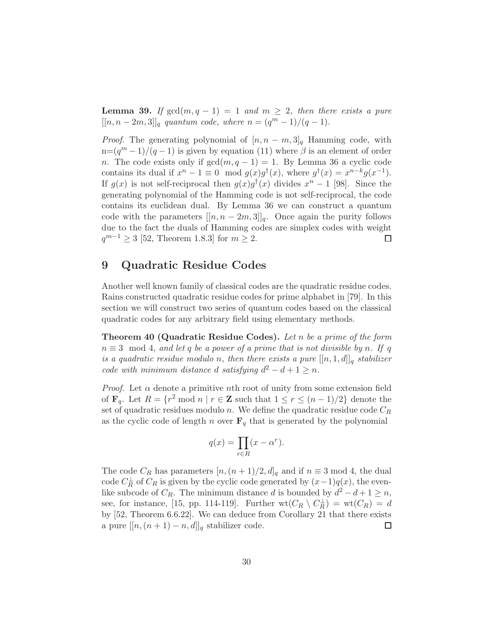**Lemma 39.** If  $gcd(m, q - 1) = 1$  and  $m \geq 2$ , then there exists a pure  $[[n, n-2m, 3]]_q$  quantum code, where  $n = (q^m - 1)/(q - 1)$ .

*Proof.* The generating polynomial of  $[n, n - m, 3]_q$  Hamming code, with  $n=(q^m-1)/(q-1)$  is given by equation (11) where  $\beta$  is an element of order n. The code exists only if  $gcd(m, q - 1) = 1$ . By Lemma 36 a cyclic code contains its dual if  $x^n - 1 \equiv 0 \mod g(x)g^{\dagger}(x)$ , where  $g^{\dagger}(x) = x^{n-k}g(x^{-1})$ . If  $g(x)$  is not self-reciprocal then  $g(x)g^{\dagger}(x)$  divides  $x^{n} - 1$  [98]. Since the generating polynomial of the Hamming code is not self-reciprocal, the code contains its euclidean dual. By Lemma 36 we can construct a quantum code with the parameters  $[[n, n - 2m, 3]]_q$ . Once again the purity follows due to the fact the duals of Hamming codes are simplex codes with weight  $q^{m-1} \geq 3$  [52, Theorem 1.8.3] for  $m \geq 2$ .  $\Box$ 

## 9 Quadratic Residue Codes

Another well known family of classical codes are the quadratic residue codes. Rains constructed quadratic residue codes for prime alphabet in [79]. In this section we will construct two series of quantum codes based on the classical quadratic codes for any arbitrary field using elementary methods.

Theorem 40 (Quadratic Residue Codes). *Let* n *be a prime of the form*  $n \equiv 3 \mod 4$ , and let q be a power of a prime that is not divisible by n. If q *is a quadratic residue modulo n, then there exists a pure*  $[[n, 1, d]]_q$  *stabilizer code with minimum distance d satisfying*  $d^2 - d + 1 \geq n$ *.* 

*Proof.* Let  $\alpha$  denote a primitive nth root of unity from some extension field of  $\mathbf{F}_q$ . Let  $R = \{r^2 \mod n \mid r \in \mathbb{Z} \text{ such that } 1 \leq r \leq (n-1)/2 \}$  denote the set of quadratic residues modulo n. We define the quadratic residue code  $C_R$ as the cyclic code of length n over  $\mathbf{F}_q$  that is generated by the polynomial

$$
q(x) = \prod_{r \in R} (x - \alpha^r).
$$

The code  $C_R$  has parameters  $[n,(n+1)/2,d]_q$  and if  $n \equiv 3 \mod 4$ , the dual code  $C_R^{\perp}$  of  $C_R$  is given by the cyclic code generated by  $(x-1)q(x)$ , the evenlike subcode of  $C_R$ . The minimum distance d is bounded by  $d^2 - d + 1 \ge n$ , see, for instance, [15, pp. 114-119]. Further  $\text{wt}(C_R \setminus C_R^{\perp}) = \text{wt}(C_R) = d$ by [52, Theorem 6.6.22]. We can deduce from Corollary 21 that there exists a pure  $[[n,(n+1)-n,d]]_q$  stabilizer code.  $\Box$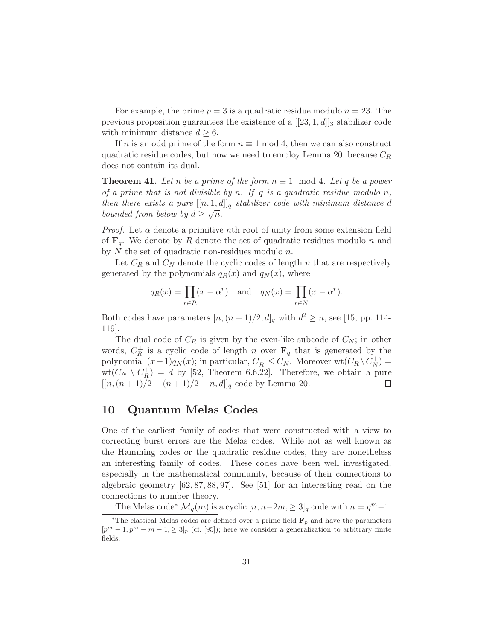For example, the prime  $p = 3$  is a quadratic residue modulo  $n = 23$ . The previous proposition guarantees the existence of a  $[[23,1,d]]_3$  stabilizer code with minimum distance  $d \geq 6$ .

If n is an odd prime of the form  $n \equiv 1 \mod 4$ , then we can also construct quadratic residue codes, but now we need to employ Lemma 20, because  $C_R$ does not contain its dual.

**Theorem 41.** Let *n* be a prime of the form  $n \equiv 1 \mod 4$ . Let q be a power *of a prime that is not divisible by* n*. If* q *is a quadratic residue modulo* n*, then there exists a pure*  $[[n, 1, d]]_q$  *stabilizer code with minimum distance d bounded from below by*  $d \geq \sqrt{n}$ .

*Proof.* Let  $\alpha$  denote a primitive nth root of unity from some extension field of  $\mathbf{F}_q$ . We denote by R denote the set of quadratic residues modulo n and by  $N$  the set of quadratic non-residues modulo  $n$ .

Let  $C_R$  and  $C_N$  denote the cyclic codes of length n that are respectively generated by the polynomials  $q_R(x)$  and  $q_N(x)$ , where

$$
q_R(x) = \prod_{r \in R} (x - \alpha^r)
$$
 and  $q_N(x) = \prod_{r \in N} (x - \alpha^r)$ .

Both codes have parameters  $[n,(n+1)/2,d]_q$  with  $d^2 \ge n$ , see [15, pp. 114-119].

The dual code of  $C_R$  is given by the even-like subcode of  $C_N$ ; in other words,  $C_R^{\perp}$  is a cyclic code of length n over  $\mathbf{F}_q$  that is generated by the polynomial  $(x-1)q_N(x)$ ; in particular,  $C_R^{\perp} \leq C_N$ . Moreover wt $(C_R \setminus C_N^{\perp})$  =  $wt(C_N \setminus C_R^{\perp}) = d$  by [52, Theorem 6.6.22]. Therefore, we obtain a pure  $[[n,(n+1)/2+(n+1)/2-n,d]]_q$  code by Lemma 20. ⊔

## 10 Quantum Melas Codes

One of the earliest family of codes that were constructed with a view to correcting burst errors are the Melas codes. While not as well known as the Hamming codes or the quadratic residue codes, they are nonetheless an interesting family of codes. These codes have been well investigated, especially in the mathematical community, because of their connections to algebraic geometry [62, 87, 88, 97]. See [51] for an interesting read on the connections to number theory.

The Melas code<sup>∗</sup>  $\mathcal{M}_q(m)$  is a cyclic  $[n, n-2m, \geq 3]_q$  code with  $n = q^m - 1$ .

<sup>\*</sup>The classical Melas codes are defined over a prime field  $\mathbf{F}_p$  and have the parameters  $[p^m - 1, p^m - m - 1, \ge 3]_p$  (cf. [95]); here we consider a generalization to arbitrary finite fields.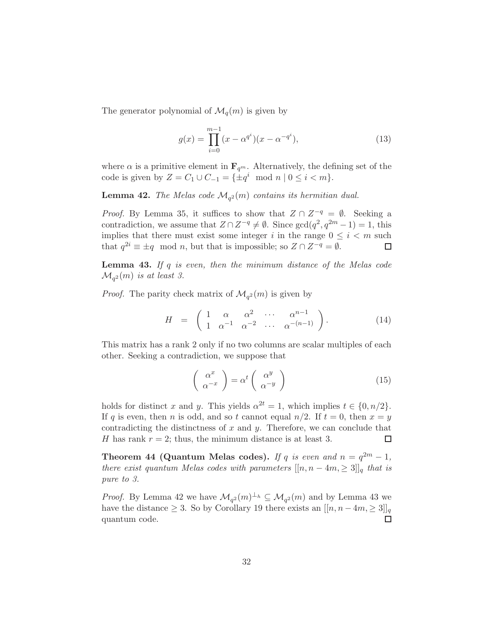The generator polynomial of  $\mathcal{M}_q(m)$  is given by

$$
g(x) = \prod_{i=0}^{m-1} (x - \alpha^{q^i})(x - \alpha^{-q^i}),
$$
\n(13)

where  $\alpha$  is a primitive element in  $\mathbf{F}_{q^m}$ . Alternatively, the defining set of the code is given by  $Z = C_1 \cup C_{-1} = \{\pm q^i \mod n \mid 0 \le i < m\}.$ 

**Lemma 42.** The Melas code  $\mathcal{M}_{q^2}(m)$  contains its hermitian dual.

*Proof.* By Lemma 35, it suffices to show that  $Z \cap Z^{-q} = \emptyset$ . Seeking a contradiction, we assume that  $Z \cap Z^{-q} \neq \emptyset$ . Since  $gcd(q^2, q^{2m} - 1) = 1$ , this implies that there must exist some integer i in the range  $0 \leq i \leq m$  such that  $q^{2i} \equiv \pm q \mod n$ , but that is impossible; so  $Z \cap Z^{-q} = \emptyset$ .  $\Box$ 

Lemma 43. *If* q *is even, then the minimum distance of the Melas code*  $\mathcal{M}_{q^2}(m)$  *is at least 3.* 

*Proof.* The parity check matrix of  $\mathcal{M}_{q^2}(m)$  is given by

$$
H = \begin{pmatrix} 1 & \alpha & \alpha^2 & \cdots & \alpha^{n-1} \\ 1 & \alpha^{-1} & \alpha^{-2} & \cdots & \alpha^{-(n-1)} \end{pmatrix}.
$$
 (14)

This matrix has a rank 2 only if no two columns are scalar multiples of each other. Seeking a contradiction, we suppose that

$$
\left(\begin{array}{c}\alpha^x\\ \alpha^{-x}\end{array}\right) = \alpha^t \left(\begin{array}{c}\alpha^y\\ \alpha^{-y}\end{array}\right) \tag{15}
$$

holds for distinct x and y. This yields  $\alpha^{2t} = 1$ , which implies  $t \in \{0, n/2\}$ . If q is even, then n is odd, and so t cannot equal  $n/2$ . If  $t = 0$ , then  $x = y$ contradicting the distinctness of  $x$  and  $y$ . Therefore, we can conclude that H has rank  $r = 2$ ; thus, the minimum distance is at least 3. □

**Theorem 44 (Quantum Melas codes).** *If* q *is even and*  $n = q^{2m} - 1$ , *there exist quantum Melas codes with parameters*  $[[n, n - 4m, \geq 3]]_q$  *that is pure to 3.*

*Proof.* By Lemma 42 we have  $\mathcal{M}_{q^2}(m)^{\perp_h} \subseteq \mathcal{M}_{q^2}(m)$  and by Lemma 43 we have the distance  $\geq 3$ . So by Corollary 19 there exists an  $[[n, n-4m, \geq 3]]_q$  quantum code. quantum code.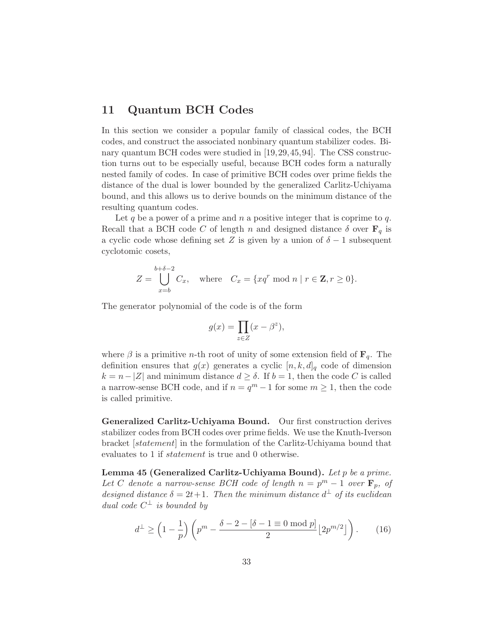## 11 Quantum BCH Codes

In this section we consider a popular family of classical codes, the BCH codes, and construct the associated nonbinary quantum stabilizer codes. Binary quantum BCH codes were studied in [19,29,45,94]. The CSS construction turns out to be especially useful, because BCH codes form a naturally nested family of codes. In case of primitive BCH codes over prime fields the distance of the dual is lower bounded by the generalized Carlitz-Uchiyama bound, and this allows us to derive bounds on the minimum distance of the resulting quantum codes.

Let q be a power of a prime and  $n$  a positive integer that is coprime to  $q$ . Recall that a BCH code C of length n and designed distance  $\delta$  over  $\mathbf{F}_q$  is a cyclic code whose defining set Z is given by a union of  $\delta - 1$  subsequent cyclotomic cosets,

$$
Z = \bigcup_{x=b}^{b+\delta-2} C_x, \quad \text{where} \quad C_x = \{xq^r \text{ mod } n \mid r \in \mathbf{Z}, r \ge 0\}.
$$

The generator polynomial of the code is of the form

$$
g(x) = \prod_{z \in Z} (x - \beta^z),
$$

where  $\beta$  is a primitive *n*-th root of unity of some extension field of  $\mathbf{F}_q$ . The definition ensures that  $g(x)$  generates a cyclic  $[n, k, d]_q$  code of dimension  $k = n - |Z|$  and minimum distance  $d \geq \delta$ . If  $b = 1$ , then the code C is called a narrow-sense BCH code, and if  $n = q^m - 1$  for some  $m \ge 1$ , then the code is called primitive.

Generalized Carlitz-Uchiyama Bound. Our first construction derives stabilizer codes from BCH codes over prime fields. We use the Knuth-Iverson bracket [statement] in the formulation of the Carlitz-Uchiyama bound that evaluates to 1 if statement is true and 0 otherwise.

Lemma 45 (Generalized Carlitz-Uchiyama Bound). *Let* p *be a prime.* Let C denote a narrow-sense BCH code of length  $n = p^m - 1$  over  $\mathbf{F}_p$ , of designed distance  $\delta = 2t + 1$ . Then the minimum distance  $d^{\perp}$  of its euclidean *dual code*  $C^{\perp}$  *is bounded by* 

$$
d^{\perp} \ge \left(1 - \frac{1}{p}\right) \left(p^m - \frac{\delta - 2 - \left[\delta - 1 \equiv 0 \bmod p\right]}{2} \left\lfloor 2p^{m/2} \right\rfloor\right). \tag{16}
$$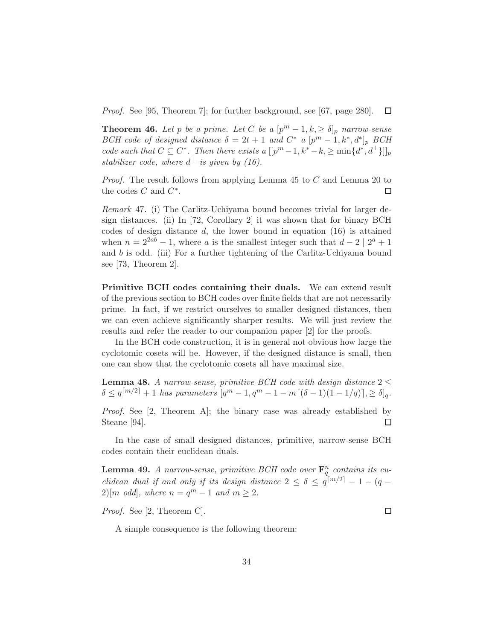*Proof.* See [95, Theorem 7]; for further background, see [67, page 280].  $\Box$ 

**Theorem 46.** Let p be a prime. Let C be a  $[p^m - 1, k] \geq \delta]_p$  narrow-sense *BCH* code of designed distance  $\delta = 2t + 1$  and  $C^*$  a  $[p^m - 1, k^*, d^*]_p$  *BCH code such that*  $C \subseteq C^*$ . Then there exists a  $[[p^m-1, k^* - k, \geq \min\{d^*, d^{\perp}\}]]_p$ *stabilizer code, where*  $d^{\perp}$  *is given by (16).* 

*Proof.* The result follows from applying Lemma 45 to C and Lemma 20 to the codes  $C$  and  $C^*$ . □

*Remark* 47*.* (i) The Carlitz-Uchiyama bound becomes trivial for larger design distances. (ii) In [72, Corollary 2] it was shown that for binary BCH codes of design distance  $d$ , the lower bound in equation  $(16)$  is attained when  $n = 2^{2ab} - 1$ , where a is the smallest integer such that  $d - 2 \mid 2^a + 1$ and  $b$  is odd. (iii) For a further tightening of the Carlitz-Uchiyama bound see [73, Theorem 2].

Primitive BCH codes containing their duals. We can extend result of the previous section to BCH codes over finite fields that are not necessarily prime. In fact, if we restrict ourselves to smaller designed distances, then we can even achieve significantly sharper results. We will just review the results and refer the reader to our companion paper [2] for the proofs.

In the BCH code construction, it is in general not obvious how large the cyclotomic cosets will be. However, if the designed distance is small, then one can show that the cyclotomic cosets all have maximal size.

**Lemma 48.** *A narrow-sense, primitive BCH code with design distance*  $2 \leq$  $\delta \le q^{[m/2]} + 1$  *has parameters*  $[q^m - 1, q^m - 1 - m[(\delta - 1)(1 - 1/q)], \ge \delta]_q$ .

*Proof.* See [2, Theorem A]; the binary case was already established by Steane [94].  $\Box$ 

In the case of small designed distances, primitive, narrow-sense BCH codes contain their euclidean duals.

**Lemma 49.** *A narrow-sense, primitive BCH code over*  $\mathbf{F}_q^n$  contains its eu*clidean dual if and only if its design distance*  $2 \leq \delta \leq q^{[m/2]} - 1 - (q 2\left[m \text{ odd}\right]$ *, where*  $n = q^m - 1$  and  $m \geq 2$ *.* 

*Proof.* See [2, Theorem C].

A simple consequence is the following theorem:

 $\Box$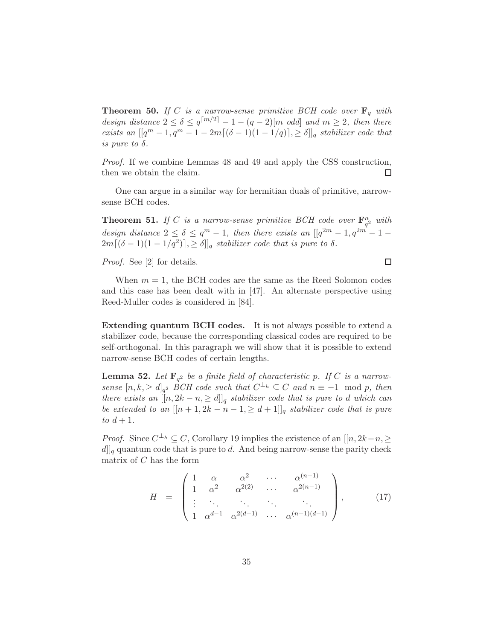**Theorem 50.** If C is a narrow-sense primitive BCH code over  $\mathbf{F}_q$  with *design distance*  $2 \le \delta \le q^{[m/2]} - 1 - (q - 2)[m \text{ odd}]$  and  $m \ge 2$ , then there *exists an*  $[[q^m - 1, q^m - 1 - 2m[(\delta - 1)(1 - 1/q)], \geq \delta]]_q$  *stabilizer code that is pure to*  $\delta$ *.* 

*Proof.* If we combine Lemmas 48 and 49 and apply the CSS construction, then we obtain the claim.  $\Box$ 

One can argue in a similar way for hermitian duals of primitive, narrowsense BCH codes.

**Theorem 51.** If C is a narrow-sense primitive BCH code over  $\mathbf{F}_{q^2}^n$  with *design distance*  $2 \le \delta \le q^m - 1$ , then there exists an  $[[q^{2m} - 1, q^{2m} - 1 2m[(\delta-1)(1-1/q^2)], \geq \delta]$  *stabilizer code that is pure to*  $\delta$ *.* 

*Proof.* See [2] for details.

When  $m = 1$ , the BCH codes are the same as the Reed Solomon codes and this case has been dealt with in  $[47]$ . An alternate perspective using Reed-Muller codes is considered in [84].

Extending quantum BCH codes. It is not always possible to extend a stabilizer code, because the corresponding classical codes are required to be self-orthogonal. In this paragraph we will show that it is possible to extend narrow-sense BCH codes of certain lengths.

**Lemma 52.** Let  $\mathbf{F}_{q^2}$  be a finite field of characteristic p. If C is a narrow*sense*  $[n, k, \ge d]_{q^2}$  *BCH code such that*  $C^{\perp_h} \subseteq C$  *and*  $n \equiv -1 \mod p$ *, then there exists an*  $[[n, 2k - n, \ge d]]_q$  *stabilizer code that is pure to d which can be extended to an*  $[[n+1, 2k - n - 1, \ge d + 1]]_q$  *stabilizer code that is pure to*  $d + 1$ *.* 

*Proof.* Since  $C^{\perp_h} \subseteq C$ , Corollary 19 implies the existence of an  $[[n, 2k-n, \geq$  $d\|_q$  quantum code that is pure to d. And being narrow-sense the parity check matrix of  $C$  has the form

$$
H = \begin{pmatrix} 1 & \alpha & \alpha^2 & \cdots & \alpha^{(n-1)} \\ 1 & \alpha^2 & \alpha^{2(2)} & \cdots & \alpha^{2(n-1)} \\ \vdots & \ddots & \ddots & \ddots & \ddots \\ 1 & \alpha^{d-1} & \alpha^{2(d-1)} & \cdots & \alpha^{(n-1)(d-1)} \end{pmatrix}, \qquad (17)
$$

 $\Box$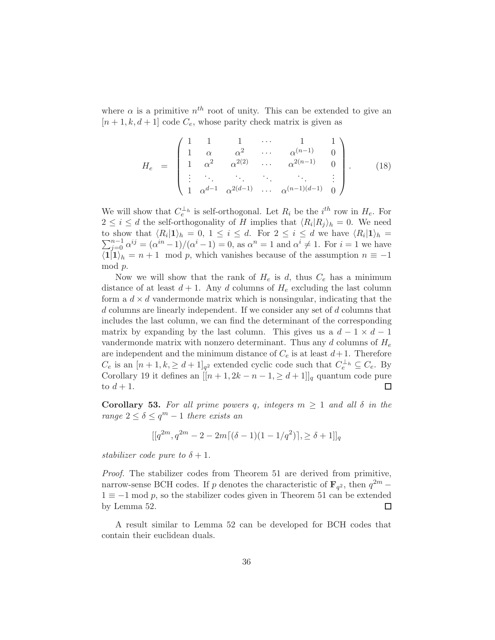where  $\alpha$  is a primitive  $n^{th}$  root of unity. This can be extended to give an  $[n+1, k, d+1]$  code  $C_e$ , whose parity check matrix is given as

$$
H_e = \begin{pmatrix} 1 & 1 & 1 & \cdots & 1 & 1 \\ 1 & \alpha & \alpha^2 & \cdots & \alpha^{(n-1)} & 0 \\ 1 & \alpha^2 & \alpha^{2(2)} & \cdots & \alpha^{2(n-1)} & 0 \\ \vdots & \ddots & \ddots & \ddots & \ddots & \vdots \\ 1 & \alpha^{d-1} & \alpha^{2(d-1)} & \cdots & \alpha^{(n-1)(d-1)} & 0 \end{pmatrix}.
$$
 (18)

We will show that  $C_e^{\perp_h}$  is self-orthogonal. Let  $R_i$  be the  $i^{th}$  row in  $H_e$ . For  $2 \leq i \leq d$  the self-orthogonality of H implies that  $\langle R_i | R_j \rangle_h = 0$ . We need to show that  $\langle R_i | 1 \rangle_h = 0, 1 \leq i \leq d$ . For  $2 \leq i \leq d$  we have  $\langle R_i | 1 \rangle_h = 0$ .  $\sum$ show that  $\langle R_i | 1 \rangle_h = 0, 1 \le i \le d$ . For  $2 \le i \le d$  we have  $\langle R_i | 1 \rangle_h =$ <br> $\frac{n-1}{j=0} \alpha^{ij} = (\alpha^{in}-1)/(\alpha^i-1) = 0$ , as  $\alpha^n = 1$  and  $\alpha^i \neq 1$ . For  $i = 1$  we have  $\langle 1|1\rangle_h = n + 1 \mod p$ , which vanishes because of the assumption  $n \equiv -1$ mod p.

Now we will show that the rank of  $H_e$  is d, thus  $C_e$  has a minimum distance of at least  $d+1$ . Any d columns of  $H_e$  excluding the last column form a  $d \times d$  vandermonde matrix which is nonsingular, indicating that the d columns are linearly independent. If we consider any set of d columns that includes the last column, we can find the determinant of the corresponding matrix by expanding by the last column. This gives us a  $d-1 \times d-1$ vandermonde matrix with nonzero determinant. Thus any d columns of  $H_e$ are independent and the minimum distance of  $C_e$  is at least  $d+1$ . Therefore  $C_e$  is an  $[n+1, k, \geq d+1]_{q^2}$  extended cyclic code such that  $C_e^{\perp_h} \subseteq C_e$ . By Corollary 19 it defines an  $[[n+1, 2k - n - 1, \ge d+1]]_q$  quantum code pure to  $d+1$ .  $\Box$ 

**Corollary 53.** For all prime powers q, integers  $m \geq 1$  and all  $\delta$  in the *range*  $2 \le \delta \le q^m - 1$  *there exists an* 

$$
[[q^{2m}, q^{2m} - 2 - 2m[(\delta - 1)(1 - 1/q^2)], \ge \delta + 1]]_q
$$

*stabilizer code pure to*  $\delta + 1$ *.* 

*Proof.* The stabilizer codes from Theorem 51 are derived from primitive, narrow-sense BCH codes. If  $p$  denotes the characteristic of  $\mathbf{F}_{q^2}$ , then  $q^{2m}$  – 1 ≡ −1 mod *p*, so the stabilizer codes given in Theorem 51 can be extended by Lemma 52. by Lemma 52.

A result similar to Lemma 52 can be developed for BCH codes that contain their euclidean duals.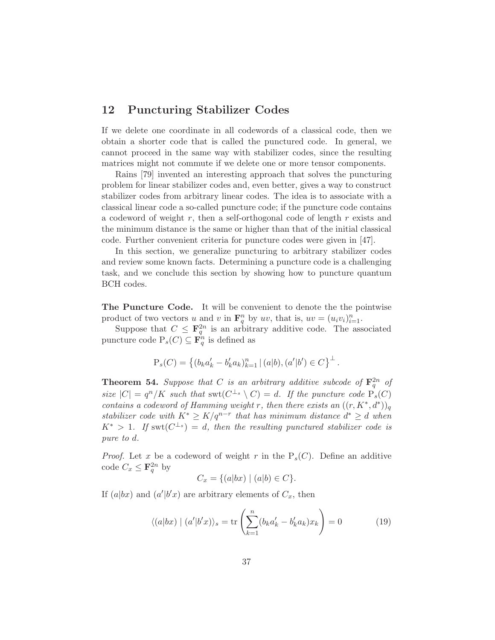# 12 Puncturing Stabilizer Codes

If we delete one coordinate in all codewords of a classical code, then we obtain a shorter code that is called the punctured code. In general, we cannot proceed in the same way with stabilizer codes, since the resulting matrices might not commute if we delete one or more tensor components.

Rains [79] invented an interesting approach that solves the puncturing problem for linear stabilizer codes and, even better, gives a way to construct stabilizer codes from arbitrary linear codes. The idea is to associate with a classical linear code a so-called puncture code; if the puncture code contains a codeword of weight r, then a self-orthogonal code of length  $r$  exists and the minimum distance is the same or higher than that of the initial classical code. Further convenient criteria for puncture codes were given in [47].

In this section, we generalize puncturing to arbitrary stabilizer codes and review some known facts. Determining a puncture code is a challenging task, and we conclude this section by showing how to puncture quantum BCH codes.

The Puncture Code. It will be convenient to denote the the pointwise product of two vectors u and v in  $\mathbf{F}_q^n$  by uv, that is,  $uv = (u_i v_i)_{i=1}^n$ .

Suppose that  $C \leq \mathbf{F}_q^{2n}$  is an arbitrary additive code. The associated puncture code  $P_s(C) \subseteq \mathbf{F}_q^n$  is defined as

$$
P_s(C) = \left\{ (b_k a'_k - b'_k a_k)_{k=1}^n \, | \, (a|b), (a'|b') \in C \right\}^{\perp}.
$$

**Theorem 54.** Suppose that C is an arbitrary additive subcode of  $\mathbf{F}_q^{2n}$  of *size*  $|C| = q^n/K$  *such that*  $\text{swt}(C^{\perp_s} \setminus C) = d$ . If the puncture code  $P_s(C)$ *contains a codeword of Hamming weight* r, then there exists an  $((r, K^*, d^*))_q$ *stabilizer code with*  $K^* \geq K/q^{n-r}$  *that has minimum distance*  $d^* \geq d$  *when*  $K^*$  > 1*.* If swt $(C^{\perp_s}) = d$ , then the resulting punctured stabilizer code is *pure to* d*.*

*Proof.* Let x be a codeword of weight r in the  $P_s(C)$ . Define an additive code  $C_x \leq \mathbf{F}_q^{2n}$  by

$$
C_x = \{(a|bx) \mid (a|b) \in C\}.
$$

If  $(a|bx)$  and  $(a'|b'x)$  are arbitrary elements of  $C_x$ , then

$$
\langle (a|bx) \mid (a'|b'x) \rangle_s = \text{tr}\left(\sum_{k=1}^n (b_k a'_k - b'_k a_k)x_k\right) = 0 \tag{19}
$$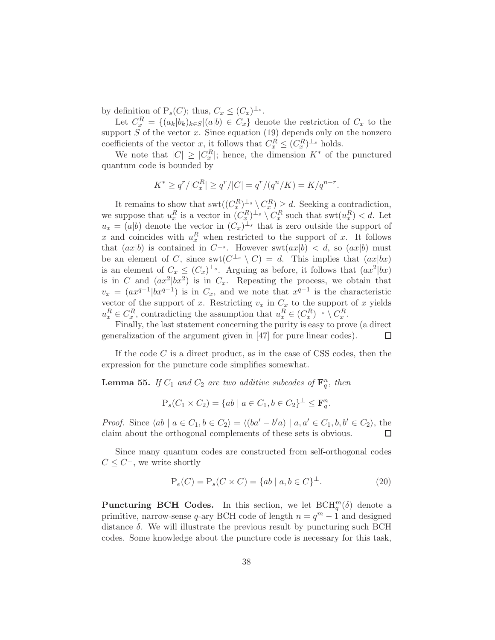by definition of  $P_s(C)$ ; thus,  $C_x \leq (C_x)^{\perp_s}$ .

Let  $C_x^R = \{(a_k|b_k)_{k\in S} | (a|b) \in C_x\}$  denote the restriction of  $C_x$  to the support  $S$  of the vector  $x$ . Since equation (19) depends only on the nonzero coefficients of the vector x, it follows that  $C_x^R \leq (C_x^R)^{\perp_s}$  holds.

We note that  $|C| \geq |C_x^R|$ ; hence, the dimension  $K^*$  of the punctured quantum code is bounded by

$$
K^* \ge q^r / |C_x^R| \ge q^r / |C| = q^r / (q^n / K) = K / q^{n-r}.
$$

It remains to show that  $\operatorname{swt}((C_x^R)^{\perp_s} \setminus C_x^R) \geq d$ . Seeking a contradiction, we suppose that  $u_x^R$  is a vector in  $(C_x^R)^{\perp_s} \setminus C_x^R$  such that  $\text{swt}(u_x^R) < d$ . Let  $u_x = (a|b)$  denote the vector in  $(C_x)^{\perp_s}$  that is zero outside the support of x and coincides with  $u_x^R$  when restricted to the support of x. It follows that  $(ax|b)$  is contained in  $C^{\perp_s}$ . However swt $(ax|b) < d$ , so  $(ax|b)$  must be an element of C, since  $\text{swt}(C^{\perp_s} \setminus C) = d$ . This implies that  $(ax|bx)$ is an element of  $C_x \n\t\leq (C_x)^{\perp_s}$ . Arguing as before, it follows that  $(ax^2|bx)$ is in C and  $(ax^2|bx^2)$  is in  $C_x$ . Repeating the process, we obtain that  $v_x = (ax^{q-1}|bx^{q-1})$  is in  $C_x$ , and we note that  $x^{q-1}$  is the characteristic vector of the support of x. Restricting  $v_x$  in  $C_x$  to the support of x yields  $u_x^R \in C_x^R$ , contradicting the assumption that  $u_x^R \in (C_x^R)^{\perp_s} \setminus C_x^R$ .

Finally, the last statement concerning the purity is easy to prove (a direct generalization of the argument given in [47] for pure linear codes). □

If the code  $C$  is a direct product, as in the case of CSS codes, then the expression for the puncture code simplifies somewhat.

**Lemma 55.** If  $C_1$  and  $C_2$  are two additive subcodes of  $\mathbf{F}_q^n$ , then

$$
P_s(C_1 \times C_2) = \{ab \mid a \in C_1, b \in C_2\}^{\perp} \leq \mathbf{F}_q^n.
$$

*Proof.* Since  $\langle ab | a \in C_1, b \in C_2 \rangle = \langle (ba' - b'a) | a, a' \in C_1, b, b' \in C_2 \rangle$ , the claim about the orthogonal complements of these sets is obvious. □

Since many quantum codes are constructed from self-orthogonal codes  $C \leq C^{\perp}$ , we write shortly

$$
P_e(C) = P_s(C \times C) = \{ ab \mid a, b \in C \}^{\perp}.
$$
 (20)

**Puncturing BCH Codes.** In this section, we let  $BCH_q^m(\delta)$  denote a primitive, narrow-sense q-ary BCH code of length  $n = q^m - 1$  and designed distance  $\delta$ . We will illustrate the previous result by puncturing such BCH codes. Some knowledge about the puncture code is necessary for this task,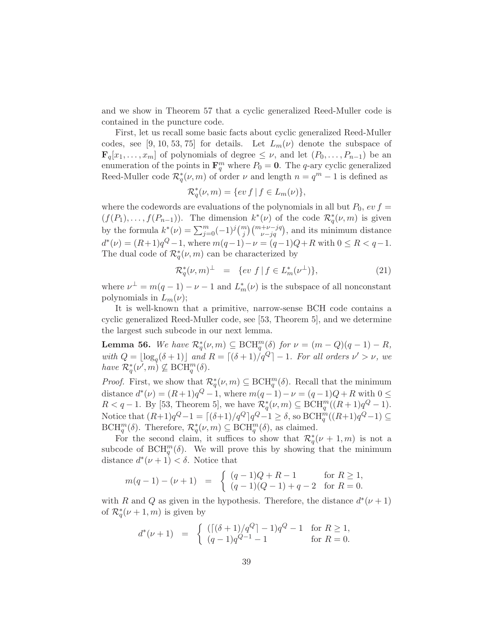and we show in Theorem 57 that a cyclic generalized Reed-Muller code is contained in the puncture code.

First, let us recall some basic facts about cyclic generalized Reed-Muller codes, see [9, 10, 53, 75] for details. Let  $L_m(\nu)$  denote the subspace of  $\mathbf{F}_q[x_1,\ldots,x_m]$  of polynomials of degree  $\leq \nu$ , and let  $(P_0,\ldots,P_{n-1})$  be an enumeration of the points in  $\mathbf{F}_q^m$  where  $P_0 = \mathbf{0}$ . The q-ary cyclic generalized Reed-Muller code  $\mathcal{R}_q^*(\nu,m)$  of order  $\nu$  and length  $n=q^m-1$  is defined as

$$
\mathcal{R}_q^*(\nu, m) = \{ev \, f \mid f \in L_m(\nu) \},\
$$

where the codewords are evaluations of the polynomials in all but  $P_0$ ,  $ev f =$  $(f(P_1),..., f(P_{n-1}))$ . The dimension  $k^*(\nu)$  of the code  $\mathcal{R}_q^*(\nu,m)$  is given by the formula  $k^*(\nu) = \sum_{j=0}^m (-1)^j \binom{m}{j} \binom{m+\nu-jq}{\nu-jq}$ , and its minimum distance  $d^*(\nu) = (R+1)q^Q - 1$ , where  $m(q-1) - \nu = (q-1)Q + R$  with  $0 \le R < q-1$ . The dual code of  ${\mathcal R}_q^* (\nu,m)$  can be characterized by

$$
\mathcal{R}_q^*(\nu, m)^\perp = \{ev \ f \mid f \in L_m^*(\nu^\perp) \},\tag{21}
$$

where  $\nu^{\perp} = m(q-1) - \nu - 1$  and  $L_m^*(\nu)$  is the subspace of all nonconstant polynomials in  $L_m(\nu)$ ;

It is well-known that a primitive, narrow-sense BCH code contains a cyclic generalized Reed-Muller code, see [53, Theorem 5], and we determine the largest such subcode in our next lemma.

**Lemma 56.** We have  $\mathcal{R}_q^*(\nu, m) \subseteq \text{BCH}_q^m(\delta)$  for  $\nu = (m - Q)(q - 1) - R$ , with  $Q = \lfloor \log_q(\delta + 1) \rfloor$  and  $R = \lfloor (\delta + 1)/q^Q \rfloor - 1$ *. For all orders*  $\nu' > \nu$ *, we have*  $\mathcal{R}_q^*(\nu', m) \nsubseteq \text{BCH}_q^m(\delta)$ .

*Proof.* First, we show that  $\mathcal{R}_q^*(\nu,m) \subseteq \text{BCH}_q^m(\delta)$ . Recall that the minimum distance  $d^*(\nu) = (R+1)q^Q - 1$ , where  $m(q-1) - \nu = (q-1)Q + R$  with  $0 \leq$  $R < q-1$ . By [53, Theorem 5], we have  $\mathcal{R}_q^*(\nu,m) \subseteq \text{BCH}_q^m((R+1)q^Q-1)$ . Notice that  $(R+1)q^Q-1 = \lfloor (\delta+1)/q^Q \rfloor q^Q-1 \ge \delta$ , so  $BCH_q^m((R+1)q^Q-1) \subseteq$ BCH<sup>m</sup>( $\delta$ ). Therefore,  $\mathcal{R}_q^*(\nu,m) \subseteq \text{BCH}_q^m(\delta)$ , as claimed.

For the second claim, it suffices to show that  $\mathcal{R}_q^*(\nu+1,m)$  is not a subcode of BCH<sup>m</sup>( $\delta$ ). We will prove this by showing that the minimum distance  $d^*(\nu+1) < \delta$ . Notice that

$$
m(q-1) - (\nu + 1) = \begin{cases} (q-1)Q + R - 1 & \text{for } R \ge 1, \\ (q-1)(Q-1) + q - 2 & \text{for } R = 0. \end{cases}
$$

with R and Q as given in the hypothesis. Therefore, the distance  $d^*(\nu+1)$ of  $\mathcal{R}_q^*(\nu+1,m)$  is given by

$$
d^*(\nu+1) = \begin{cases} ([(\delta+1)/q^Q]-1)q^Q-1 & \text{for } R \ge 1, \\ (q-1)q^{Q-1}-1 & \text{for } R = 0. \end{cases}
$$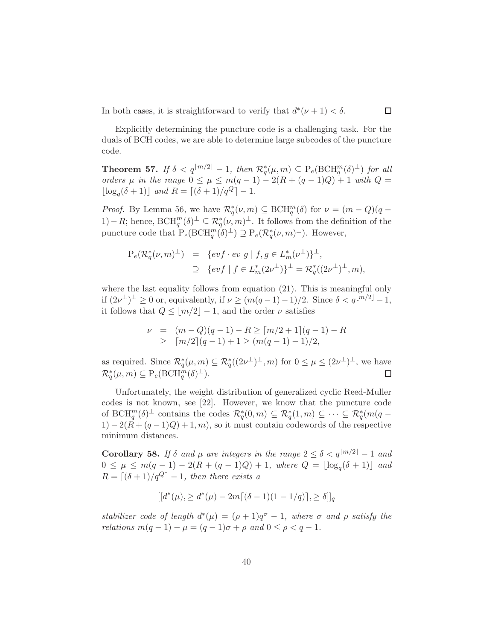In both cases, it is straightforward to verify that  $d^*(\nu+1) < \delta$ .

Explicitly determining the puncture code is a challenging task. For the duals of BCH codes, we are able to determine large subcodes of the puncture code.

**Theorem 57.** *If*  $\delta < q^{\lfloor m/2 \rfloor} - 1$ , then  $\mathcal{R}_q^*(\mu, m) \subseteq \mathrm{P}_e(\mathrm{BCH}_q^m(\delta)^{\perp})$  for all *orders*  $\mu$  *in the range*  $0 \le \mu \le m(q - 1) - 2(R + (q - 1)Q) + 1$  *with*  $Q =$  $\lfloor \log_q(\delta + 1) \rfloor$  *and*  $R = \lceil (\delta + 1)/q^Q \rceil - 1$ *.* 

*Proof.* By Lemma 56, we have  $\mathcal{R}_q^*(\nu, m) \subseteq \text{BCH}_q^m(\delta)$  for  $\nu = (m - Q)(q - q)$ 1) – R; hence,  $\text{BCH}_{q}^{m}(\delta)^{\perp} \subseteq \mathcal{R}_{q}^{*}(\nu,m)^{\perp}$ . It follows from the definition of the puncture code that  $P_e(BCH_q^m(\delta)^{\perp}) \supseteq P_e(\mathcal{R}_q^*(\nu,m)^{\perp})$ . However,

$$
P_e(\mathcal{R}_q^*(\nu, m)^\perp) = \{evf \cdot ev \mid f, g \in L_m^*(\nu^\perp)\}^\perp,
$$
  
\n
$$
\supseteq \{evf \mid f \in L_m^*(2\nu^\perp)\}^\perp = \mathcal{R}_q^*((2\nu^\perp)^\perp, m),
$$

where the last equality follows from equation  $(21)$ . This is meaningful only if  $(2\nu^{\perp})^{\perp} \ge 0$  or, equivalently, if  $\nu \ge (m(q-1)-1)/2$ . Since  $\delta < q^{\lfloor m/2 \rfloor} - 1$ , it follows that  $Q \le |m/2| - 1$ , and the order  $\nu$  satisfies

$$
\nu = (m - Q)(q - 1) - R \geq \lceil m/2 + 1 \rceil (q - 1) - R
$$
  
 
$$
\geq \lceil m/2 \rceil (q - 1) + 1 \geq (m(q - 1) - 1)/2,
$$

as required. Since  $\mathcal{R}_q^*(\mu,m) \subseteq \mathcal{R}_q^*((2\nu^{\perp})^{\perp},m)$  for  $0 \leq \mu \leq (2\nu^{\perp})^{\perp}$ , we have  $\mathcal{R}_q^*(\mu, m) \subseteq \mathrm{P}_e(\mathrm{BCH}_q^m(\delta)^\perp).$  $\Box$ 

Unfortunately, the weight distribution of generalized cyclic Reed-Muller codes is not known, see [22]. However, we know that the puncture code of  $\text{BCH}_q^m(\delta)^\perp$  contains the codes  $\mathcal{R}_q^*(0,m) \subseteq \mathcal{R}_q^*(1,m) \subseteq \cdots \subseteq \mathcal{R}_q^*(m(q 1) - 2(R + (q - 1)Q) + 1, m$ , so it must contain codewords of the respective minimum distances.

Corollary 58. *If*  $\delta$  *and*  $\mu$  *are integers in the range*  $2 \leq \delta < q^{\lfloor m/2 \rfloor} - 1$  *and*  $0 ≤ μ ≤ m(q − 1) − 2(R + (q − 1)Q) + 1, where Q = \lfloor log<sub>q</sub>(δ + 1) \rfloor$  and  $R = \lfloor (\delta + 1)/q^Q \rfloor - 1$ , then there exists a

$$
[[d^*(\mu), \ge d^*(\mu) - 2m[(\delta - 1)(1 - 1/q)], \ge \delta]]_q
$$

*stabilizer code of length*  $d^*(\mu) = (\rho + 1)q^{\sigma} - 1$ *, where*  $\sigma$  *and*  $\rho$  *satisfy the relations*  $m(q - 1) - \mu = (q - 1)\sigma + \rho$  *and*  $0 \le \rho < q - 1$ *.*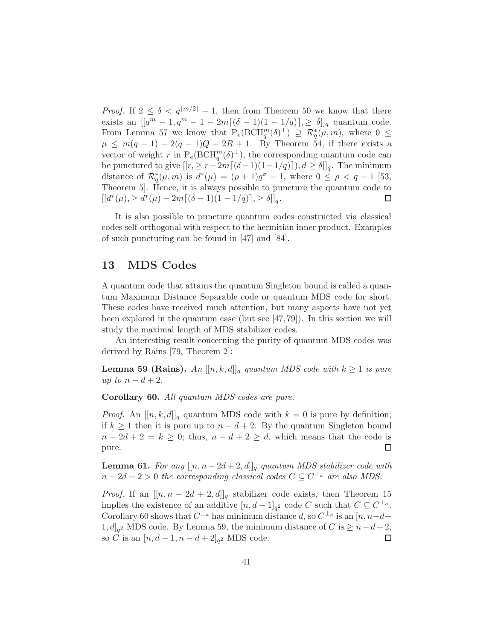*Proof.* If  $2 \leq \delta < q^{\lfloor m/2 \rfloor} - 1$ , then from Theorem 50 we know that there exists an  $[[q^m - 1, q^m - 1 - 2m[(\delta - 1)(1 - 1/q)], \ge \delta]]_q$  quantum code. From Lemma 57 we know that  $P_e(BCH_q^m(\delta)^{\perp}) \supseteq \mathcal{R}_q^*(\mu,m)$ , where  $0 \leq$  $\mu \leq m(q-1) - 2(q-1)Q - 2R + 1$ . By Theorem 54, if there exists a vector of weight r in  $P_e(BCH_q^m(\delta)^{\perp})$ , the corresponding quantum code can be punctured to give  $[[r, \geq r-2m[(\delta-1)(1-1/q)]), d \geq \delta]]_q$ . The minimum distance of  $\mathcal{R}_q^*(\mu, m)$  is  $d^*(\mu) = (\rho + 1)q^{\sigma} - 1$ , where  $0 \le \rho < q - 1$  [53, Theorem 5]. Hence, it is always possible to puncture the quantum code to  $[[d^*(\mu), \ge d^*(\mu) - 2m[(\delta - 1)(1 - 1/q)], \ge \delta]]_q.$  $\Box$ 

It is also possible to puncture quantum codes constructed via classical codes self-orthogonal with respect to the hermitian inner product. Examples of such puncturing can be found in [47] and [84].

## 13 MDS Codes

A quantum code that attains the quantum Singleton bound is called a quantum Maximum Distance Separable code or quantum MDS code for short. These codes have received much attention, but many aspects have not yet been explored in the quantum case (but see [47, 79]). In this section we will study the maximal length of MDS stabilizer codes.

An interesting result concerning the purity of quantum MDS codes was derived by Rains [79, Theorem 2]:

**Lemma 59 (Rains).** *An*  $[[n, k, d]]_q$  *quantum MDS code with*  $k \geq 1$  *is pure up to*  $n - d + 2$ *.* 

Corollary 60. *All quantum MDS codes are pure.*

*Proof.* An  $[[n, k, d]]_q$  quantum MDS code with  $k = 0$  is pure by definition; if  $k \ge 1$  then it is pure up to  $n - d + 2$ . By the quantum Singleton bound  $n - 2d + 2 = k \ge 0$ ; thus,  $n - d + 2 \ge d$ , which means that the code is pure. pure.

**Lemma 61.** For any  $[[n, n-2d+2, d]]_q$  quantum MDS stabilizer code with  $n-2d+2>0$  the corresponding classical codes  $C \subseteq C^{\perp_a}$  are also MDS.

*Proof.* If an  $[[n, n - 2d + 2, d]]_q$  stabilizer code exists, then Theorem 15 implies the existence of an additive  $[n, d-1]_{q^2}$  code C such that  $C \subseteq C^{\perp_a}$ . Corollary 60 shows that  $C^{\perp_a}$  has minimum distance d, so  $C^{\perp_a}$  is an  $[n, n-d+$ 1,  $d_{q^2}$  MDS code. By Lemma 59, the minimum distance of C is ≥  $n-d+2$ , so *C* is an  $[n, d - 1, n - d + 2]_{q^2}$  MDS code.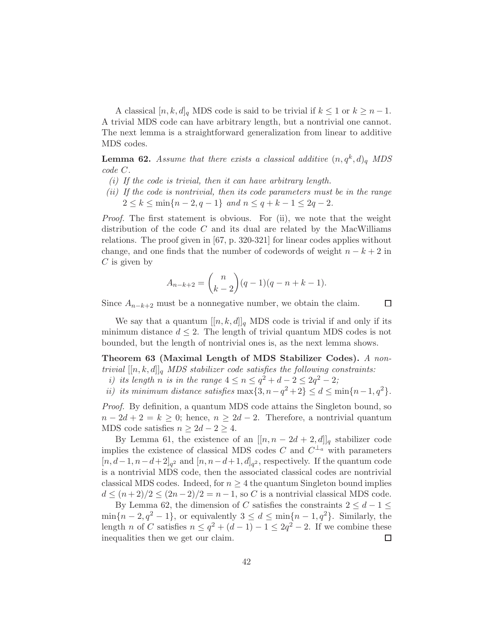A classical  $[n, k, d]_q$  MDS code is said to be trivial if  $k \leq 1$  or  $k \geq n-1$ . A trivial MDS code can have arbitrary length, but a nontrivial one cannot. The next lemma is a straightforward generalization from linear to additive MDS codes.

**Lemma 62.** Assume that there exists a classical additive  $(n, q<sup>k</sup>, d)<sub>q</sub>$  MDS *code* C*.*

- *(i) If the code is trivial, then it can have arbitrary length.*
- *(ii) If the code is nontrivial, then its code parameters must be in the range*  $2 \leq k \leq \min\{n-2, q-1\}$  *and*  $n \leq q+k-1 \leq 2q-2$ *.*

*Proof.* The first statement is obvious. For (ii), we note that the weight distribution of the code  $C$  and its dual are related by the MacWilliams relations. The proof given in [67, p. 320-321] for linear codes applies without change, and one finds that the number of codewords of weight  $n - k + 2$  in  $C$  is given by

$$
A_{n-k+2} = \binom{n}{k-2} (q-1)(q-n+k-1).
$$

Since  $A_{n-k+2}$  must be a nonnegative number, we obtain the claim.

 $\Box$ 

We say that a quantum  $[[n, k, d]]_q$  MDS code is trivial if and only if its minimum distance  $d \leq 2$ . The length of trivial quantum MDS codes is not bounded, but the length of nontrivial ones is, as the next lemma shows.

Theorem 63 (Maximal Length of MDS Stabilizer Codes). *A nontrivial*  $[[n, k, d]]_q$  *MDS stabilizer code satisfies the following constraints:* 

- *i) its length n is in the range*  $4 \le n \le q^2 + d 2 \le 2q^2 2$ ;
- *ii)* its minimum distance satisfies  $\max\{3, n q^2 + 2\} \le d \le \min\{n 1, q^2\}.$

*Proof.* By definition, a quantum MDS code attains the Singleton bound, so  $n-2d+2=k\geq 0$ ; hence,  $n\geq 2d-2$ . Therefore, a nontrivial quantum MDS code satisfies  $n \geq 2d - 2 \geq 4$ .

By Lemma 61, the existence of an  $[[n, n - 2d + 2, d]]_q$  stabilizer code implies the existence of classical MDS codes C and  $C^{\perp_a}$  with parameters  $[n, d-1, n-d+2]_{q^2}$  and  $[n, n-d+1, d]_{q^2}$ , respectively. If the quantum code is a nontrivial MDS code, then the associated classical codes are nontrivial classical MDS codes. Indeed, for  $n \geq 4$  the quantum Singleton bound implies  $d \leq (n+2)/2 \leq (2n-2)/2 = n-1$ , so C is a nontrivial classical MDS code.

By Lemma 62, the dimension of C satisfies the constraints  $2 \leq d - 1 \leq$  $\min\{n-2, q^2-1\}$ , or equivalently  $3 \leq d \leq \min\{n-1, q^2\}$ . Similarly, the length *n* of *C* satisfies  $n \le q^2 + (d-1) - 1 \le 2q^2 - 2$ . If we combine these inequalities then we get our claim.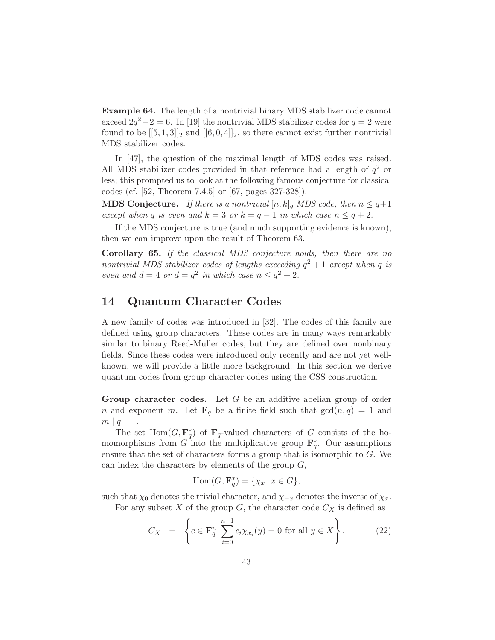Example 64. The length of a nontrivial binary MDS stabilizer code cannot exceed  $2q^2 - 2 = 6$ . In [19] the nontrivial MDS stabilizer codes for  $q = 2$  were found to be  $[[5,1,3]]_2$  and  $[[6,0,4]]_2$ , so there cannot exist further nontrivial MDS stabilizer codes.

In [47], the question of the maximal length of MDS codes was raised. All MDS stabilizer codes provided in that reference had a length of  $q^2$  or less; this prompted us to look at the following famous conjecture for classical codes (cf. [52, Theorem 7.4.5] or [67, pages 327-328]).

**MDS Conjecture.** *If there is a nontrivial*  $[n, k]_q$  *MDS code, then*  $n \leq q+1$ *except when* q *is even and*  $k = 3$  *or*  $k = q - 1$  *in which case*  $n \leq q + 2$ *.* 

If the MDS conjecture is true (and much supporting evidence is known), then we can improve upon the result of Theorem 63.

Corollary 65. *If the classical MDS conjecture holds, then there are no nontrivial MDS stabilizer codes of lengths exceeding*  $q^2 + 1$  *except when* q *is even and*  $d = 4$  *or*  $d = q^2$  *in which case*  $n \leq q^2 + 2$ *.* 

## 14 Quantum Character Codes

A new family of codes was introduced in [32]. The codes of this family are defined using group characters. These codes are in many ways remarkably similar to binary Reed-Muller codes, but they are defined over nonbinary fields. Since these codes were introduced only recently and are not yet wellknown, we will provide a little more background. In this section we derive quantum codes from group character codes using the CSS construction.

Group character codes. Let  $G$  be an additive abelian group of order n and exponent m. Let  $\mathbf{F}_q$  be a finite field such that  $gcd(n, q) = 1$  and  $m \mid q-1.$ 

The set  $Hom(G, \mathbf{F}_q^*)$  of  $\mathbf{F}_q$ -valued characters of G consists of the homomorphisms from G into the multiplicative group  $\mathbf{F}_q^*$ . Our assumptions ensure that the set of characters forms a group that is isomorphic to G. We can index the characters by elements of the group  $G$ ,

$$
\operatorname{Hom}(G, \mathbf{F}_q^*) = \{ \chi_x \, | \, x \in G \},
$$

such that  $\chi_0$  denotes the trivial character, and  $\chi_{-x}$  denotes the inverse of  $\chi_x$ . For any subset  $X$  of the group  $G$ , the character code  $C_X$  is defined as

$$
C_X = \left\{ c \in \mathbf{F}_q^n \middle| \sum_{i=0}^{n-1} c_i \chi_{x_i}(y) = 0 \text{ for all } y \in X \right\}.
$$
 (22)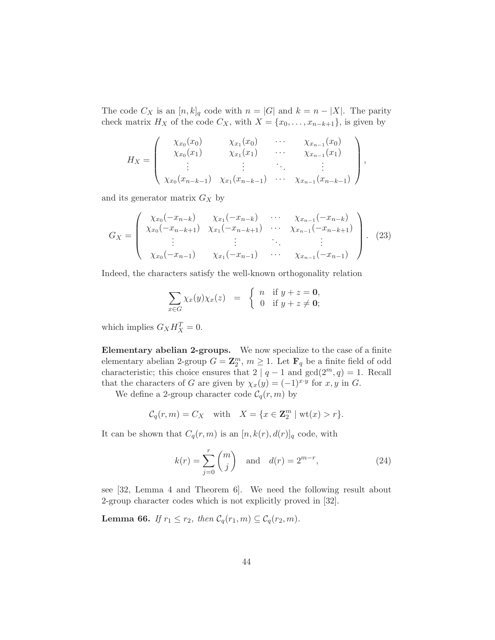The code  $C_X$  is an  $[n, k]_q$  code with  $n = |G|$  and  $k = n - |X|$ . The parity check matrix  $H_X$  of the code  $C_X$ , with  $X = \{x_0, \ldots, x_{n-k+1}\}\)$ , is given by

$$
H_X = \begin{pmatrix} \chi_{x_0}(x_0) & \chi_{x_1}(x_0) & \cdots & \chi_{x_{n-1}}(x_0) \\ \chi_{x_0}(x_1) & \chi_{x_1}(x_1) & \cdots & \chi_{x_{n-1}}(x_1) \\ \vdots & \vdots & \ddots & \vdots \\ \chi_{x_0}(x_{n-k-1}) & \chi_{x_1}(x_{n-k-1}) & \cdots & \chi_{x_{n-1}}(x_{n-k-1}) \end{pmatrix},
$$

and its generator matrix  $G_X$  by

$$
G_X = \begin{pmatrix} \chi_{x_0}(-x_{n-k}) & \chi_{x_1}(-x_{n-k}) & \cdots & \chi_{x_{n-1}}(-x_{n-k}) \\ \chi_{x_0}(-x_{n-k+1}) & \chi_{x_1}(-x_{n-k+1}) & \cdots & \chi_{x_{n-1}}(-x_{n-k+1}) \\ \vdots & \vdots & \ddots & \vdots \\ \chi_{x_0}(-x_{n-1}) & \chi_{x_1}(-x_{n-1}) & \cdots & \chi_{x_{n-1}}(-x_{n-1}) \end{pmatrix} . \tag{23}
$$

Indeed, the characters satisfy the well-known orthogonality relation

$$
\sum_{x \in G} \chi_x(y) \chi_x(z) = \begin{cases} n & \text{if } y + z = 0, \\ 0 & \text{if } y + z \neq 0; \end{cases}
$$

which implies  $G_X H_X^T = 0$ .

Elementary abelian 2-groups. We now specialize to the case of a finite elementary abelian 2-group  $G = \mathbb{Z}_2^m$ ,  $m \geq 1$ . Let  $\mathbf{F}_q$  be a finite field of odd characteristic; this choice ensures that  $2 | q - 1$  and  $gcd(2^m, q) = 1$ . Recall that the characters of G are given by  $\chi_x(y) = (-1)^{x \cdot y}$  for  $x, y$  in G.

We define a 2-group character code  $C_q(r, m)$  by

$$
\mathcal{C}_q(r,m) = C_X \quad \text{with} \quad X = \{x \in \mathbb{Z}_2^m \mid \text{wt}(x) > r\}.
$$

It can be shown that  $C_q(r, m)$  is an  $[n, k(r), d(r)]_q$  code, with

$$
k(r) = \sum_{j=0}^{r} \binom{m}{j} \quad \text{and} \quad d(r) = 2^{m-r},\tag{24}
$$

see [32, Lemma 4 and Theorem 6]. We need the following result about 2-group character codes which is not explicitly proved in [32].

**Lemma 66.** *If*  $r_1 \leq r_2$ *, then*  $C_q(r_1, m) \subseteq C_q(r_2, m)$ *.*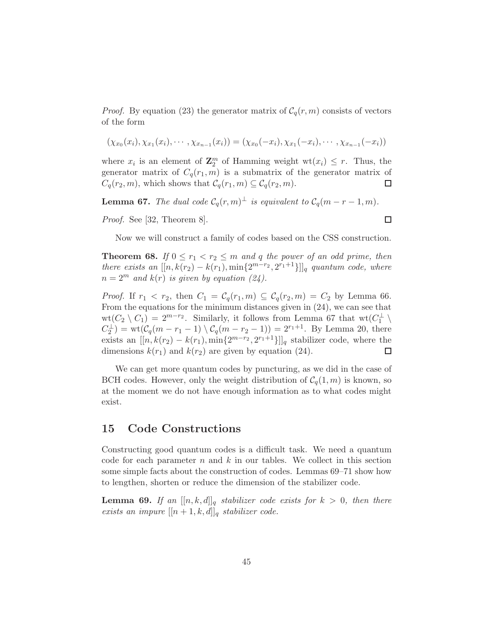*Proof.* By equation (23) the generator matrix of  $C_q(r, m)$  consists of vectors of the form

$$
(\chi_{x_0}(x_i), \chi_{x_1}(x_i), \cdots, \chi_{x_{n-1}}(x_i)) = (\chi_{x_0}(-x_i), \chi_{x_1}(-x_i), \cdots, \chi_{x_{n-1}}(-x_i))
$$

where  $x_i$  is an element of  $\mathbf{Z}_2^m$  of Hamming weight  $\text{wt}(x_i) \leq r$ . Thus, the generator matrix of  $C_q(r_1, m)$  is a submatrix of the generator matrix of  $C_q(r_2, m)$ , which shows that  $C_q(r_1, m) \subseteq C_q(r_2, m)$ . □

**Lemma 67.** *The dual code*  $C_q(r,m)^{\perp}$  *is equivalent to*  $C_q(m-r-1,m)$ *.* 

*Proof.* See [32, Theorem 8].

 $\Box$ 

Now we will construct a family of codes based on the CSS construction.

**Theorem 68.** *If*  $0 \le r_1 < r_2 \le m$  *and q the power of an odd prime, then there exists an*  $[[n, k(r_2) - k(r_1), \min\{2^{m-r_2}, 2^{r_1+1}\}]]_q$  quantum code, where  $n = 2^m$  *and*  $k(r)$  *is given by equation (24).* 

*Proof.* If  $r_1 < r_2$ , then  $C_1 = C_q(r_1, m) \subseteq C_q(r_2, m) = C_2$  by Lemma 66. From the equations for the minimum distances given in (24), we can see that  $wt(C_2 \setminus C_1) = 2^{m-r_2}$ . Similarly, it follows from Lemma 67 that  $wt(C_1^{\perp})$  $\overline{1}$  $C_2^{\perp}$  = wt( $C_q(m - r_1 - 1) \setminus C_q(m - r_2 - 1)$ ) =  $2^{r_1+1}$ . By Lemma 20, there exists an  $[[n, k(r_2) - k(r_1), \min\{2^{m-r_2}, 2^{r_1+1}\}]]_q$  stabilizer code, where the dimensions  $k(r_1)$  and  $k(r_2)$  are given by equation (24). П

We can get more quantum codes by puncturing, as we did in the case of BCH codes. However, only the weight distribution of  $C_q(1, m)$  is known, so at the moment we do not have enough information as to what codes might exist.

#### 15 Code Constructions

Constructing good quantum codes is a difficult task. We need a quantum code for each parameter  $n$  and  $k$  in our tables. We collect in this section some simple facts about the construction of codes. Lemmas 69–71 show how to lengthen, shorten or reduce the dimension of the stabilizer code.

**Lemma 69.** If an  $[[n, k, d]]_q$  stabilizer code exists for  $k > 0$ , then there *exists an impure*  $[[n+1, k, d]]_q$  *stabilizer code.*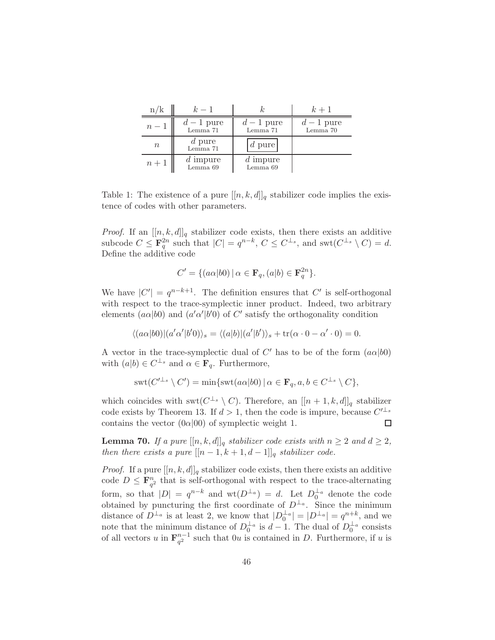| n/k    | $k-1$                  |                        | $k+1$                  |
|--------|------------------------|------------------------|------------------------|
| $n-1$  | $d-1$ pure<br>Lemma 71 | $d-1$ pure<br>Lemma 71 | $d-1$ pure<br>Lemma 70 |
| $\, n$ | d pure<br>Lemma 71     | $d$ pure               |                        |
| $n+1$  | $d$ impure<br>Lemma 69 | d impure<br>Lemma 69   |                        |

Table 1: The existence of a pure  $[[n, k, d]]_q$  stabilizer code implies the existence of codes with other parameters.

*Proof.* If an  $[[n, k, d]]_q$  stabilizer code exists, then there exists an additive subcode  $C \leq \mathbf{F}_q^{2n}$  such that  $|C| = q^{n-k}$ ,  $C \leq C^{\perp_s}$ , and swt $(C^{\perp_s} \setminus C) = d$ . Define the additive code

$$
C' = \{ (a\alpha|b0) \mid \alpha \in \mathbf{F}_q, (a|b) \in \mathbf{F}_q^{2n} \}.
$$

We have  $|C'| = q^{n-k+1}$ . The definition ensures that  $C'$  is self-orthogonal with respect to the trace-symplectic inner product. Indeed, two arbitrary elements  $(a\alpha|b0)$  and  $(a'\alpha'|b'0)$  of C' satisfy the orthogonality condition

$$
\langle (a\alpha|b0)| (a'\alpha'|b'0)\rangle_s = \langle (a|b)| (a'|b')\rangle_s + \text{tr}(\alpha \cdot 0 - \alpha' \cdot 0) = 0.
$$

A vector in the trace-symplectic dual of  $C'$  has to be of the form  $(a\alpha|b0)$ with  $(a|b) \in C^{\perp_s}$  and  $\alpha \in \mathbf{F}_q$ . Furthermore,

$$
swt(C'^{\perp_s} \setminus C') = \min\{swt(a\alpha|b0) \mid \alpha \in \mathbf{F}_q, a, b \in C^{\perp_s} \setminus C\},\
$$

which coincides with  $\mathrm{swt}(C^{\perp_s} \setminus C)$ . Therefore, an  $[[n+1, k, d]]_q$  stabilizer code exists by Theorem 13. If  $d > 1$ , then the code is impure, because  $C'^{\perp_s}$ contains the vector  $(0\alpha|00)$  of symplectic weight 1.  $\Box$ 

**Lemma 70.** *If a pure*  $[[n, k, d]]_q$  *stabilizer code exists with*  $n \geq 2$  *and*  $d \geq 2$ *, then there exists a pure*  $[[n-1,k+1,d-1]]_q$  *stabilizer code.* 

*Proof.* If a pure  $[[n, k, d]]_q$  stabilizer code exists, then there exists an additive code  $D \leq \mathbf{F}_{q^2}^n$  that is self-orthogonal with respect to the trace-alternating form, so that  $|D| = q^{n-k}$  and  $\text{wt}(D^{\perp_a}) = d$ . Let  $D_0^{\perp_a}$  denote the code obtained by puncturing the first coordinate of  $D^{\perp_a}$ . Since the minimum distance of  $D^{\perp_a}$  is at least 2, we know that  $|D_0^{\perp_a}| = |D^{\perp_a}| = q^{n+k}$ , and we note that the minimum distance of  $D_0^{\perp_a}$  is  $d-1$ . The dual of  $D_0^{\perp_a}$  consists of all vectors u in  $\mathbf{F}_{a}^{n-1}$  $\frac{n-1}{q^2}$  such that  $0u$  is contained in D. Furthermore, if u is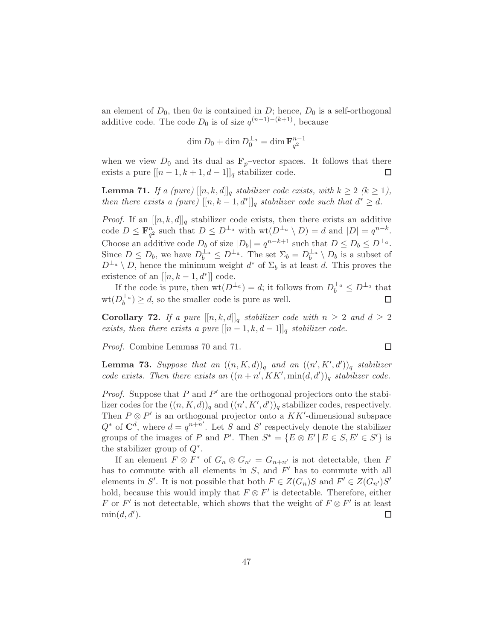an element of  $D_0$ , then  $0u$  is contained in D; hence,  $D_0$  is a self-orthogonal additive code. The code  $D_0$  is of size  $q^{(n-1)-(k+1)}$ , because

$$
\dim D_0 + \dim D_0^{\perp_a} = \dim \mathbf{F}_{q^2}^{n-1}
$$

when we view  $D_0$  and its dual as  $\mathbf{F}_p$ -vector spaces. It follows that there exists a pure  $[[n-1, k+1, d-1]]_q$  stabilizer code.  $\Box$ 

**Lemma 71.** *If a (pure)*  $[[n, k, d]]_q$  *stabilizer code exists, with*  $k \geq 2$  ( $k \geq 1$ ), *then there exists a (pure)*  $[[n, k-1, d^*]]_q$  *stabilizer code such that*  $d^* \geq d$ *.* 

*Proof.* If an  $[[n, k, d]]_q$  stabilizer code exists, then there exists an additive code  $D \leq \mathbf{F}_{q^2}^n$  such that  $D \leq D^{\perp_a}$  with  $\text{wt}(D^{\perp_a} \setminus D) = d$  and  $|D| = q^{n-k}$ . Choose an additive code  $D_b$  of size  $|D_b| = q^{n-k+1}$  such that  $D \le D_b \le D^{\perp_a}$ . Since  $D \leq D_b$ , we have  $D_b^{\perp_a} \leq D^{\perp_a}$ . The set  $\Sigma_b = D_b^{\perp_a}$  $\frac{1}{b}$ <sup> $\frac{1}{b}$ </sup> $\setminus D_b$  is a subset of  $D^{\perp_a} \setminus D$ , hence the minimum weight  $d^*$  of  $\Sigma_b$  is at least d. This proves the existence of an  $[[n, k-1, d^*]]$  code.

If the code is pure, then  $\text{wt}(D^{\perp_a}) = d$ ; it follows from  $D_b^{\perp_a} \leq D^{\perp_a}$  that  $\operatorname{wt}(D_h^{\perp_a})$  $\lambda_b^{\perp_a}$ )  $\geq d$ , so the smaller code is pure as well.  $\Box$ 

**Corollary 72.** *If a pure*  $[[n, k, d]]_q$  *stabilizer code with*  $n \geq 2$  *and*  $d \geq 2$ *exists, then there exists a pure*  $[[n-1,k,d-1]]_q$  *stabilizer code.* 

*Proof.* Combine Lemmas 70 and 71.

**Lemma 73.** Suppose that an  $((n, K, d))_q$  and an  $((n', K', d'))_q$  stabilizer *code exists. Then there exists an*  $((n + n', KK', \min(d, d'))_q$  *stabilizer code.* 

 $\Box$ 

*Proof.* Suppose that  $P$  and  $P'$  are the orthogonal projectors onto the stabilizer codes for the  $((n, K, d))_q$  and  $((n', K', d'))_q$  stabilizer codes, respectively. Then  $P \otimes P'$  is an orthogonal projector onto a  $KK'$ -dimensional subspace  $Q^*$  of  $\mathbf{C}^d$ , where  $d = q^{n+n'}$ . Let S and S' respectively denote the stabilizer groups of the images of P and P'. Then  $S^* = \{E \otimes E' | E \in S, E' \in S'\}$  is the stabilizer group of  $Q^*$ .

If an element  $F \otimes F^*$  of  $G_n \otimes G_{n'} = G_{n+n'}$  is not detectable, then F has to commute with all elements in  $S$ , and  $F'$  has to commute with all elements in S'. It is not possible that both  $F \in Z(G_n)$ S and  $F' \in Z(G_{n'})$ S' hold, because this would imply that  $F \otimes F'$  is detectable. Therefore, either F or F' is not detectable, which shows that the weight of  $F \otimes F'$  is at least  $min(d, d').$ □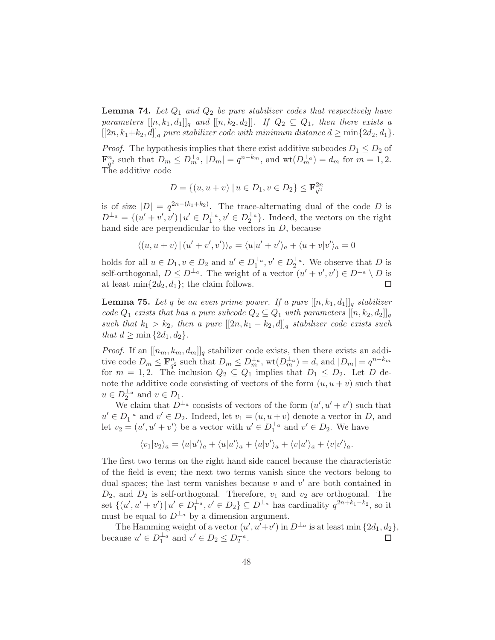**Lemma 74.** Let  $Q_1$  and  $Q_2$  be pure stabilizer codes that respectively have *parameters*  $[[n, k_1, d_1]]_q$  *and*  $[[n, k_2, d_2]]$ *. If*  $Q_2 \subseteq Q_1$ *, then there exists a*  $[[2n, k_1+k_2, d]]_q$  *pure stabilizer code with minimum distance*  $d \ge \min\{2d_2, d_1\}.$ 

*Proof.* The hypothesis implies that there exist additive subcodes  $D_1 \leq D_2$  of  $\mathbf{F}_{q^2}^n$  such that  $D_m \leq D_m^{\perp_a}$ ,  $|D_m| = q^{n-k_m}$ , and  $\text{wt}(D_m^{\perp_a}) = d_m$  for  $m = 1, 2$ . The additive code

$$
D = \{(u, u + v) \mid u \in D_1, v \in D_2\} \le \mathbf{F}_{q^2}^{2n}
$$

is of size  $|D| = q^{2n-(k_1+k_2)}$ . The trace-alternating dual of the code D is  $D^{\perp_a} = \{(u' + v', v') | u' \in D_1^{\perp_a}, v' \in D_2^{\perp_a}\}.$  Indeed, the vectors on the right hand side are perpendicular to the vectors in D, because

$$
\langle (u, u + v) | (u' + v', v') \rangle_a = \langle u | u' + v' \rangle_a + \langle u + v | v' \rangle_a = 0
$$

holds for all  $u \in D_1$ ,  $v \in D_2$  and  $u' \in D_1^{\perp_a}$ ,  $v' \in D_2^{\perp_a}$ . We observe that D is self-orthogonal,  $D \leq D^{\perp_a}$ . The weight of a vector  $(u' + v', v') \in D^{\perp_a} \setminus D$  is at least  $\min\{2d_2, d_1\}$ ; the claim follows.

**Lemma 75.** Let q be an even prime power. If a pure  $[[n, k_1, d_1]]_q$  stabilizer *code*  $Q_1$  *exists that has a pure subcode*  $Q_2 \subseteq Q_1$  *with parameters*  $[[n, k_2, d_2]]_q$ *such that*  $k_1 > k_2$ , then a pure  $[[2n, k_1 - k_2, d]]_q$  *stabilizer code exists such that*  $d > \min\{2d_1, d_2\}$ .

*Proof.* If an  $[[n_m, k_m, d_m]]_q$  stabilizer code exists, then there exists an additive code  $D_m \leq \mathbf{F}_{q^2}^n$  such that  $D_m \leq D_m^{\perp_a}$ ,  $\text{wt}(D_m^{\perp_a}) = d$ , and  $|D_m| = q^{n-k_m}$ for  $m = 1, 2$ . The inclusion  $Q_2 \subseteq Q_1$  implies that  $D_1 \leq D_2$ . Let D denote the additive code consisting of vectors of the form  $(u, u + v)$  such that  $u \in D_2^{\perp_a}$  and  $v \in D_1$ .

 $D_2$  and  $v \in D_1$ .<br>We claim that  $D^{\perp_a}$  consists of vectors of the form  $(u', u' + v')$  such that  $u' \in D_1^{\perp_a}$  and  $v' \in D_2$ . Indeed, let  $v_1 = (u, u + v)$  denote a vector in D, and let  $v_2 = (u', u' + v')$  be a vector with  $u' \in D_1^{\perp_a}$  and  $v' \in D_2$ . We have

$$
\langle v_1|v_2\rangle_a = \langle u|u'\rangle_a + \langle u|u'\rangle_a + \langle u|v'\rangle_a + \langle v|u'\rangle_a + \langle v|v'\rangle_a.
$$

The first two terms on the right hand side cancel because the characteristic of the field is even; the next two terms vanish since the vectors belong to dual spaces; the last term vanishes because  $v$  and  $v'$  are both contained in  $D_2$ , and  $D_2$  is self-orthogonal. Therefore,  $v_1$  and  $v_2$  are orthogonal. The set  $\{(u', u' + v') | u' \in D_1^{\perp_a}, v' \in D_2\} \subseteq D^{\perp_a}$  has cardinality  $q^{2n+k_1-k_2}$ , so it must be equal to  $D^{\perp_a}$  by a dimension argument.

The Hamming weight of a vector  $(u', u' + v')$  in  $D^{\perp_a}$  is at least min  $\{2d_1, d_2\}$ , because  $u' \in D_1^{\perp_a}$  and  $v' \in D_2 \leq D_2^{\perp_a}$ .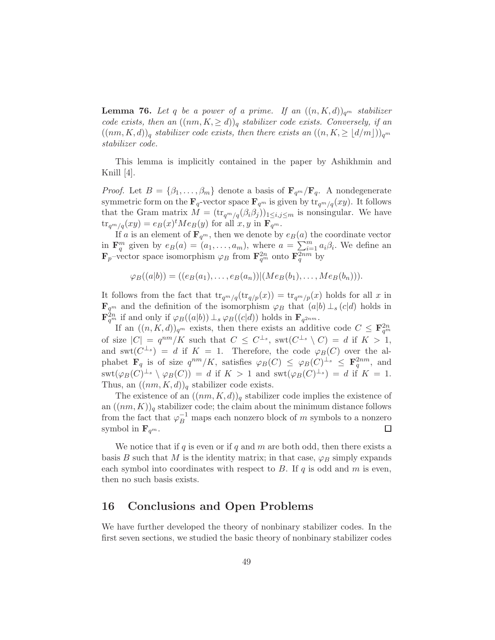**Lemma 76.** Let q be a power of a prime. If an  $((n, K, d))_{q^m}$  stabilizer *code exists, then an*  $((nm, K, \ge d))_q$  *stabilizer code exists. Conversely, if an*  $((nm, K, d))_q$  *stabilizer code exists, then there exists an*  $((n, K, \geq d/m))_{q^m}$ *stabilizer code.*

This lemma is implicitly contained in the paper by Ashikhmin and Knill [4].

*Proof.* Let  $B = \{\beta_1, \ldots, \beta_m\}$  denote a basis of  $\mathbf{F}_{q^m}/\mathbf{F}_{q}$ . A nondegenerate symmetric form on the  $\mathbf{F}_q$ -vector space  $\mathbf{F}_{q^m}$  is given by  $\text{tr}_{q^m/q}(xy)$ . It follows that the Gram matrix  $M = (\text{tr}_{q^m/q}(\beta_i\beta_j))_{1\leq i,j\leq m}$  is nonsingular. We have  $\text{tr}_{q^m/q}(xy) = e_B(x)^t Me_B(y)$  for all  $x, y$  in  $\mathbf{F}_{q^m}$ .

If a is an element of  $\mathbf{F}_{q^m}$ , then we denote by  $e_B(a)$  the coordinate vector in  $\mathbf{F}_q^m$  given by  $e_B(a) = (a_1, \ldots, a_m)$ , where  $a = \sum_{i=1}^m a_i \beta_i$ . We define an  $\mathbf{F}_p$ -vector space isomorphism  $\varphi_B$  from  $\mathbf{F}_{q^m}^{2n}$  onto  $\mathbf{F}_{q}^{2nm}$  by

 $\varphi_B((a|b)) = ((e_B(a_1), \ldots, e_B(a_n)) | (Me_B(b_1), \ldots, Me_B(b_n))).$ 

It follows from the fact that  $\text{tr}_{q^m/q}(\text{tr}_{q/p}(x)) = \text{tr}_{q^m/p}(x)$  holds for all x in  $\mathbf{F}_{q^m}$  and the definition of the isomorphism  $\varphi_B$  that  $(a|b) \perp_s (c|d)$  holds in  $\mathbf{F}_{q^m}^{2n}$  if and only if  $\varphi_B((a|b)) \perp_s \varphi_B((c|d))$  holds in  $\mathbf{F}_{q^{2nm}}$ .

If an  $((n, K, d))_{q^m}$  exists, then there exists an additive code  $C \leq \mathbf{F}_{q^m}^{2n}$ of size  $|C| = q^{nm}/K$  such that  $C \leq C^{\perp_s}$ , swt $(C^{\perp_s} \setminus C) = d$  if  $K > 1$ , and swt $(C^{\perp_s}) = d$  if  $K = 1$ . Therefore, the code  $\varphi_B(C)$  over the alphabet  $\mathbf{F}_q$  is of size  $q^{nm}/K$ , satisfies  $\varphi_B(C) \leq \varphi_B(C)^{\perp_s} \leq \mathbf{F}_q^{2nm}$ , and  $\operatorname{swt}(\varphi_B(C)^{\perp_s} \setminus \varphi_B(C)) = d$  if  $K > 1$  and  $\operatorname{swt}(\varphi_B(C)^{\perp_s}) = d$  if  $K = 1$ . Thus, an  $((nm, K, d))_q$  stabilizer code exists.

The existence of an  $((nm, K, d))_q$  stabilizer code implies the existence of an  $((nm, K))_q$  stabilizer code; the claim about the minimum distance follows from the fact that  $\varphi_B^{-1}$  maps each nonzero block of m symbols to a nonzero symbol in  $\mathbf{F}_{q^m}$ .

We notice that if q is even or if q and m are both odd, then there exists a basis B such that M is the identity matrix; in that case,  $\varphi_B$  simply expands each symbol into coordinates with respect to  $B$ . If  $q$  is odd and  $m$  is even, then no such basis exists.

## 16 Conclusions and Open Problems

We have further developed the theory of nonbinary stabilizer codes. In the first seven sections, we studied the basic theory of nonbinary stabilizer codes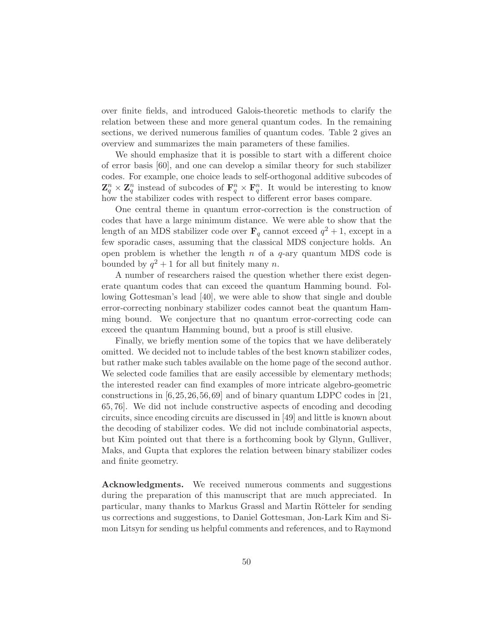over finite fields, and introduced Galois-theoretic methods to clarify the relation between these and more general quantum codes. In the remaining sections, we derived numerous families of quantum codes. Table 2 gives an overview and summarizes the main parameters of these families.

We should emphasize that it is possible to start with a different choice of error basis [60], and one can develop a similar theory for such stabilizer codes. For example, one choice leads to self-orthogonal additive subcodes of  $\mathbf{Z}_q^n \times \mathbf{Z}_q^n$  instead of subcodes of  $\mathbf{F}_q^n \times \mathbf{F}_q^n$ . It would be interesting to know how the stabilizer codes with respect to different error bases compare.

One central theme in quantum error-correction is the construction of codes that have a large minimum distance. We were able to show that the length of an MDS stabilizer code over  $\mathbf{F}_q$  cannot exceed  $q^2 + 1$ , except in a few sporadic cases, assuming that the classical MDS conjecture holds. An open problem is whether the length  $n$  of a  $q$ -ary quantum MDS code is bounded by  $q^2 + 1$  for all but finitely many n.

A number of researchers raised the question whether there exist degenerate quantum codes that can exceed the quantum Hamming bound. Following Gottesman's lead [40], we were able to show that single and double error-correcting nonbinary stabilizer codes cannot beat the quantum Hamming bound. We conjecture that no quantum error-correcting code can exceed the quantum Hamming bound, but a proof is still elusive.

Finally, we briefly mention some of the topics that we have deliberately omitted. We decided not to include tables of the best known stabilizer codes, but rather make such tables available on the home page of the second author. We selected code families that are easily accessible by elementary methods; the interested reader can find examples of more intricate algebro-geometric constructions in  $[6,25,26,56,69]$  and of binary quantum LDPC codes in [21, 65, 76]. We did not include constructive aspects of encoding and decoding circuits, since encoding circuits are discussed in [49] and little is known about the decoding of stabilizer codes. We did not include combinatorial aspects, but Kim pointed out that there is a forthcoming book by Glynn, Gulliver, Maks, and Gupta that explores the relation between binary stabilizer codes and finite geometry.

Acknowledgments. We received numerous comments and suggestions during the preparation of this manuscript that are much appreciated. In particular, many thanks to Markus Grassl and Martin Rötteler for sending us corrections and suggestions, to Daniel Gottesman, Jon-Lark Kim and Simon Litsyn for sending us helpful comments and references, and to Raymond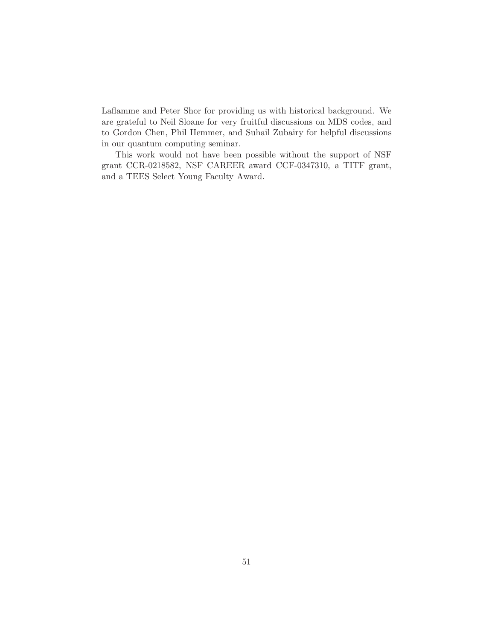Laflamme and Peter Shor for providing us with historical background. We are grateful to Neil Sloane for very fruitful discussions on MDS codes, and to Gordon Chen, Phil Hemmer, and Suhail Zubairy for helpful discussions in our quantum computing seminar.

This work would not have been possible without the support of NSF grant CCR-0218582, NSF CAREER award CCF-0347310, a TITF grant, and a TEES Select Young Faculty Award.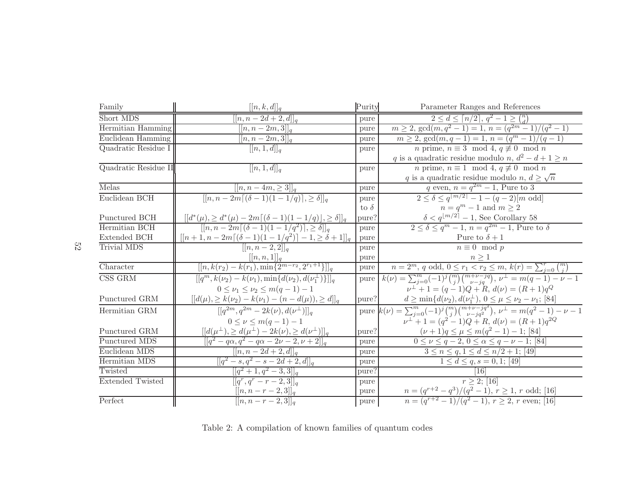| Family                  | $[[n, k, d]]_q$                                                                                                                        | Purity      | Parameter Ranges and References                                                                                                                                                                                                   |
|-------------------------|----------------------------------------------------------------------------------------------------------------------------------------|-------------|-----------------------------------------------------------------------------------------------------------------------------------------------------------------------------------------------------------------------------------|
| Short MDS               | $[n, n-2d+2, d] _q$                                                                                                                    | pure        | $2 \leq d \leq \lceil n/2 \rceil, q^2 - 1 \geq {n \choose d}$                                                                                                                                                                     |
| Hermitian Hamming       | $[[n, n-2m, 3]]_q$                                                                                                                     | pure        | $m \geq 2$ , $gcd(m, q^2 - 1) = 1$ , $n = (q^{2m} - 1)/(q^2 - 1)$                                                                                                                                                                 |
| Euclidean Hamming       | $[[n, n-2m, 3]]_q$                                                                                                                     | pure        | $m \geq 2$ , $gcd(m, q - 1) = 1$ , $n = (qm - 1)/(q - 1)$                                                                                                                                                                         |
| Quadratic Residue I     | $[[n,1,d]]_q$                                                                                                                          | pure        | <i>n</i> prime, $n \equiv 3 \mod 4$ , $q \not\equiv 0 \mod n$                                                                                                                                                                     |
|                         |                                                                                                                                        |             | q is a quadratic residue modulo n, $d^2 - d + 1 \ge n$                                                                                                                                                                            |
| Quadratic Residue II    | $[[n,1,d]]_q$                                                                                                                          | pure        | <i>n</i> prime, $n \equiv 1 \mod 4$ , $q \not\equiv 0 \mod n$                                                                                                                                                                     |
|                         |                                                                                                                                        |             | q is a quadratic residue modulo $n, d \geq \sqrt{n}$                                                                                                                                                                              |
| Melas                   | $[[n, n-4m, \geq 3]]_q$                                                                                                                | pure        | q even, $n = q^{2m} - 1$ , Pure to 3                                                                                                                                                                                              |
| Euclidean BCH           | $[[n, n-2m[(\delta-1)(1-1/q)], \geq \delta]]_q$                                                                                        | pure        | $2 \le \delta \le q^{ m/2 } - 1 - (q-2)[m \text{ odd}]$                                                                                                                                                                           |
|                         |                                                                                                                                        | to $\delta$ | $n=q^m-1$ and $m\geq 2$                                                                                                                                                                                                           |
| Punctured BCH           | $\frac{[[d^*(\mu), \geq d^*(\mu) - 2m[(\delta - 1)(1 - 1/q)], \geq \delta]]_q}{[[n, n - 2m[(\delta - 1)(1 - 1/q^2)], \geq \delta]]_q}$ | pure?       | $\delta < q^{\lfloor m/2 \rfloor} - 1$ , See Corollary 58                                                                                                                                                                         |
| Hermitian BCH           |                                                                                                                                        | pure        | $2 \leq \delta \leq q^m-1, n=q^{2m}-1$ , Pure to $\delta$                                                                                                                                                                         |
| <b>Extended BCH</b>     | $[[n+1, n-2m[(\delta-1)(1-1/q^2)]-1, \geq \delta+1]]_q$                                                                                | pure        | Pure to $\delta + 1$                                                                                                                                                                                                              |
| Trivial MDS             | $[[n, n-2, 2]]_q$                                                                                                                      | pure        | $n \equiv 0 \mod p$                                                                                                                                                                                                               |
|                         | $\frac{[[n, n, 1]]_q}{[[n, k(r_2) - k(r_1), \min\{2^{m-r_2}, 2^{r_1+1}\}]]_q}$                                                         | pure        | $n \geq 1$                                                                                                                                                                                                                        |
| Character               |                                                                                                                                        | pure        | $n = 2^m$ , q odd, $0 \le r_1 < r_2 \le m$ , $k(r) = \sum_{j=0}^r \binom{m}{j}$                                                                                                                                                   |
| CSS GRM                 | $[[q^m, k(\nu_2) - k(\nu_1), \min\{d(\nu_2), d(\nu_1^{\perp})\}]]_q$                                                                   | pure        | $k(\nu) = \sum_{j=0}^{m} (-1)^j {m \choose j} {m+\nu-jq \choose \nu-jq}, \nu^{\perp} = m(q-1) - \nu - 1$                                                                                                                          |
|                         | $0 \leq \nu_1 \leq \nu_2 \leq m(q-1)-1$                                                                                                |             | $\nu^{\perp} + 1 = (q - 1)Q + R, d(\nu) = (R + 1)q^{Q}$                                                                                                                                                                           |
| Punctured GRM           | $[[d(\mu), \geq k(\nu_2) - k(\nu_1) - (n - d(\mu)), \geq d]]_q$                                                                        | pure?       |                                                                                                                                                                                                                                   |
| Hermitian GRM           | $[[q^{2m}, q^{2m} - 2k(\nu), d(\nu^{\perp})]]_q$                                                                                       |             | pure?<br>$\frac{d \geq \min\{d(\nu_2), d(\nu_1^{\perp}), 0 \leq \mu \leq \nu_2 - \nu_1; [84]}{\text{pure } k(\nu) = \sum_{j=0}^m (-1)^j {m \choose j} {m + \nu - j q^2 \choose \nu - j q^2}, \nu^{\perp} = m(q^2 - 1) - \nu - 1}$ |
|                         | $0 \leq \nu \leq m(q-1)-1$                                                                                                             |             | $\nu^{\perp} + 1 = (q^2 - 1)Q + R, d(\nu) = (R + 1)q^{2Q}$                                                                                                                                                                        |
| Punctured GRM           | $[[d(\mu^\perp),\geq d(\mu^\perp)-2k(\nu),\geq d(\nu^\perp)]]_q$                                                                       | pure?       | $(\nu+1)q \leq \mu \leq m(q^2-1)-1$ ; [84]                                                                                                                                                                                        |
| Punctured MDS           | $\sqrt{[a^2 - q\alpha, q^2 - q\alpha - 2\nu - 2, \nu + 2]}]_q$                                                                         | pure        | $0 \leq \nu \leq q-2, 0 \leq \alpha \leq q-\nu-1;$ [84]                                                                                                                                                                           |
| Euclidean MDS           | $[[n, n-2d+2, d]]_q$                                                                                                                   | pure        | $3 \le n \le q, 1 \le d \le n/2 + 1;$ [49]                                                                                                                                                                                        |
| Hermitian MDS           | $[[q^2-s,q^2-s-2d+2,d]]_q$                                                                                                             | pure        | $1 \leq d \leq q, s = 0, 1; [49]$                                                                                                                                                                                                 |
| Twisted                 | $[[q^2+1,q^2-3,3]]_q$                                                                                                                  | pure?       | [16]                                                                                                                                                                                                                              |
| <b>Extended Twisted</b> | $[[q^r, q^r - r - 2, 3]]_q$                                                                                                            | pure        | $r \geq 2$ ; [16]                                                                                                                                                                                                                 |
|                         | $\frac{[[n, n-r-2,3]]_q}{[[n, n-r-2,3]]_q}$                                                                                            | pure        | $n = (q^{r+2} - q^3)/(q^2 - 1), r \ge 1, r$ odd; [16]<br>$n = (q^{r+2} - 1)/(q^2 - 1), r \ge 2, r$ even; [16]                                                                                                                     |
| Perfect                 |                                                                                                                                        | pure        |                                                                                                                                                                                                                                   |

Table 2: A compilation of known families of quantum codes

52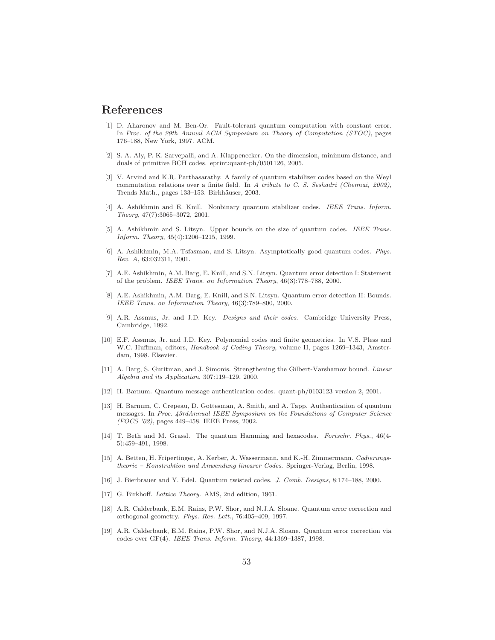#### References

- [1] D. Aharonov and M. Ben-Or. Fault-tolerant quantum computation with constant error. In *Proc. of the 29th Annual ACM Symposium on Theory of Computation (STOC)*, pages 176–188, New York, 1997. ACM.
- [2] S. A. Aly, P. K. Sarvepalli, and A. Klappenecker. On the dimension, minimum distance, and duals of primitive BCH codes. eprint:quant-ph/0501126, 2005.
- [3] V. Arvind and K.R. Parthasarathy. A family of quantum stabilizer codes based on the Weyl commutation relations over a finite field. In *A tribute to C. S. Seshadri (Chennai, 2002)*, Trends Math., pages 133-153. Birkhäuser, 2003.
- [4] A. Ashikhmin and E. Knill. Nonbinary quantum stabilizer codes. *IEEE Trans. Inform. Theory*, 47(7):3065–3072, 2001.
- [5] A. Ashikhmin and S. Litsyn. Upper bounds on the size of quantum codes. *IEEE Trans. Inform. Theory*, 45(4):1206–1215, 1999.
- [6] A. Ashikhmin, M.A. Tsfasman, and S. Litsyn. Asymptotically good quantum codes. *Phys. Rev. A*, 63:032311, 2001.
- [7] A.E. Ashikhmin, A.M. Barg, E. Knill, and S.N. Litsyn. Quantum error detection I: Statement of the problem. *IEEE Trans. on Information Theory*, 46(3):778–788, 2000.
- [8] A.E. Ashikhmin, A.M. Barg, E. Knill, and S.N. Litsyn. Quantum error detection II: Bounds. *IEEE Trans. on Information Theory*, 46(3):789–800, 2000.
- [9] A.R. Assmus, Jr. and J.D. Key. *Designs and their codes*. Cambridge University Press, Cambridge, 1992.
- [10] E.F. Assmus, Jr. and J.D. Key. Polynomial codes and finite geometries. In V.S. Pless and W.C. Huffman, editors, *Handbook of Coding Theory*, volume II, pages 1269–1343, Amsterdam, 1998. Elsevier.
- [11] A. Barg, S. Guritman, and J. Simonis. Strengthening the Gilbert-Varshamov bound. *Linear Algebra and its Application*, 307:119–129, 2000.
- [12] H. Barnum. Quantum message authentication codes. quant-ph/0103123 version 2, 2001.
- [13] H. Barnum, C. Crepeau, D. Gottesman, A. Smith, and A. Tapp. Authentication of quantum messages. In *Proc. 43rdAnnual IEEE Symposium on the Foundations of Computer Science (FOCS '02)*, pages 449–458. IEEE Press, 2002.
- [14] T. Beth and M. Grassl. The quantum Hamming and hexacodes. *Fortschr. Phys.*, 46(4- 5):459–491, 1998.
- [15] A. Betten, H. Fripertinger, A. Kerber, A. Wassermann, and K.-H. Zimmermann. *Codierungstheorie – Konstruktion und Anwendung linearer Codes*. Springer-Verlag, Berlin, 1998.
- [16] J. Bierbrauer and Y. Edel. Quantum twisted codes. *J. Comb. Designs*, 8:174–188, 2000.
- [17] G. Birkhoff. *Lattice Theory*. AMS, 2nd edition, 1961.
- [18] A.R. Calderbank, E.M. Rains, P.W. Shor, and N.J.A. Sloane. Quantum error correction and orthogonal geometry. *Phys. Rev. Lett.*, 76:405–409, 1997.
- [19] A.R. Calderbank, E.M. Rains, P.W. Shor, and N.J.A. Sloane. Quantum error correction via codes over GF(4). *IEEE Trans. Inform. Theory*, 44:1369–1387, 1998.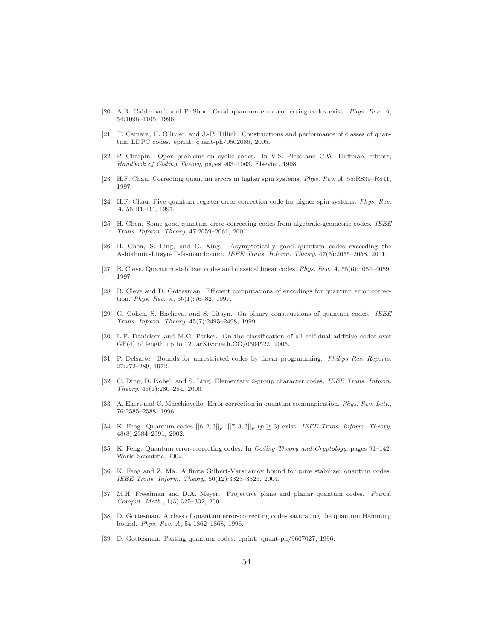- [20] A.R. Calderbank and P. Shor. Good quantum error-correcting codes exist. *Phys. Rev. A*, 54:1098–1105, 1996.
- [21] T. Camara, H. Ollivier, and J.-P. Tillich. Constructions and performance of classes of quantum LDPC codes. eprint: quant-ph/0502086, 2005.
- [22] P. Charpin. Open problems on cyclic codes. In V.S. Pless and C.W. Huffman, editors, *Handbook of Coding Theory*, pages 963–1063. Elsevier, 1998.
- [23] H.F. Chau. Correcting quantum errors in higher spin systems. *Phys. Rev. A*, 55:R839–R841, 1997.
- [24] H.F. Chau. Five quantum register error correction code for higher spin systems. *Phys. Rev. A*, 56:R1–R4, 1997.
- [25] H. Chen. Some good quantum error-correcting codes from algebraic-geometric codes. *IEEE Trans. Inform. Theory*, 47:2059–2061, 2001.
- [26] H. Chen, S. Ling, and C. Xing. Asymptotically good quantum codes exceeding the Ashikhmin-Litsyn-Tsfasman bound. *IEEE Trans. Inform. Theory*, 47(5):2055–2058, 2001.
- [27] R. Cleve. Quantum stabilizer codes and classical linear codes. *Phys. Rev. A*, 55(6):4054–4059, 1997.
- [28] R. Cleve and D. Gottesman. Efficient computations of encodings for quantum error correction. *Phys. Rev. A*, 56(1):76–82, 1997.
- [29] G. Cohen, S. Encheva, and S. Litsyn. On binary constructions of quantum codes. *IEEE Trans. Inform. Theory*, 45(7):2495–2498, 1999.
- [30] L.E. Danielsen and M.G. Parker. On the classification of all self-dual additive codes over GF(4) of length up to 12. arXiv:math.CO/0504522, 2005.
- [31] P. Delsarte. Bounds for unrestricted codes by linear programming. *Philips Res. Reports*, 27:272–289, 1972.
- [32] C. Ding, D. Kohel, and S. Ling. Elementary 2-group character codes. *IEEE Trans. Inform. Theory*, 46(1):280–284, 2000.
- [33] A. Ekert and C. Macchiavello. Error correction in quantum communication. *Phys. Rev. Lett.*, 76:2585–2588, 1996.
- [34] K. Feng. Quantum codes  $[[6, 2, 3]]_p$ ,  $[[7, 3, 3]]_p$  ( $p \ge 3$ ) exist. *IEEE Trans. Inform. Theory*, 48(8):2384–2391, 2002.
- [35] K. Feng. Quantum error-correcting codes. In *Coding Theory and Cryptology*, pages 91–142. World Scientific, 2002.
- [36] K. Feng and Z. Ma. A finite Gilbert-Varshamov bound for pure stabilizer quantum codes. *IEEE Trans. Inform. Theory*, 50(12):3323–3325, 2004.
- [37] M.H. Freedman and D.A. Meyer. Projective plane and planar quantum codes. *Found. Comput. Math.*, 1(3):325–332, 2001.
- [38] D. Gottesman. A class of quantum error-correcting codes saturating the quantum Hamming bound. *Phys. Rev. A*, 54:1862–1868, 1996.
- [39] D. Gottesman. Pasting quantum codes. eprint: quant-ph/9607027, 1996.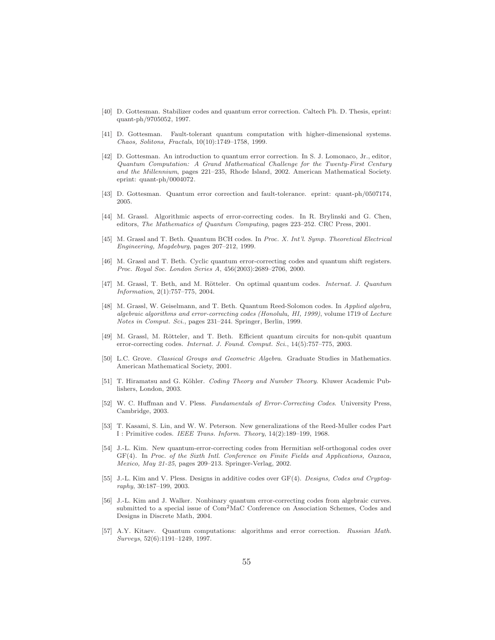- [40] D. Gottesman. Stabilizer codes and quantum error correction. Caltech Ph. D. Thesis, eprint: quant-ph/9705052, 1997.
- [41] D. Gottesman. Fault-tolerant quantum computation with higher-dimensional systems. *Chaos, Solitons, Fractals*, 10(10):1749–1758, 1999.
- [42] D. Gottesman. An introduction to quantum error correction. In S. J. Lomonaco, Jr., editor, *Quantum Computation: A Grand Mathematical Challenge for the Twenty-First Century and the Millennium*, pages 221–235, Rhode Island, 2002. American Mathematical Society. eprint: quant-ph/0004072.
- [43] D. Gottesman. Quantum error correction and fault-tolerance. eprint: quant-ph/0507174, 2005.
- [44] M. Grassl. Algorithmic aspects of error-correcting codes. In R. Brylinski and G. Chen, editors, *The Mathematics of Quantum Computing*, pages 223–252. CRC Press, 2001.
- [45] M. Grassl and T. Beth. Quantum BCH codes. In *Proc. X. Int'l. Symp. Theoretical Electrical Engineering, Magdeburg*, pages 207–212, 1999.
- [46] M. Grassl and T. Beth. Cyclic quantum error-correcting codes and quantum shift registers. *Proc. Royal Soc. London Series A*, 456(2003):2689–2706, 2000.
- [47] M. Grassl, T. Beth, and M. Rötteler. On optimal quantum codes. *Internat. J. Quantum Information*, 2(1):757–775, 2004.
- [48] M. Grassl, W. Geiselmann, and T. Beth. Quantum Reed-Solomon codes. In *Applied algebra, algebraic algorithms and error-correcting codes (Honolulu, HI, 1999)*, volume 1719 of *Lecture Notes in Comput. Sci.*, pages 231–244. Springer, Berlin, 1999.
- [49] M. Grassl, M. Rötteler, and T. Beth. Efficient quantum circuits for non-qubit quantum error-correcting codes. *Internat. J. Found. Comput. Sci.*, 14(5):757–775, 2003.
- [50] L.C. Grove. *Classical Groups and Geometric Algebra*. Graduate Studies in Mathematics. American Mathematical Society, 2001.
- [51] T. Hiramatsu and G. K¨ohler. *Coding Theory and Number Theory*. Kluwer Academic Publishers, London, 2003.
- [52] W. C. Huffman and V. Pless. *Fundamentals of Error-Correcting Codes*. University Press, Cambridge, 2003.
- [53] T. Kasami, S. Lin, and W. W. Peterson. New generalizations of the Reed-Muller codes Part I : Primitive codes. *IEEE Trans. Inform. Theory*, 14(2):189–199, 1968.
- [54] J.-L. Kim. New quantum-error-correcting codes from Hermitian self-orthogonal codes over GF(4). In *Proc. of the Sixth Intl. Conference on Finite Fields and Applications, Oaxaca, Mexico, May 21-25*, pages 209–213. Springer-Verlag, 2002.
- [55] J.-L. Kim and V. Pless. Designs in additive codes over GF(4). *Designs, Codes and Cryptography*, 30:187–199, 2003.
- [56] J.-L. Kim and J. Walker. Nonbinary quantum error-correcting codes from algebraic curves. submitted to a special issue of Com2MaC Conference on Association Schemes, Codes and Designs in Discrete Math, 2004.
- [57] A.Y. Kitaev. Quantum computations: algorithms and error correction. *Russian Math. Surveys*, 52(6):1191–1249, 1997.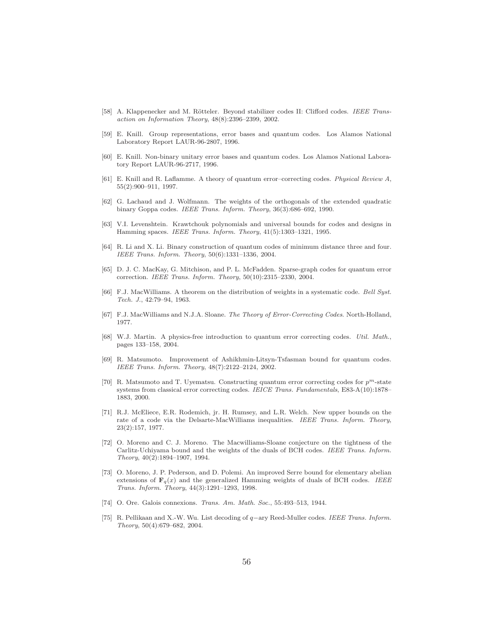- [58] A. Klappenecker and M. Rötteler. Beyond stabilizer codes II: Clifford codes. *IEEE Transaction on Information Theory*, 48(8):2396–2399, 2002.
- [59] E. Knill. Group representations, error bases and quantum codes. Los Alamos National Laboratory Report LAUR-96-2807, 1996.
- [60] E. Knill. Non-binary unitary error bases and quantum codes. Los Alamos National Laboratory Report LAUR-96-2717, 1996.
- [61] E. Knill and R. Laflamme. A theory of quantum error–correcting codes. *Physical Review A*, 55(2):900–911, 1997.
- [62] G. Lachaud and J. Wolfmann. The weights of the orthogonals of the extended quadratic binary Goppa codes. *IEEE Trans. Inform. Theory*, 36(3):686–692, 1990.
- [63] V.I. Levenshtein. Krawtchouk polynomials and universal bounds for codes and designs in Hamming spaces. *IEEE Trans. Inform. Theory*, 41(5):1303–1321, 1995.
- [64] R. Li and X. Li. Binary construction of quantum codes of minimum distance three and four. *IEEE Trans. Inform. Theory*, 50(6):1331–1336, 2004.
- [65] D. J. C. MacKay, G. Mitchison, and P. L. McFadden. Sparse-graph codes for quantum error correction. *IEEE Trans. Inform. Theory*, 50(10):2315–2330, 2004.
- [66] F.J. MacWilliams. A theorem on the distribution of weights in a systematic code. *Bell Syst. Tech. J.*, 42:79–94, 1963.
- [67] F.J. MacWilliams and N.J.A. Sloane. *The Theory of Error-Correcting Codes*. North-Holland, 1977.
- [68] W.J. Martin. A physics-free introduction to quantum error correcting codes. *Util. Math.*, pages 133–158, 2004.
- [69] R. Matsumoto. Improvement of Ashikhmin-Litsyn-Tsfasman bound for quantum codes. *IEEE Trans. Inform. Theory*, 48(7):2122–2124, 2002.
- [70] R. Matsumoto and T. Uyematsu. Constructing quantum error correcting codes for  $p^m$ -state systems from classical error correcting codes. *IEICE Trans. Fundamentals*, E83-A(10):1878– 1883, 2000.
- [71] R.J. McEliece, E.R. Rodemich, jr. H. Rumsey, and L.R. Welch. New upper bounds on the rate of a code via the Delsarte-MacWilliams inequalities. *IEEE Trans. Inform. Theory*, 23(2):157, 1977.
- [72] O. Moreno and C. J. Moreno. The Macwilliams-Sloane conjecture on the tightness of the Carlitz-Uchiyama bound and the weights of the duals of BCH codes. *IEEE Trans. Inform. Theory*, 40(2):1894–1907, 1994.
- [73] O. Moreno, J. P. Pederson, and D. Polemi. An improved Serre bound for elementary abelian extensions of  $\mathbf{F}_q(x)$  and the generalized Hamming weights of duals of BCH codes. *IEEE Trans. Inform. Theory*, 44(3):1291–1293, 1998.
- [74] O. Ore. Galois connexions. *Trans. Am. Math. Soc.*, 55:493–513, 1944.
- [75] R. Pellikaan and X.-W. Wu. List decoding of q−ary Reed-Muller codes. *IEEE Trans. Inform. Theory*, 50(4):679–682, 2004.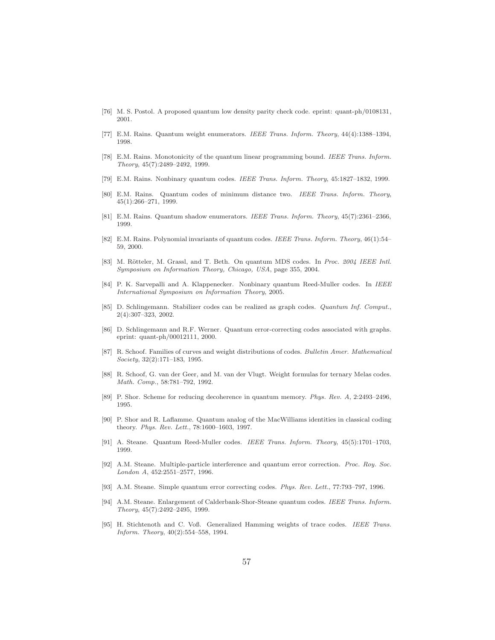- [76] M. S. Postol. A proposed quantum low density parity check code. eprint: quant-ph/0108131, 2001.
- [77] E.M. Rains. Quantum weight enumerators. *IEEE Trans. Inform. Theory*, 44(4):1388–1394, 1998.
- [78] E.M. Rains. Monotonicity of the quantum linear programming bound. *IEEE Trans. Inform. Theory*, 45(7):2489–2492, 1999.
- [79] E.M. Rains. Nonbinary quantum codes. *IEEE Trans. Inform. Theory*, 45:1827–1832, 1999.
- [80] E.M. Rains. Quantum codes of minimum distance two. *IEEE Trans. Inform. Theory*, 45(1):266–271, 1999.
- [81] E.M. Rains. Quantum shadow enumerators. *IEEE Trans. Inform. Theory*, 45(7):2361–2366, 1999.
- [82] E.M. Rains. Polynomial invariants of quantum codes. *IEEE Trans. Inform. Theory*, 46(1):54– 59, 2000.
- [83] M. Rötteler, M. Grassl, and T. Beth. On quantum MDS codes. In *Proc. 2004 IEEE Intl. Symposium on Information Theory, Chicago, USA*, page 355, 2004.
- [84] P. K. Sarvepalli and A. Klappenecker. Nonbinary quantum Reed-Muller codes. In *IEEE International Symposium on Information Theory*, 2005.
- [85] D. Schlingemann. Stabilizer codes can be realized as graph codes. *Quantum Inf. Comput.*, 2(4):307–323, 2002.
- [86] D. Schlingemann and R.F. Werner. Quantum error-correcting codes associated with graphs. eprint: quant-ph/00012111, 2000.
- [87] R. Schoof. Families of curves and weight distributions of codes. *Bulletin Amer. Mathematical Society*, 32(2):171–183, 1995.
- [88] R. Schoof, G. van der Geer, and M. van der Vlugt. Weight formulas for ternary Melas codes. *Math. Comp.*, 58:781–792, 1992.
- [89] P. Shor. Scheme for reducing decoherence in quantum memory. *Phys. Rev. A*, 2:2493–2496, 1995.
- [90] P. Shor and R. Laflamme. Quantum analog of the MacWilliams identities in classical coding theory. *Phys. Rev. Lett.*, 78:1600–1603, 1997.
- [91] A. Steane. Quantum Reed-Muller codes. *IEEE Trans. Inform. Theory*, 45(5):1701–1703, 1999.
- [92] A.M. Steane. Multiple-particle interference and quantum error correction. *Proc. Roy. Soc. London A*, 452:2551–2577, 1996.
- [93] A.M. Steane. Simple quantum error correcting codes. *Phys. Rev. Lett.*, 77:793–797, 1996.
- [94] A.M. Steane. Enlargement of Calderbank-Shor-Steane quantum codes. *IEEE Trans. Inform. Theory*, 45(7):2492–2495, 1999.
- [95] H. Stichtenoth and C. Voß. Generalized Hamming weights of trace codes. *IEEE Trans. Inform. Theory*, 40(2):554–558, 1994.